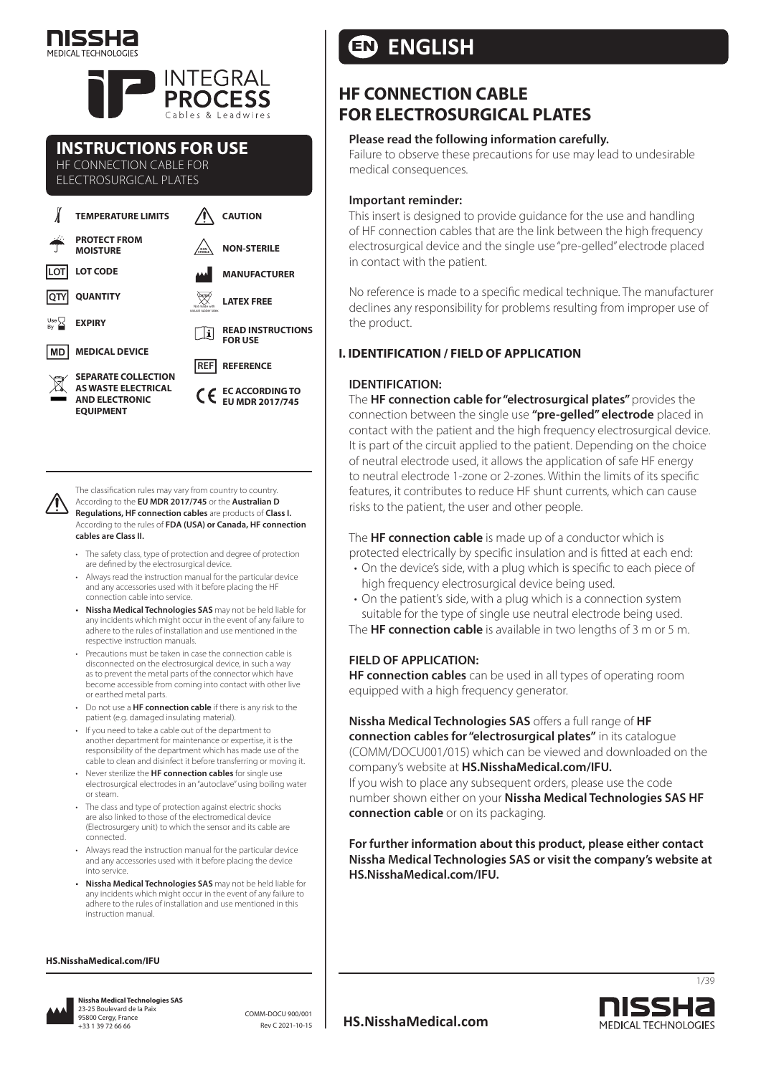



## **INSTRUCTIONS FOR USE**

HF CONNECTION CABLE FOR ELECTROSURGICAL PLATES



The classification rules may vary from country to country. According to the **EU MDR 2017/745** or the **Australian D Regulations, HF connection cables** are products of **Class I.** According to the rules of **FDA (USA) or Canada, HF connection cables are Class II.**

- The safety class, type of protection and degree of protection are defined by the electrosurgical device.
- Always read the instruction manual for the particular device and any accessories used with it before placing the HF connection cable into service.
- **• Nissha Medical Technologies SAS** may not be held liable for any incidents which might occur in the event of any failure to adhere to the rules of installation and use mentioned in the respective instruction manuals.
- Precautions must be taken in case the connection cable is disconnected on the electrosurgical device, in such a way as to prevent the metal parts of the connector which have become accessible from coming into contact with other live or earthed metal parts.
- Do not use a **HF connection cable** if there is any risk to the patient (e.g. damaged insulating material).
- If you need to take a cable out of the department to another department for maintenance or expertise, it is the responsibility of the department which has made use of the cable to clean and disinfect it before transferring or moving it.
- Never sterilize the **HF connection cables** for single use electrosurgical electrodes in an "autoclave" using boiling water or steam.
- The class and type of protection against electric shocks are also linked to those of the electromedical device (Electrosurgery unit) to which the sensor and its cable are connected.
- Always read the instruction manual for the particular device and any accessories used with it before placing the device into service.
- **• Nissha Medical Technologies SAS** may not be held liable for any incidents which might occur in the event of any failure to adhere to the rules of installation and use mentioned in this instruction manual.

#### **HS.NisshaMedical.com/IFU**



**Nissha Medical Technologies SAS** 23-25 Boulevard de la Paix 95800 Cergy, France +33 1 39 72 66 66

COMM-DOCU 900/001 Rev C 2021-10-15

## EN **ENGLISH**

## **HF CONNECTION CABLE FOR ELECTROSURGICAL PLATES**

#### **Please read the following information carefully.**

Failure to observe these precautions for use may lead to undesirable medical consequences.

#### **Important reminder:**

This insert is designed to provide guidance for the use and handling of HF connection cables that are the link between the high frequency electrosurgical device and the single use "pre-gelled" electrode placed in contact with the patient.

No reference is made to a specific medical technique. The manufacturer declines any responsibility for problems resulting from improper use of the product.

## **I. IDENTIFICATION / FIELD OF APPLICATION**

## **IDENTIFICATION:**

The **HF connection cable for "electrosurgical plates"** provides the connection between the single use **"pre-gelled" electrode** placed in contact with the patient and the high frequency electrosurgical device. It is part of the circuit applied to the patient. Depending on the choice of neutral electrode used, it allows the application of safe HF energy to neutral electrode 1-zone or 2-zones. Within the limits of its specific features, it contributes to reduce HF shunt currents, which can cause risks to the patient, the user and other people.

The **HF connection cable** is made up of a conductor which is protected electrically by specific insulation and is fitted at each end:

- On the device's side, with a plug which is specific to each piece of high frequency electrosurgical device being used.
- On the patient's side, with a plug which is a connection system suitable for the type of single use neutral electrode being used.
- The **HF connection cable** is available in two lengths of 3 m or 5 m.

### **FIELD OF APPLICATION:**

**HF connection cables** can be used in all types of operating room equipped with a high frequency generator.

**Nissha Medical Technologies SAS** offers a full range of **HF connection cables for "electrosurgical plates"** in its catalogue (COMM/DOCU001/015) which can be viewed and downloaded on the company's website at **HS.NisshaMedical.com/IFU.** If you wish to place any subsequent orders, please use the code number shown either on your **Nissha Medical Technologies SAS HF connection cable** or on its packaging.

**For further information about this product, please either contact Nissha Medical Technologies SAS or visit the company's website at HS.NisshaMedical.com/IFU.**

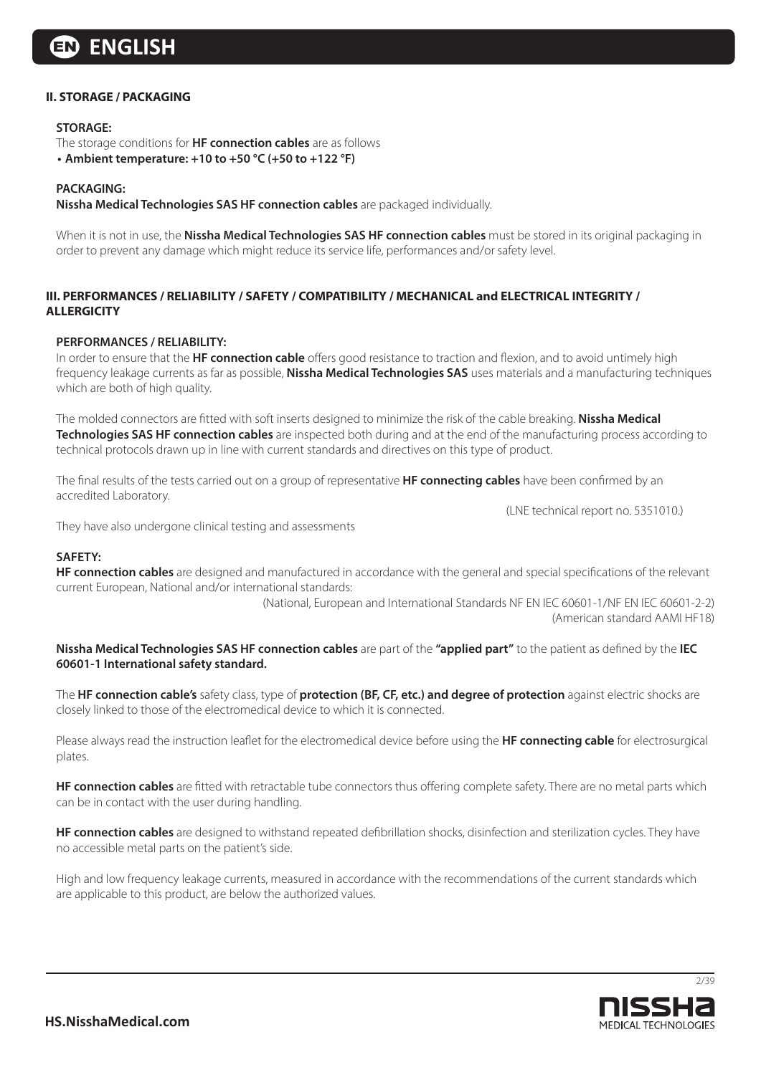## EN **ENGLISH**

#### **II. STORAGE / PACKAGING**

#### **STORAGE:**

The storage conditions for **HF connection cables** are as follows

**• Ambient temperature: +10 to +50 °C (+50 to +122 °F)**

#### **PACKAGING:**

**Nissha Medical Technologies SAS HF connection cables** are packaged individually.

When it is not in use, the **Nissha Medical Technologies SAS HF connection cables** must be stored in its original packaging in order to prevent any damage which might reduce its service life, performances and/or safety level.

## **III. PERFORMANCES / RELIABILITY / SAFETY / COMPATIBILITY / MECHANICAL and ELECTRICAL INTEGRITY / ALLERGICITY**

### **PERFORMANCES / RELIABILITY:**

In order to ensure that the **HF connection cable** offers good resistance to traction and flexion, and to avoid untimely high frequency leakage currents as far as possible, **Nissha Medical Technologies SAS** uses materials and a manufacturing techniques which are both of high quality.

The molded connectors are fitted with soft inserts designed to minimize the risk of the cable breaking. **Nissha Medical Technologies SAS HF connection cables** are inspected both during and at the end of the manufacturing process according to technical protocols drawn up in line with current standards and directives on this type of product.

The final results of the tests carried out on a group of representative **HF connecting cables** have been confirmed by an accredited Laboratory.

(LNE technical report no. 5351010.)

They have also undergone clinical testing and assessments

#### **SAFETY:**

**HF connection cables** are designed and manufactured in accordance with the general and special specifications of the relevant current European, National and/or international standards:

> (National, European and International Standards NF EN IEC 60601-1/NF EN IEC 60601-2-2) (American standard AAMI HF18)

**Nissha Medical Technologies SAS HF connection cables** are part of the **"applied part"** to the patient as defined by the **IEC 60601-1 International safety standard.**

The **HF connection cable's** safety class, type of **protection (BF, CF, etc.) and degree of protection** against electric shocks are closely linked to those of the electromedical device to which it is connected.

Please always read the instruction leaflet for the electromedical device before using the **HF connecting cable** for electrosurgical plates.

**HF connection cables** are fitted with retractable tube connectors thus offering complete safety. There are no metal parts which can be in contact with the user during handling.

**HF connection cables** are designed to withstand repeated defibrillation shocks, disinfection and sterilization cycles. They have no accessible metal parts on the patient's side.

High and low frequency leakage currents, measured in accordance with the recommendations of the current standards which are applicable to this product, are below the authorized values.

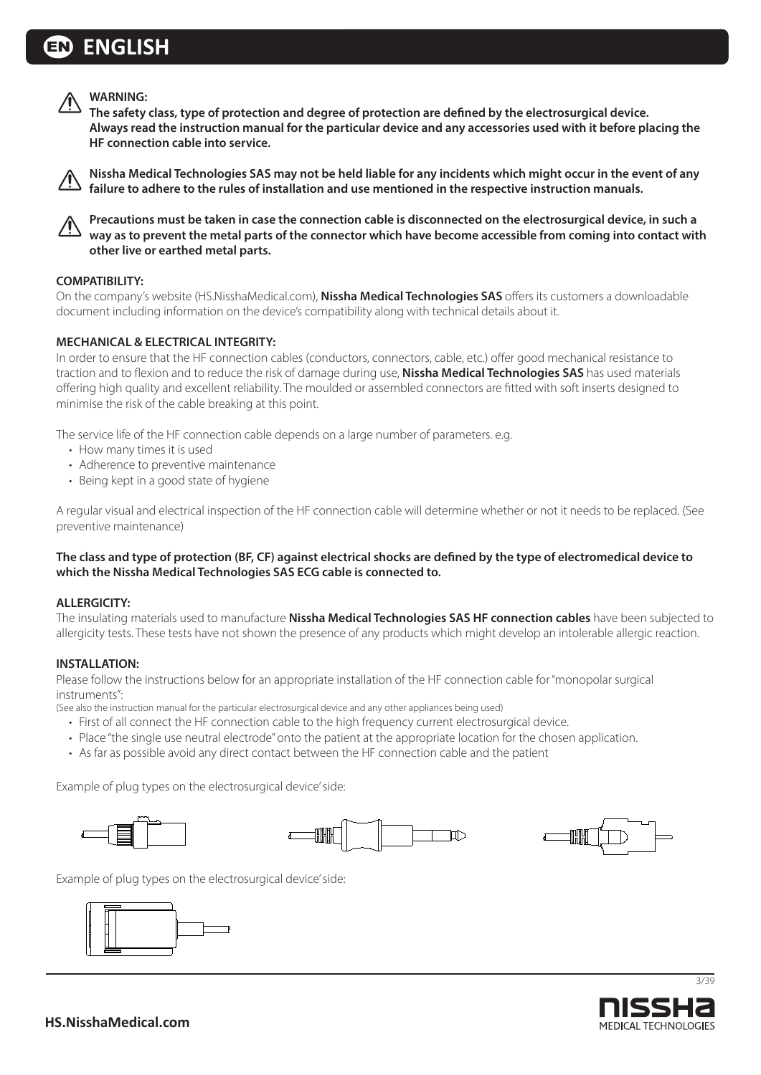## EN **ENGLISH**

### **WARNING:**

**The safety class, type of protection and degree of protection are defined by the electrosurgical device. Always read the instruction manual for the particular device and any accessories used with it before placing the HF connection cable into service.** 



**Nissha Medical Technologies SAS may not be held liable for any incidents which might occur in the event of any failure to adhere to the rules of installation and use mentioned in the respective instruction manuals.** 

**Precautions must be taken in case the connection cable is disconnected on the electrosurgical device, in such a way as to prevent the metal parts of the connector which have become accessible from coming into contact with other live or earthed metal parts.**

### **COMPATIBILITY:**

On the company's website (HS.NisshaMedical.com), **Nissha Medical Technologies SAS** offers its customers a downloadable document including information on the device's compatibility along with technical details about it.

### **MECHANICAL & ELECTRICAL INTEGRITY:**

In order to ensure that the HF connection cables (conductors, connectors, cable, etc.) offer good mechanical resistance to traction and to flexion and to reduce the risk of damage during use, **Nissha Medical Technologies SAS** has used materials offering high quality and excellent reliability. The moulded or assembled connectors are fitted with soft inserts designed to minimise the risk of the cable breaking at this point.

The service life of the HF connection cable depends on a large number of parameters. e.g.

- How many times it is used
- Adherence to preventive maintenance
- Being kept in a good state of hygiene

A regular visual and electrical inspection of the HF connection cable will determine whether or not it needs to be replaced. (See preventive maintenance)

#### **The class and type of protection (BF, CF) against electrical shocks are defined by the type of electromedical device to which the Nissha Medical Technologies SAS ECG cable is connected to.**

#### **ALLERGICITY:**

The insulating materials used to manufacture **Nissha Medical Technologies SAS HF connection cables** have been subjected to allergicity tests. These tests have not shown the presence of any products which might develop an intolerable allergic reaction.

#### **INSTALLATION:**

Please follow the instructions below for an appropriate installation of the HF connection cable for "monopolar surgical instruments":

(See also the instruction manual for the particular electrosurgical device and any other appliances being used)

- First of all connect the HF connection cable to the high frequency current electrosurgical device.
- Place "the single use neutral electrode" onto the patient at the appropriate location for the chosen application.
- As far as possible avoid any direct contact between the HF connection cable and the patient

Example of plug types on the electrosurgical device' side:



Example of plug types on the electrosurgical device' side:



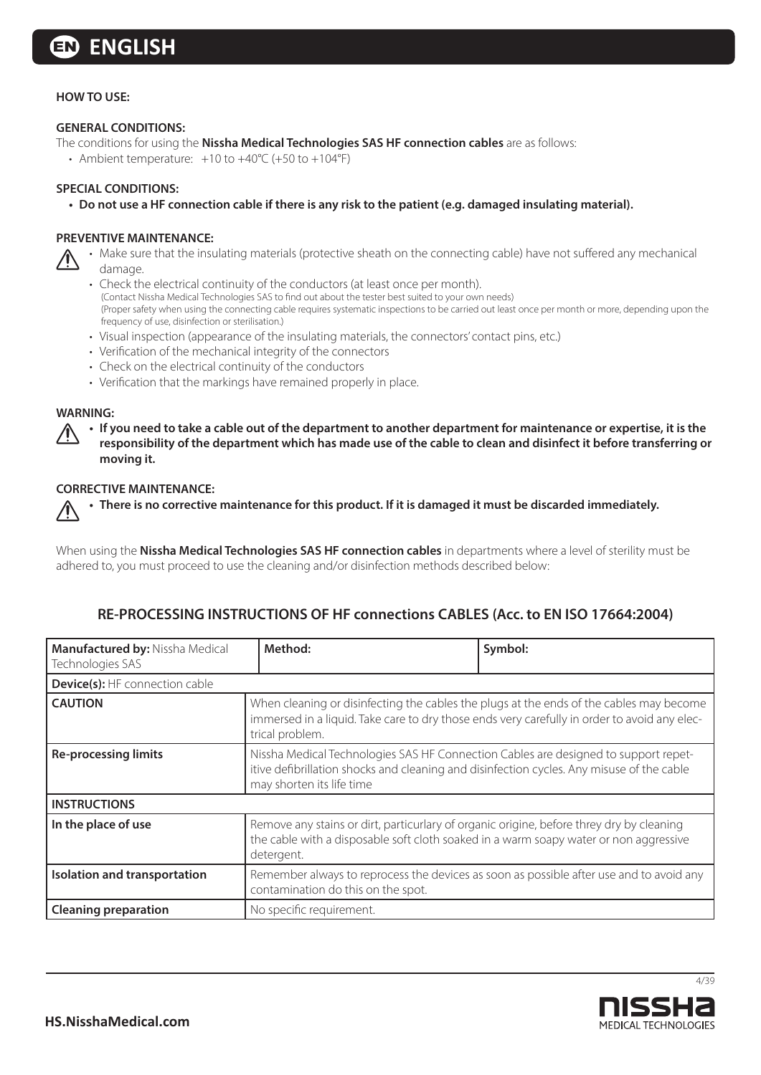## **HOW TO USE:**

#### **GENERAL CONDITIONS:**

The conditions for using the **Nissha Medical Technologies SAS HF connection cables** are as follows:

• Ambient temperature:  $+10$  to  $+40^{\circ}$ C (+50 to  $+104^{\circ}$ F)

### **SPECIAL CONDITIONS:**

**• Do not use a HF connection cable if there is any risk to the patient (e.g. damaged insulating material).**

#### **PREVENTIVE MAINTENANCE:**

- Make sure that the insulating materials (protective sheath on the connecting cable) have not suffered any mechanical damage.
	- Check the electrical continuity of the conductors (at least once per month). (Contact Nissha Medical Technologies SAS to find out about the tester best suited to your own needs) (Proper safety when using the connecting cable requires systematic inspections to be carried out least once per month or more, depending upon the frequency of use, disinfection or sterilisation.)
	- Visual inspection (appearance of the insulating materials, the connectors' contact pins, etc.)
	- Verification of the mechanical integrity of the connectors
	- Check on the electrical continuity of the conductors
	- Verification that the markings have remained properly in place.

#### **WARNING:**

**• If you need to take a cable out of the department to another department for maintenance or expertise, it is the responsibility of the department which has made use of the cable to clean and disinfect it before transferring or moving it.**

#### **CORRECTIVE MAINTENANCE:**

**• There is no corrective maintenance for this product. If it is damaged it must be discarded immediately.**

When using the **Nissha Medical Technologies SAS HF connection cables** in departments where a level of sterility must be adhered to, you must proceed to use the cleaning and/or disinfection methods described below:

## **RE-PROCESSING INSTRUCTIONS OF HF connections CABLES (Acc. to EN ISO 17664:2004)**

| Manufactured by: Nissha Medical<br>Technologies SAS | Method:                                                                                                                                                                                                       | Symbol:                                                                                 |
|-----------------------------------------------------|---------------------------------------------------------------------------------------------------------------------------------------------------------------------------------------------------------------|-----------------------------------------------------------------------------------------|
| <b>Device(s): HF</b> connection cable               |                                                                                                                                                                                                               |                                                                                         |
| <b>CAUTION</b>                                      | When cleaning or disinfecting the cables the plugs at the ends of the cables may become<br>immersed in a liquid. Take care to dry those ends very carefully in order to avoid any elec-<br>trical problem.    |                                                                                         |
| <b>Re-processing limits</b>                         | Nissha Medical Technologies SAS HF Connection Cables are designed to support repet-<br>itive defibrillation shocks and cleaning and disinfection cycles. Any misuse of the cable<br>may shorten its life time |                                                                                         |
| <b>INSTRUCTIONS</b>                                 |                                                                                                                                                                                                               |                                                                                         |
| In the place of use                                 | Remove any stains or dirt, particurlary of organic origine, before threy dry by cleaning<br>the cable with a disposable soft cloth soaked in a warm soapy water or non aggressive<br>detergent.               |                                                                                         |
| <b>Isolation and transportation</b>                 | contamination do this on the spot.                                                                                                                                                                            | Remember always to reprocess the devices as soon as possible after use and to avoid any |
| <b>Cleaning preparation</b>                         | No specific requirement.                                                                                                                                                                                      |                                                                                         |



 $1/3C$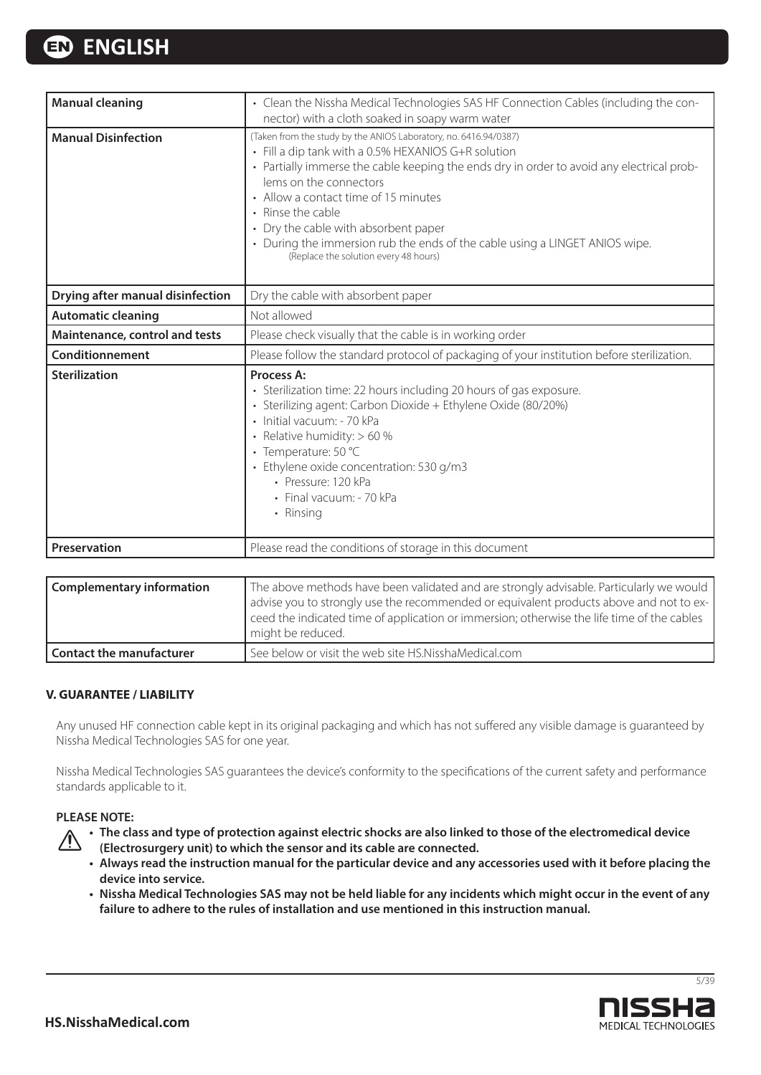## EN **ENGLISH**

| <b>Manual cleaning</b>                  | • Clean the Nissha Medical Technologies SAS HF Connection Cables (including the con-<br>nector) with a cloth soaked in soapy warm water                                                                                                                                                                                                                                                                                                                                   |
|-----------------------------------------|---------------------------------------------------------------------------------------------------------------------------------------------------------------------------------------------------------------------------------------------------------------------------------------------------------------------------------------------------------------------------------------------------------------------------------------------------------------------------|
| <b>Manual Disinfection</b>              | (Taken from the study by the ANIOS Laboratory, no. 6416.94/0387)<br>• Fill a dip tank with a 0.5% HEXANIOS G+R solution<br>• Partially immerse the cable keeping the ends dry in order to avoid any electrical prob-<br>lems on the connectors<br>• Allow a contact time of 15 minutes<br>• Rinse the cable<br>Dry the cable with absorbent paper<br>• During the immersion rub the ends of the cable using a LINGET ANIOS wipe.<br>(Replace the solution every 48 hours) |
| <b>Drying after manual disinfection</b> | Dry the cable with absorbent paper                                                                                                                                                                                                                                                                                                                                                                                                                                        |
| <b>Automatic cleaning</b>               | Not allowed                                                                                                                                                                                                                                                                                                                                                                                                                                                               |
| Maintenance, control and tests          | Please check visually that the cable is in working order                                                                                                                                                                                                                                                                                                                                                                                                                  |
| Conditionnement                         | Please follow the standard protocol of packaging of your institution before sterilization.                                                                                                                                                                                                                                                                                                                                                                                |
| <b>Sterilization</b>                    | Process A:<br>• Sterilization time: 22 hours including 20 hours of gas exposure.<br>• Sterilizing agent: Carbon Dioxide + Ethylene Oxide (80/20%)<br>· Initial vacuum: - 70 kPa<br>• Relative humidity: $> 60\%$<br>• Temperature: 50 °C<br>· Ethylene oxide concentration: 530 g/m3<br>· Pressure: 120 kPa<br>· Final vacuum: - 70 kPa<br>• Rinsing                                                                                                                      |
| Preservation                            | Please read the conditions of storage in this document                                                                                                                                                                                                                                                                                                                                                                                                                    |

| Complementary information | The above methods have been validated and are strongly advisable. Particularly we would<br>advise you to strongly use the recommended or equivalent products above and not to ex-<br>ceed the indicated time of application or immersion; otherwise the life time of the cables<br>might be reduced. |
|---------------------------|------------------------------------------------------------------------------------------------------------------------------------------------------------------------------------------------------------------------------------------------------------------------------------------------------|
| Contact the manufacturer  | See below or visit the web site HS.NisshaMedical.com                                                                                                                                                                                                                                                 |

### **V. GUARANTEE / LIABILITY**

Any unused HF connection cable kept in its original packaging and which has not suffered any visible damage is guaranteed by Nissha Medical Technologies SAS for one year.

Nissha Medical Technologies SAS guarantees the device's conformity to the specifications of the current safety and performance standards applicable to it.

### **PLEASE NOTE:**

- **• The class and type of protection against electric shocks are also linked to those of the electromedical device (Electrosurgery unit) to which the sensor and its cable are connected.**
- **• Always read the instruction manual for the particular device and any accessories used with it before placing the device into service.**
- **• Nissha Medical Technologies SAS may not be held liable for any incidents which might occur in the event of any failure to adhere to the rules of installation and use mentioned in this instruction manual.**

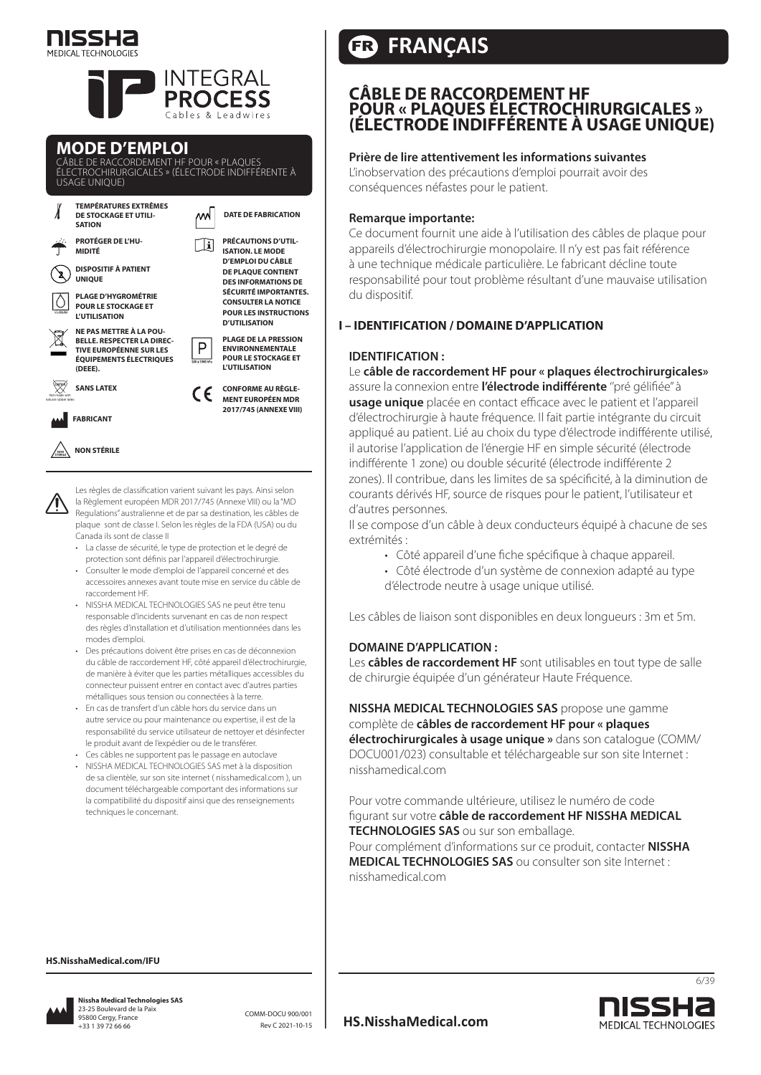



## **MODE D'EMPLOI**

CÂBLE DE RACCORDEMENT HF POUR « PLAQUES ÉLECTROCHIRURGICALES » (ÉLECTRODE INDIFFÉRENTE À USAGE UNIQUE)



Les règles de classification varient suivant les pays. Ainsi selon la Règlement européen MDR 2017/745 (Annexe VIII) ou la "MD Regulations" australienne et de par sa destination, les câbles de plaque sont de classe I. Selon les règles de la FDA (USA) ou du Canada ils sont de classe II

- La classe de sécurité, le type de protection et le degré de protection sont définis par l'appareil d'électrochirurgie.
- Consulter le mode d'emploi de l'appareil concerné et des accessoires annexes avant toute mise en service du câble de raccordement HF.
- NISSHA MEDICAL TECHNOLOGIES SAS ne peut être tenu responsable d'incidents survenant en cas de non respect des règles d'installation et d'utilisation mentionnées dans les modes d'emploi.
- Des précautions doivent être prises en cas de déconnexion du câble de raccordement HF, côté appareil d'électrochirurgie, de manière à éviter que les parties métalliques accessibles du connecteur puissent entrer en contact avec d'autres parties métalliques sous tension ou connectées à la terre.
- En cas de transfert d'un câble hors du service dans un autre service ou pour maintenance ou expertise, il est de la responsabilité du service utilisateur de nettoyer et désinfecter le produit avant de l'expédier ou de le transférer.
- Ces câbles ne supportent pas le passage en autoclave • NISSHA MEDICAL TECHNOLOGIES SAS met à la disposition de sa clientèle, sur son site internet ( nisshamedical.com ), un document téléchargeable comportant des informations sur la compatibilité du dispositif ainsi que des renseignements techniques le concernant.

#### **HS.NisshaMedical.com/IFU**



**Nissha Medical Technologies SAS** 23-25 Boulevard de la Paix 95800 Cergy, France +33 1 39 72 66 66

COMM-DOCU 900/001 Rev C 2021-10-15

## FR **FRANÇAIS**

## **CÂBLE DE RACCORDEMENT HF POUR « PLAQUES ÉLECTROCHIRURGICALES » (ÉLECTRODE INDIFFÉRENTE À USAGE UNIQUE)**

#### **Prière de lire attentivement les informations suivantes**

L'inobservation des précautions d'emploi pourrait avoir des conséquences néfastes pour le patient.

#### **Remarque importante:**

Ce document fournit une aide à l'utilisation des câbles de plaque pour appareils d'électrochirurgie monopolaire. Il n'y est pas fait référence à une technique médicale particulière. Le fabricant décline toute responsabilité pour tout problème résultant d'une mauvaise utilisation du dispositif.

#### **I – IDENTIFICATION / DOMAINE D'APPLICATION**

#### **IDENTIFICATION :**

Le **câble de raccordement HF pour « plaques électrochirurgicales»**  assure la connexion entre **l'électrode indifférente** ''pré gélifiée'' à **usage unique** placée en contact efficace avec le patient et l'appareil d'électrochirurgie à haute fréquence. Il fait partie intégrante du circuit appliqué au patient. Lié au choix du type d'électrode indifférente utilisé, il autorise l'application de l'énergie HF en simple sécurité (électrode indifférente 1 zone) ou double sécurité (électrode indifférente 2 zones). Il contribue, dans les limites de sa spécificité, à la diminution de courants dérivés HF, source de risques pour le patient, l'utilisateur et d'autres personnes.

Il se compose d'un câble à deux conducteurs équipé à chacune de ses extrémités :

- Côté appareil d'une fiche spécifique à chaque appareil.
- Côté électrode d'un système de connexion adapté au type d'électrode neutre à usage unique utilisé.

Les câbles de liaison sont disponibles en deux longueurs : 3m et 5m.

#### **DOMAINE D'APPLICATION :**

Les **câbles de raccordement HF** sont utilisables en tout type de salle de chirurgie équipée d'un générateur Haute Fréquence.

**NISSHA MEDICAL TECHNOLOGIES SAS** propose une gamme complète de **câbles de raccordement HF pour « plaques électrochirurgicales à usage unique »** dans son catalogue (COMM/ DOCU001/023) consultable et téléchargeable sur son site Internet : nisshamedical.com

Pour votre commande ultérieure, utilisez le numéro de code figurant sur votre **câble de raccordement HF NISSHA MEDICAL TECHNOLOGIES SAS** ou sur son emballage.

Pour complément d'informations sur ce produit, contacter **NISSHA MEDICAL TECHNOLOGIES SAS** ou consulter son site Internet : nisshamedical.com



6/39

**HS.NisshaMedical.com**

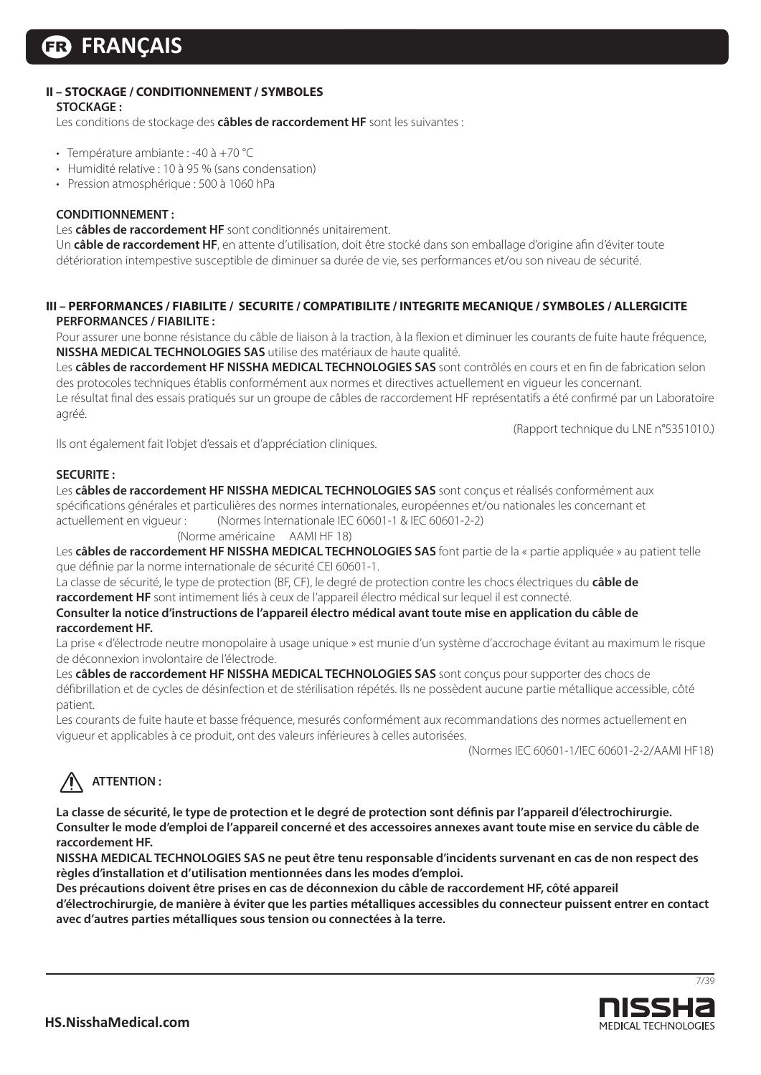## **II – STOCKAGE / CONDITIONNEMENT / SYMBOLES**

**STOCKAGE :**

Les conditions de stockage des **câbles de raccordement HF** sont les suivantes :

- Température ambiante : -40 à +70 °C
- Humidité relative : 10 à 95 % (sans condensation)
- Pression atmosphérique : 500 à 1060 hPa

### **CONDITIONNEMENT :**

Les **câbles de raccordement HF** sont conditionnés unitairement.

Un **câble de raccordement HF**, en attente d'utilisation, doit être stocké dans son emballage d'origine afin d'éviter toute détérioration intempestive susceptible de diminuer sa durée de vie, ses performances et/ou son niveau de sécurité.

#### **III – PERFORMANCES / FIABILITE / SECURITE / COMPATIBILITE / INTEGRITE MECANIQUE / SYMBOLES / ALLERGICITE PERFORMANCES / FIABILITE :**

Pour assurer une bonne résistance du câble de liaison à la traction, à la flexion et diminuer les courants de fuite haute fréquence, **NISSHA MEDICAL TECHNOLOGIES SAS** utilise des matériaux de haute qualité.

Les **câbles de raccordement HF NISSHA MEDICAL TECHNOLOGIES SAS** sont contrôlés en cours et en fin de fabrication selon des protocoles techniques établis conformément aux normes et directives actuellement en vigueur les concernant. Le résultat final des essais pratiqués sur un groupe de câbles de raccordement HF représentatifs a été confirmé par un Laboratoire agréé.

(Rapport technique du LNE n°5351010.)

Ils ont également fait l'objet d'essais et d'appréciation cliniques.

#### **SECURITE :**

Les **câbles de raccordement HF NISSHA MEDICAL TECHNOLOGIES SAS** sont conçus et réalisés conformément aux spécifications générales et particulières des normes internationales, européennes et/ou nationales les concernant et actuellement en vigueur : (Normes Internationale IEC 60601-1 & IEC 60601-2-2)

(Norme américaine AAMI HF 18)

Les **câbles de raccordement HF NISSHA MEDICAL TECHNOLOGIES SAS** font partie de la « partie appliquée » au patient telle que définie par la norme internationale de sécurité CEI 60601-1.

La classe de sécurité, le type de protection (BF, CF), le degré de protection contre les chocs électriques du **câble de raccordement HF** sont intimement liés à ceux de l'appareil électro médical sur lequel il est connecté.

#### **Consulter la notice d'instructions de l'appareil électro médical avant toute mise en application du câble de raccordement HF.**

La prise « d'électrode neutre monopolaire à usage unique » est munie d'un système d'accrochage évitant au maximum le risque de déconnexion involontaire de l'électrode.

Les **câbles de raccordement HF NISSHA MEDICAL TECHNOLOGIES SAS** sont conçus pour supporter des chocs de défibrillation et de cycles de désinfection et de stérilisation répétés. Ils ne possèdent aucune partie métallique accessible, côté patient.

Les courants de fuite haute et basse fréquence, mesurés conformément aux recommandations des normes actuellement en vigueur et applicables à ce produit, ont des valeurs inférieures à celles autorisées.

(Normes IEC 60601-1/IEC 60601-2-2/AAMI HF18)

## **ATTENTION :**

**La classe de sécurité, le type de protection et le degré de protection sont définis par l'appareil d'électrochirurgie. Consulter le mode d'emploi de l'appareil concerné et des accessoires annexes avant toute mise en service du câble de raccordement HF.**

**NISSHA MEDICAL TECHNOLOGIES SAS ne peut être tenu responsable d'incidents survenant en cas de non respect des règles d'installation et d'utilisation mentionnées dans les modes d'emploi.**

**Des précautions doivent être prises en cas de déconnexion du câble de raccordement HF, côté appareil** 

**d'électrochirurgie, de manière à éviter que les parties métalliques accessibles du connecteur puissent entrer en contact avec d'autres parties métalliques sous tension ou connectées à la terre.**

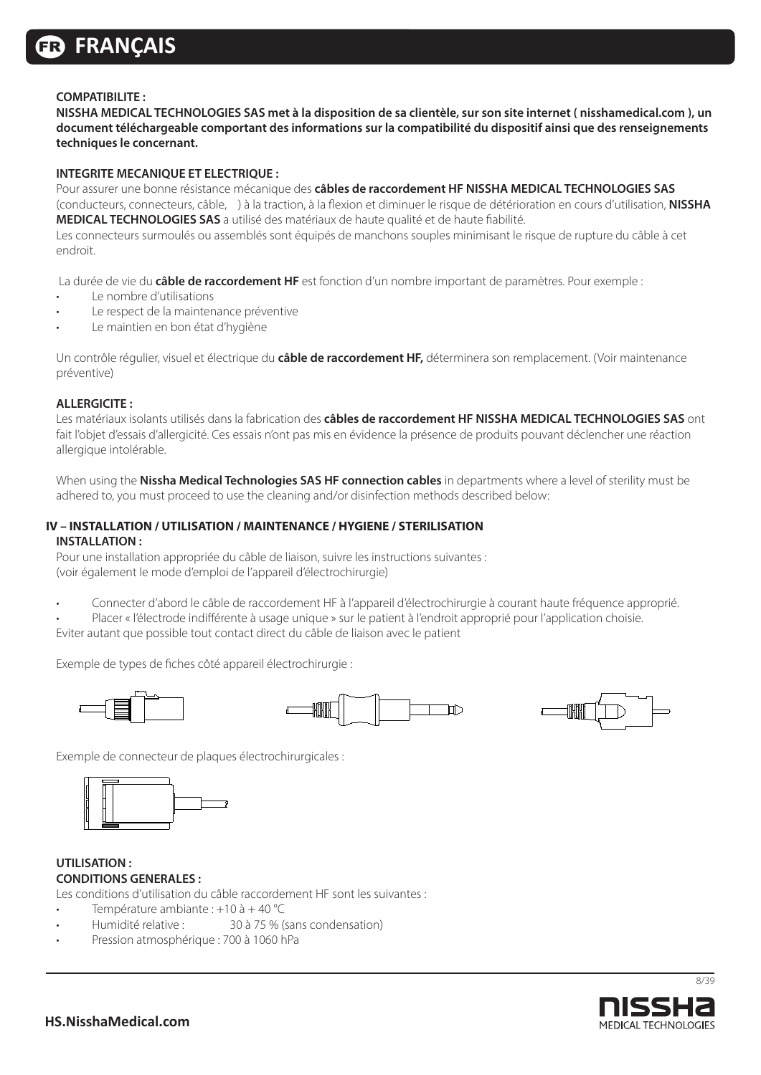#### **COMPATIBILITE :**

**NISSHA MEDICAL TECHNOLOGIES SAS met à la disposition de sa clientèle, sur son site internet ( nisshamedical.com ), un document téléchargeable comportant des informations sur la compatibilité du dispositif ainsi que des renseignements techniques le concernant.**

#### **INTEGRITE MECANIQUE ET ELECTRIQUE :**

Pour assurer une bonne résistance mécanique des **câbles de raccordement HF NISSHA MEDICAL TECHNOLOGIES SAS** (conducteurs, connecteurs, câble, ) à la traction, à la flexion et diminuer le risque de détérioration en cours d'utilisation, **NISSHA MEDICAL TECHNOLOGIES SAS** a utilisé des matériaux de haute qualité et de haute fiabilité.

Les connecteurs surmoulés ou assemblés sont équipés de manchons souples minimisant le risque de rupture du câble à cet endroit.

La durée de vie du **câble de raccordement HF** est fonction d'un nombre important de paramètres. Pour exemple :

- Le nombre d'utilisations
- Le respect de la maintenance préventive
- Le maintien en bon état d'hygiène

Un contrôle régulier, visuel et électrique du **câble de raccordement HF,** déterminera son remplacement. (Voir maintenance préventive)

#### **ALLERGICITE :**

Les matériaux isolants utilisés dans la fabrication des **câbles de raccordement HF NISSHA MEDICAL TECHNOLOGIES SAS** ont fait l'objet d'essais d'allergicité. Ces essais n'ont pas mis en évidence la présence de produits pouvant déclencher une réaction allergique intolérable.

When using the **Nissha Medical Technologies SAS HF connection cables** in departments where a level of sterility must be adhered to, you must proceed to use the cleaning and/or disinfection methods described below:

#### **IV – INSTALLATION / UTILISATION / MAINTENANCE / HYGIENE / STERILISATION INSTALLATION :**

Pour une installation appropriée du câble de liaison, suivre les instructions suivantes : (voir également le mode d'emploi de l'appareil d'électrochirurgie)

- Connecter d'abord le câble de raccordement HF à l'appareil d'électrochirurgie à courant haute fréquence approprié.
- Placer « l'électrode indifférente à usage unique » sur le patient à l'endroit approprié pour l'application choisie.
- Eviter autant que possible tout contact direct du câble de liaison avec le patient

Exemple de types de fiches côté appareil électrochirurgie :







Exemple de connecteur de plaques électrochirurgicales :



### **UTILISATION : CONDITIONS GENERALES :**

Les conditions d'utilisation du câble raccordement HF sont les suivantes :

- Température ambiante :  $+10$  à  $+40$  °C
- Humidité relative : 30 à 75 % (sans condensation)
- Pression atmosphérique : 700 à 1060 hPa

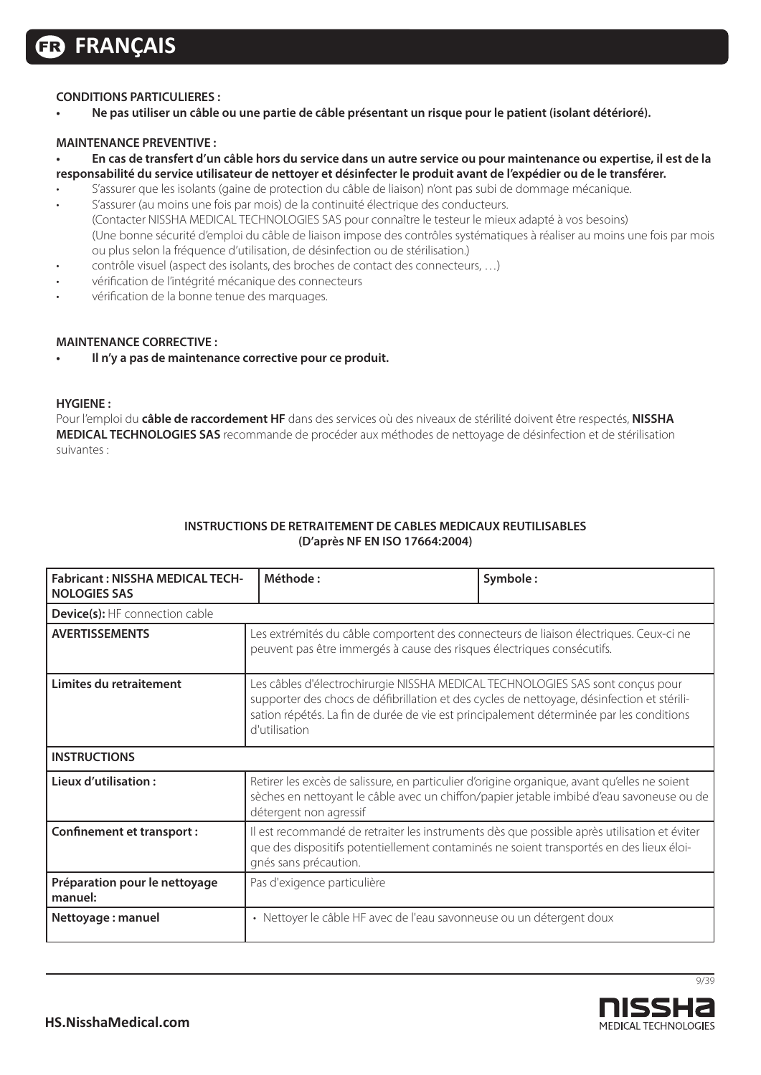## **CONDITIONS PARTICULIERES :**

**• Ne pas utiliser un câble ou une partie de câble présentant un risque pour le patient (isolant détérioré).**

#### **MAINTENANCE PREVENTIVE :**

#### **• En cas de transfert d'un câble hors du service dans un autre service ou pour maintenance ou expertise, il est de la responsabilité du service utilisateur de nettoyer et désinfecter le produit avant de l'expédier ou de le transférer.**

- S'assurer que les isolants (gaine de protection du câble de liaison) n'ont pas subi de dommage mécanique.
- S'assurer (au moins une fois par mois) de la continuité électrique des conducteurs. (Contacter NISSHA MEDICAL TECHNOLOGIES SAS pour connaître le testeur le mieux adapté à vos besoins) (Une bonne sécurité d'emploi du câble de liaison impose des contrôles systématiques à réaliser au moins une fois par mois ou plus selon la fréquence d'utilisation, de désinfection ou de stérilisation.)
- contrôle visuel (aspect des isolants, des broches de contact des connecteurs, …)
- vérification de l'intégrité mécanique des connecteurs
- vérification de la bonne tenue des marquages.

#### **MAINTENANCE CORRECTIVE :**

**• Il n'y a pas de maintenance corrective pour ce produit.**

#### **HYGIENE :**

Pour l'emploi du **câble de raccordement HF** dans des services où des niveaux de stérilité doivent être respectés, **NISSHA MEDICAL TECHNOLOGIES SAS** recommande de procéder aux méthodes de nettoyage de désinfection et de stérilisation suivantes :

## **INSTRUCTIONS DE RETRAITEMENT DE CABLES MEDICAUX REUTILISABLES (D'après NF EN ISO 17664:2004)**

| <b>Fabricant: NISSHA MEDICAL TECH-</b><br><b>NOLOGIES SAS</b> | Méthode:                                                                                                                                                                                                                                                                                 | Symbole: |
|---------------------------------------------------------------|------------------------------------------------------------------------------------------------------------------------------------------------------------------------------------------------------------------------------------------------------------------------------------------|----------|
| <b>Device(s): HF</b> connection cable                         |                                                                                                                                                                                                                                                                                          |          |
| <b>AVERTISSEMENTS</b>                                         | Les extrémités du câble comportent des connecteurs de liaison électriques. Ceux-ci ne<br>peuvent pas être immergés à cause des risques électriques consécutifs.                                                                                                                          |          |
| Limites du retraitement                                       | Les câbles d'électrochirurgie NISSHA MEDICAL TECHNOLOGIES SAS sont conçus pour<br>supporter des chocs de défibrillation et des cycles de nettoyage, désinfection et stérili-<br>sation répétés. La fin de durée de vie est principalement déterminée par les conditions<br>d'utilisation |          |
| <b>INSTRUCTIONS</b>                                           |                                                                                                                                                                                                                                                                                          |          |
| Lieux d'utilisation :                                         | Retirer les excès de salissure, en particulier d'origine organique, avant qu'elles ne soient<br>sèches en nettoyant le câble avec un chiffon/papier jetable imbibé d'eau savoneuse ou de<br>détergent non agressif                                                                       |          |
| <b>Confinement et transport:</b>                              | Il est recommandé de retraiter les instruments dès que possible après utilisation et éviter<br>que des dispositifs potentiellement contaminés ne soient transportés en des lieux éloi-<br>gnés sans précaution.                                                                          |          |
| Préparation pour le nettoyage<br>manuel:                      | Pas d'exigence particulière                                                                                                                                                                                                                                                              |          |
| Nettoyage: manuel                                             | · Nettoyer le câble HF avec de l'eau savonneuse ou un détergent doux                                                                                                                                                                                                                     |          |

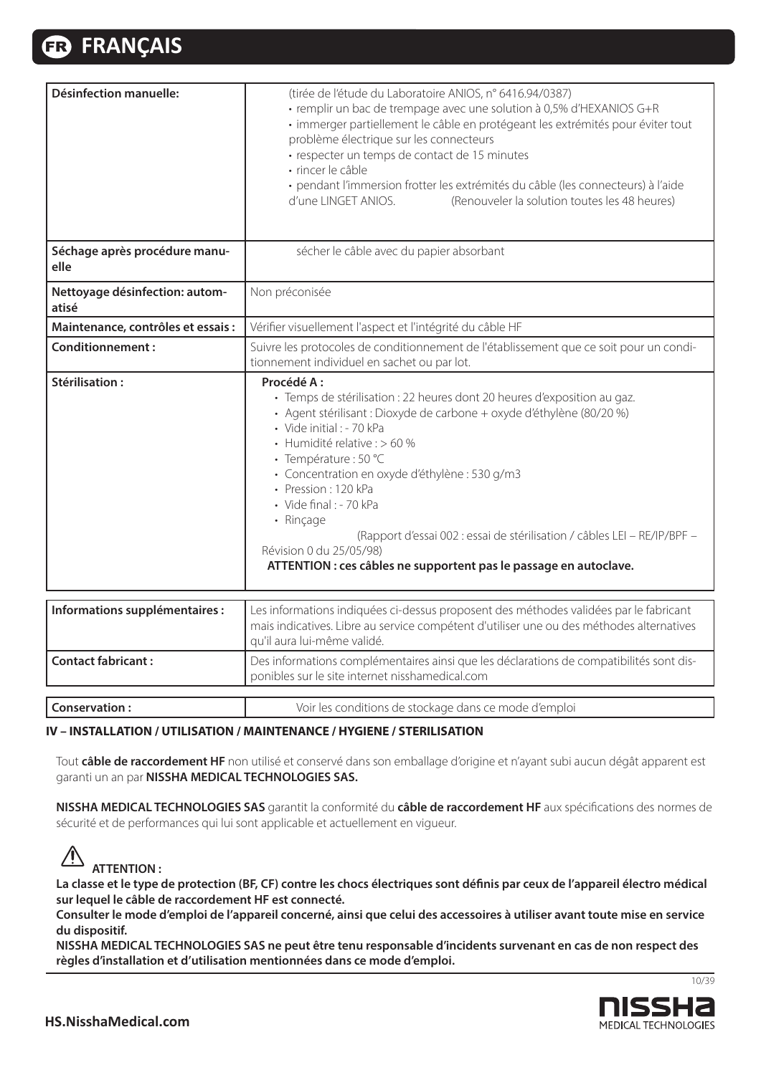# EN **ENGLISH** FR **FRANÇAIS**

| Séchage après procédure manu-<br>sécher le câble avec du papier absorbant<br>elle<br>Non préconisée<br>Nettoyage désinfection: autom-<br>atisé<br>Vérifier visuellement l'aspect et l'intégrité du câble HF<br>Maintenance, contrôles et essais :<br><b>Conditionnement:</b><br>tionnement individuel en sachet ou par lot.<br>Procédé A :<br>Stérilisation:<br>· Temps de stérilisation : 22 heures dont 20 heures d'exposition au gaz.<br>· Agent stérilisant : Dioxyde de carbone + oxyde d'éthylène (80/20 %)<br>• Vide initial : - 70 kPa<br>· Humidité relative : > 60 %<br>· Température : 50 °C<br>· Concentration en oxyde d'éthylène : 530 g/m3<br>• Pression: 120 kPa<br>· Vide final : - 70 kPa<br>• Rinçage | <b>Désinfection manuelle:</b> | (tirée de l'étude du Laboratoire ANIOS, n° 6416.94/0387)<br>• remplir un bac de trempage avec une solution à 0,5% d'HEXANIOS G+R<br>· immerger partiellement le câble en protégeant les extrémités pour éviter tout<br>problème électrique sur les connecteurs<br>· respecter un temps de contact de 15 minutes<br>· rincer le câble<br>· pendant l'immersion frotter les extrémités du câble (les connecteurs) à l'aide<br>d'une LINGET ANIOS.<br>(Renouveler la solution toutes les 48 heures) |
|--------------------------------------------------------------------------------------------------------------------------------------------------------------------------------------------------------------------------------------------------------------------------------------------------------------------------------------------------------------------------------------------------------------------------------------------------------------------------------------------------------------------------------------------------------------------------------------------------------------------------------------------------------------------------------------------------------------------------|-------------------------------|--------------------------------------------------------------------------------------------------------------------------------------------------------------------------------------------------------------------------------------------------------------------------------------------------------------------------------------------------------------------------------------------------------------------------------------------------------------------------------------------------|
|                                                                                                                                                                                                                                                                                                                                                                                                                                                                                                                                                                                                                                                                                                                          |                               |                                                                                                                                                                                                                                                                                                                                                                                                                                                                                                  |
|                                                                                                                                                                                                                                                                                                                                                                                                                                                                                                                                                                                                                                                                                                                          |                               |                                                                                                                                                                                                                                                                                                                                                                                                                                                                                                  |
|                                                                                                                                                                                                                                                                                                                                                                                                                                                                                                                                                                                                                                                                                                                          |                               |                                                                                                                                                                                                                                                                                                                                                                                                                                                                                                  |
|                                                                                                                                                                                                                                                                                                                                                                                                                                                                                                                                                                                                                                                                                                                          |                               | Suivre les protocoles de conditionnement de l'établissement que ce soit pour un condi-                                                                                                                                                                                                                                                                                                                                                                                                           |
| Révision 0 du 25/05/98)<br>ATTENTION : ces câbles ne supportent pas le passage en autoclave.                                                                                                                                                                                                                                                                                                                                                                                                                                                                                                                                                                                                                             |                               | (Rapport d'essai 002 : essai de stérilisation / câbles LEI - RE/IP/BPF -                                                                                                                                                                                                                                                                                                                                                                                                                         |

| Informations supplémentaires : | Les informations indiquées ci-dessus proposent des méthodes validées par le fabricant<br>mais indicatives. Libre au service compétent d'utiliser une ou des méthodes alternatives<br>qu'il aura lui-même validé. |
|--------------------------------|------------------------------------------------------------------------------------------------------------------------------------------------------------------------------------------------------------------|
| <b>Contact fabricant:</b>      | Des informations complémentaires ainsi que les déclarations de compatibilités sont dis-<br>ponibles sur le site internet nisshamedical.com                                                                       |
| Conservation:                  | Voir les conditions de stockage dans ce mode d'emploi                                                                                                                                                            |

## **IV – INSTALLATION / UTILISATION / MAINTENANCE / HYGIENE / STERILISATION**

Tout **câble de raccordement HF** non utilisé et conservé dans son emballage d'origine et n'ayant subi aucun dégât apparent est garanti un an par **NISSHA MEDICAL TECHNOLOGIES SAS.**

**NISSHA MEDICAL TECHNOLOGIES SAS** garantit la conformité du **câble de raccordement HF** aux spécifications des normes de sécurité et de performances qui lui sont applicable et actuellement en vigueur.

# **ATTENTION :**

**La classe et le type de protection (BF, CF) contre les chocs électriques sont définis par ceux de l'appareil électro médical sur lequel le câble de raccordement HF est connecté.**

**Consulter le mode d'emploi de l'appareil concerné, ainsi que celui des accessoires à utiliser avant toute mise en service du dispositif.**

**NISSHA MEDICAL TECHNOLOGIES SAS ne peut être tenu responsable d'incidents survenant en cas de non respect des règles d'installation et d'utilisation mentionnées dans ce mode d'emploi.**

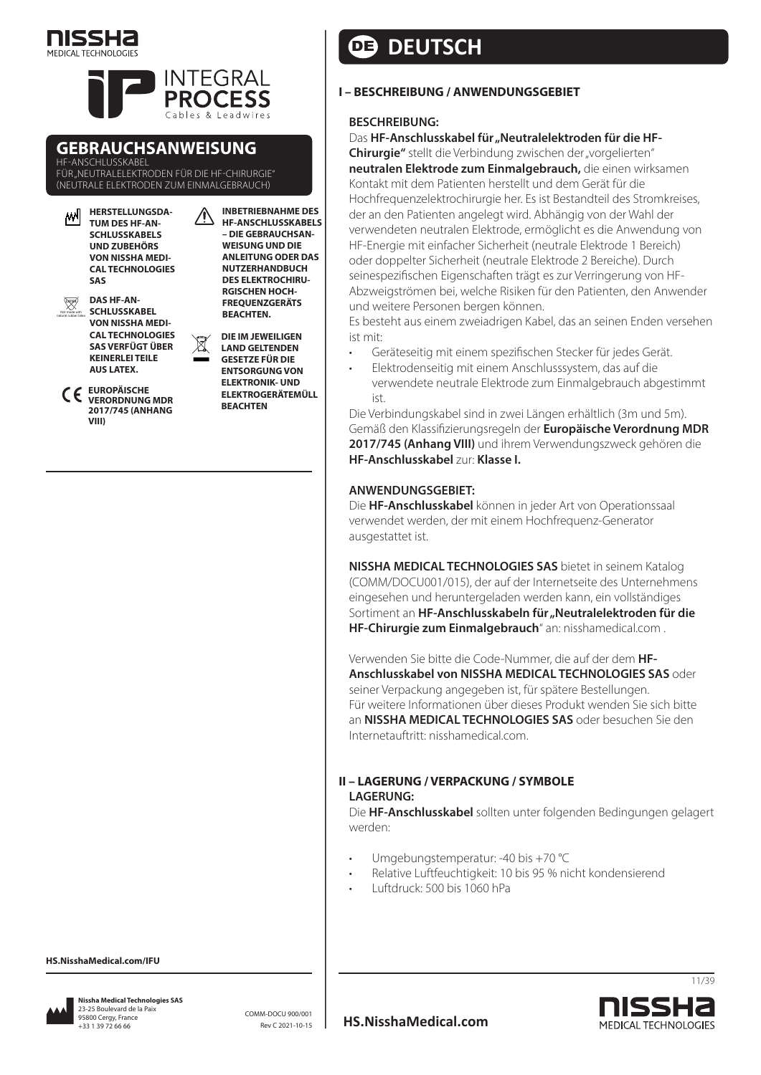



#### **GEBRAUCHSANWEISUNG** HF-ANSCHLUSSKABE

FÜR "NEUTRALELEKTRODEN FÜR DIE HF-CHIRURGIE" (NEUTRALE ELEKTRODEN ZUM EINMALGEBRAUCH)



**EUROPÄISCHE VERORDNUNG MDR 2017/745 (ANHANG VIII)**

**DIE IM JEWEILIGEN HF-ANSCHLUSSKABELS – DIE GEBRAUCHSAN-WEISUNG UND DIE ANLEITUNG ODER DAS NUTZERHANDBUCH DES ELEKTROCHIRU-RGISCHEN HOCH-FREQUENZGERÄTS BEACHTEN.**

**LAND GELTENDEN GESETZE FÜR DIE ENTSORGUNG VON ELEKTRONIK- UND ELEKTROGERÄTEMÜLL BEACHTEN**

# DE **DEUTSCH**

## **I – BESCHREIBUNG / ANWENDUNGSGEBIET**

#### **BESCHREIBUNG:**

## Das HF-Anschlusskabel für "Neutralelektroden für die HF-

**Chirurgie**" stellt die Verbindung zwischen der "vorgelierten" **neutralen Elektrode zum Einmalgebrauch,** die einen wirksamen Kontakt mit dem Patienten herstellt und dem Gerät für die Hochfrequenzelektrochirurgie her. Es ist Bestandteil des Stromkreises, der an den Patienten angelegt wird. Abhängig von der Wahl der verwendeten neutralen Elektrode, ermöglicht es die Anwendung von HF-Energie mit einfacher Sicherheit (neutrale Elektrode 1 Bereich) oder doppelter Sicherheit (neutrale Elektrode 2 Bereiche). Durch seinespezifischen Eigenschaften trägt es zur Verringerung von HF-Abzweigströmen bei, welche Risiken für den Patienten, den Anwender und weitere Personen bergen können.

Es besteht aus einem zweiadrigen Kabel, das an seinen Enden versehen ist mit:

- Geräteseitig mit einem spezifischen Stecker für jedes Gerät.
- Elektrodenseitig mit einem Anschlusssystem, das auf die verwendete neutrale Elektrode zum Einmalgebrauch abgestimmt ist.

Die Verbindungskabel sind in zwei Längen erhältlich (3m und 5m). Gemäß den Klassifizierungsregeln der **Europäische Verordnung MDR 2017/745 (Anhang VIII)** und ihrem Verwendungszweck gehören die **HF-Anschlusskabel** zur: **Klasse I.**

## **ANWENDUNGSGEBIET:**

Die **HF-Anschlusskabel** können in jeder Art von Operationssaal verwendet werden, der mit einem Hochfrequenz-Generator ausgestattet ist.

**NISSHA MEDICAL TECHNOLOGIES SAS** bietet in seinem Katalog (COMM/DOCU001/015), der auf der Internetseite des Unternehmens eingesehen und heruntergeladen werden kann, ein vollständiges Sortiment an HF-Anschlusskabeln für "Neutralelektroden für die **HF-Chirurgie zum Einmalgebrauch**" an: nisshamedical.com .

Verwenden Sie bitte die Code-Nummer, die auf der dem **HF-Anschlusskabel von NISSHA MEDICAL TECHNOLOGIES SAS** oder seiner Verpackung angegeben ist, für spätere Bestellungen. Für weitere Informationen über dieses Produkt wenden Sie sich bitte an **NISSHA MEDICAL TECHNOLOGIES SAS** oder besuchen Sie den Internetauftritt: nisshamedical.com.

## **II – LAGERUNG / VERPACKUNG / SYMBOLE LAGERUNG:**

Die **HF-Anschlusskabel** sollten unter folgenden Bedingungen gelagert werden:

- Umgebungstemperatur: -40 bis +70 °C
- Relative Luftfeuchtigkeit: 10 bis 95 % nicht kondensierend
- Luftdruck: 500 bis 1060 hPa





**Nissha Medical Technologies SAS** 23-25 Boulevard de la Paix 95800 Cergy, France +33 1 39 72 66 66

COMM-DOCU 900/001 Rev C 2021-10-15

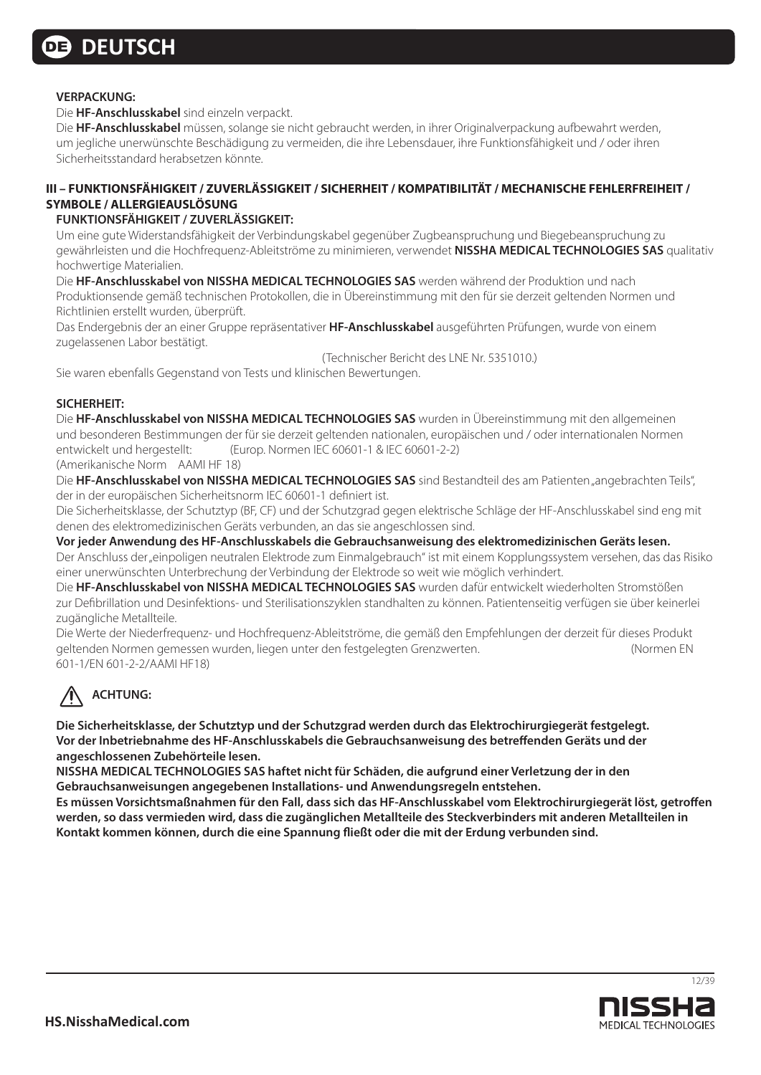#### **VERPACKUNG:**

Die **HF-Anschlusskabel** sind einzeln verpackt.

Die **HF-Anschlusskabel** müssen, solange sie nicht gebraucht werden, in ihrer Originalverpackung aufbewahrt werden, um jegliche unerwünschte Beschädigung zu vermeiden, die ihre Lebensdauer, ihre Funktionsfähigkeit und / oder ihren Sicherheitsstandard herabsetzen könnte.

## **III – FUNKTIONSFÄHIGKEIT / ZUVERLÄSSIGKEIT / SICHERHEIT / KOMPATIBILITÄT / MECHANISCHE FEHLERFREIHEIT / SYMBOLE / ALLERGIEAUSLÖSUNG**

#### **FUNKTIONSFÄHIGKEIT / ZUVERLÄSSIGKEIT:**

Um eine gute Widerstandsfähigkeit der Verbindungskabel gegenüber Zugbeanspruchung und Biegebeanspruchung zu gewährleisten und die Hochfrequenz-Ableitströme zu minimieren, verwendet **NISSHA MEDICAL TECHNOLOGIES SAS** qualitativ hochwertige Materialien.

Die **HF-Anschlusskabel von NISSHA MEDICAL TECHNOLOGIES SAS** werden während der Produktion und nach Produktionsende gemäß technischen Protokollen, die in Übereinstimmung mit den für sie derzeit geltenden Normen und Richtlinien erstellt wurden, überprüft.

Das Endergebnis der an einer Gruppe repräsentativer **HF-Anschlusskabel** ausgeführten Prüfungen, wurde von einem zugelassenen Labor bestätigt.

(Technischer Bericht des LNE Nr. 5351010.)

Sie waren ebenfalls Gegenstand von Tests und klinischen Bewertungen.

#### **SICHERHEIT:**

Die **HF-Anschlusskabel von NISSHA MEDICAL TECHNOLOGIES SAS** wurden in Übereinstimmung mit den allgemeinen und besonderen Bestimmungen der für sie derzeit geltenden nationalen, europäischen und / oder internationalen Normen entwickelt und hergestellt: (Europ. Normen IEC 60601-1 & IEC 60601-2-2)

(Amerikanische Norm AAMI HF 18)

Die **HF-Anschlusskabel von NISSHA MEDICAL TECHNOLOGIES SAS** sind Bestandteil des am Patienten "angebrachten Teils", der in der europäischen Sicherheitsnorm IEC 60601-1 definiert ist.

Die Sicherheitsklasse, der Schutztyp (BF, CF) und der Schutzgrad gegen elektrische Schläge der HF-Anschlusskabel sind eng mit denen des elektromedizinischen Geräts verbunden, an das sie angeschlossen sind.

**Vor jeder Anwendung des HF-Anschlusskabels die Gebrauchsanweisung des elektromedizinischen Geräts lesen.**  Der Anschluss der "einpoligen neutralen Elektrode zum Einmalgebrauch" ist mit einem Kopplungssystem versehen, das das Risiko einer unerwünschten Unterbrechung der Verbindung der Elektrode so weit wie möglich verhindert.

Die **HF-Anschlusskabel von NISSHA MEDICAL TECHNOLOGIES SAS** wurden dafür entwickelt wiederholten Stromstößen zur Defibrillation und Desinfektions- und Sterilisationszyklen standhalten zu können. Patientenseitig verfügen sie über keinerlei zugängliche Metallteile.

Die Werte der Niederfrequenz- und Hochfrequenz-Ableitströme, die gemäß den Empfehlungen der derzeit für dieses Produkt geltenden Normen gemessen wurden, liegen unter den festgelegten Grenzwerten. (Normen EN 601-1/EN 601-2-2/AAMI HF18)

## **ACHTUNG:**

**Die Sicherheitsklasse, der Schutztyp und der Schutzgrad werden durch das Elektrochirurgiegerät festgelegt. Vor der Inbetriebnahme des HF-Anschlusskabels die Gebrauchsanweisung des betreffenden Geräts und der angeschlossenen Zubehörteile lesen.**

**NISSHA MEDICAL TECHNOLOGIES SAS haftet nicht für Schäden, die aufgrund einer Verletzung der in den Gebrauchsanweisungen angegebenen Installations- und Anwendungsregeln entstehen.**

**Es müssen Vorsichtsmaßnahmen für den Fall, dass sich das HF-Anschlusskabel vom Elektrochirurgiegerät löst, getroffen werden, so dass vermieden wird, dass die zugänglichen Metallteile des Steckverbinders mit anderen Metallteilen in Kontakt kommen können, durch die eine Spannung fließt oder die mit der Erdung verbunden sind.** 

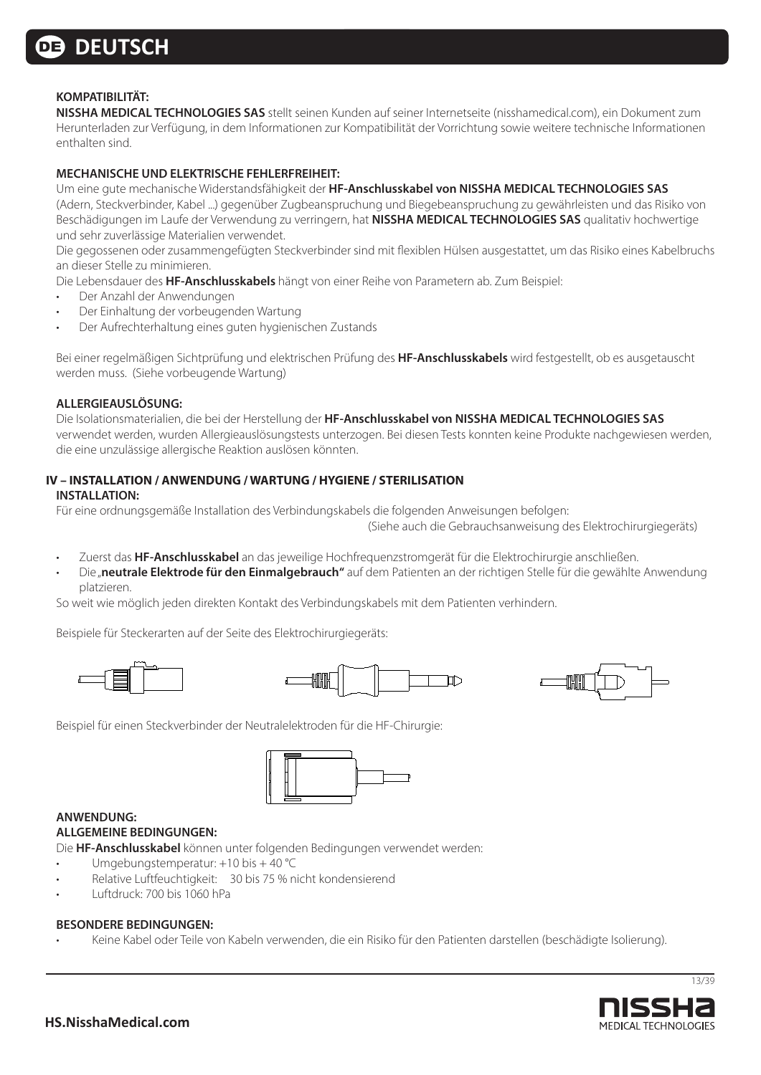### **KOMPATIBILITÄT:**

**NISSHA MEDICAL TECHNOLOGIES SAS** stellt seinen Kunden auf seiner Internetseite (nisshamedical.com), ein Dokument zum Herunterladen zur Verfügung, in dem Informationen zur Kompatibilität der Vorrichtung sowie weitere technische Informationen enthalten sind.

#### **MECHANISCHE UND ELEKTRISCHE FEHLERFREIHEIT:**

Um eine gute mechanische Widerstandsfähigkeit der **HF-Anschlusskabel von NISSHA MEDICAL TECHNOLOGIES SAS** (Adern, Steckverbinder, Kabel ...) gegenüber Zugbeanspruchung und Biegebeanspruchung zu gewährleisten und das Risiko von Beschädigungen im Laufe der Verwendung zu verringern, hat **NISSHA MEDICAL TECHNOLOGIES SAS** qualitativ hochwertige und sehr zuverlässige Materialien verwendet.

Die gegossenen oder zusammengefügten Steckverbinder sind mit flexiblen Hülsen ausgestattet, um das Risiko eines Kabelbruchs an dieser Stelle zu minimieren.

Die Lebensdauer des **HF-Anschlusskabels** hängt von einer Reihe von Parametern ab. Zum Beispiel:

- Der Anzahl der Anwendungen
- Der Einhaltung der vorbeugenden Wartung
- Der Aufrechterhaltung eines guten hygienischen Zustands

Bei einer regelmäßigen Sichtprüfung und elektrischen Prüfung des **HF-Anschlusskabels** wird festgestellt, ob es ausgetauscht werden muss. (Siehe vorbeugende Wartung)

#### **ALLERGIEAUSLÖSUNG:**

Die Isolationsmaterialien, die bei der Herstellung der **HF-Anschlusskabel von NISSHA MEDICAL TECHNOLOGIES SAS** verwendet werden, wurden Allergieauslösungstests unterzogen. Bei diesen Tests konnten keine Produkte nachgewiesen werden, die eine unzulässige allergische Reaktion auslösen könnten.

### **IV – INSTALLATION / ANWENDUNG / WARTUNG / HYGIENE / STERILISATION**

#### **INSTALLATION:**

Für eine ordnungsgemäße Installation des Verbindungskabels die folgenden Anweisungen befolgen:

(Siehe auch die Gebrauchsanweisung des Elektrochirurgiegeräts)

- Zuerst das **HF-Anschlusskabel** an das jeweilige Hochfrequenzstromgerät für die Elektrochirurgie anschließen.
- Die "**neutrale Elektrode für den Einmalgebrauch"** auf dem Patienten an der richtigen Stelle für die gewählte Anwendung platzieren.

So weit wie möglich jeden direkten Kontakt des Verbindungskabels mit dem Patienten verhindern.

Beispiele für Steckerarten auf der Seite des Elektrochirurgiegeräts:







Beispiel für einen Steckverbinder der Neutralelektroden für die HF-Chirurgie:



#### **ANWENDUNG:**

#### **ALLGEMEINE BEDINGUNGEN:**

Die **HF-Anschlusskabel** können unter folgenden Bedingungen verwendet werden:

- Umgebungstemperatur: +10 bis + 40 °C
- Relative Luftfeuchtigkeit: 30 bis 75 % nicht kondensierend
- Luftdruck: 700 bis 1060 hPa

#### **BESONDERE BEDINGUNGEN:**

• Keine Kabel oder Teile von Kabeln verwenden, die ein Risiko für den Patienten darstellen (beschädigte Isolierung).

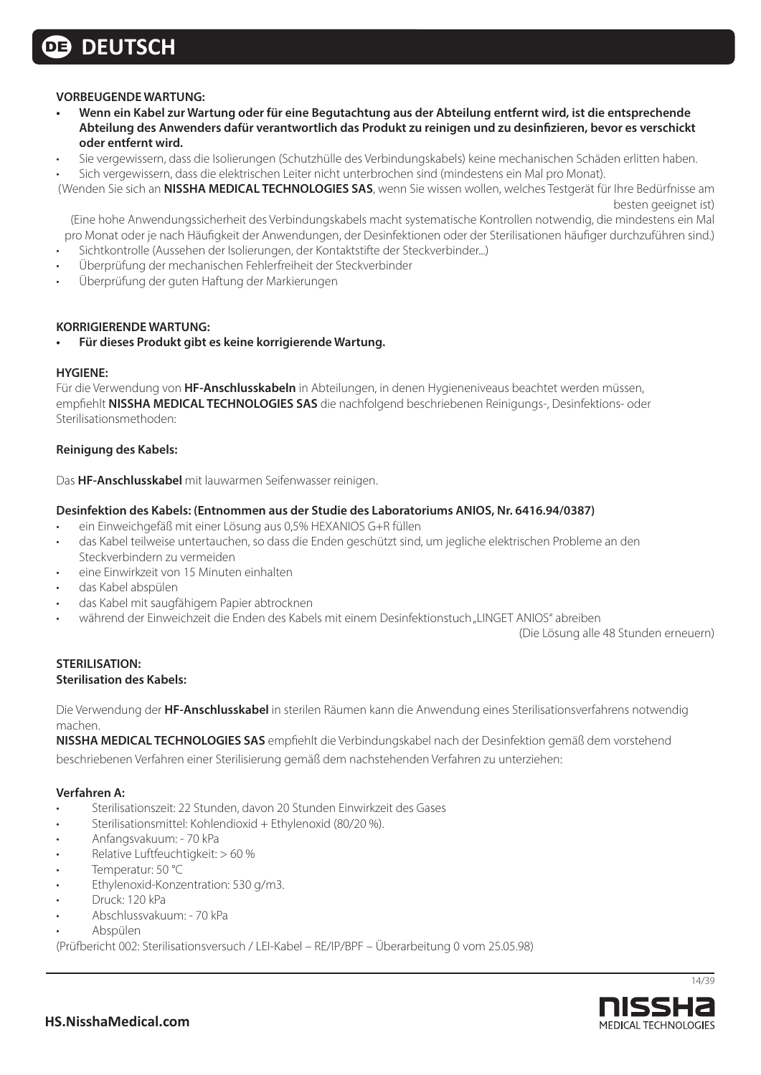### **VORBEUGENDE WARTUNG:**

- **• Wenn ein Kabel zur Wartung oder für eine Begutachtung aus der Abteilung entfernt wird, ist die entsprechende Abteilung des Anwenders dafür verantwortlich das Produkt zu reinigen und zu desinfizieren, bevor es verschickt oder entfernt wird.**
- Sie vergewissern, dass die Isolierungen (Schutzhülle des Verbindungskabels) keine mechanischen Schäden erlitten haben.

• Sich vergewissern, dass die elektrischen Leiter nicht unterbrochen sind (mindestens ein Mal pro Monat).

(Wenden Sie sich an **NISSHA MEDICAL TECHNOLOGIES SAS**, wenn Sie wissen wollen, welches Testgerät für Ihre Bedürfnisse am besten geeignet ist)

(Eine hohe Anwendungssicherheit des Verbindungskabels macht systematische Kontrollen notwendig, die mindestens ein Mal pro Monat oder je nach Häufigkeit der Anwendungen, der Desinfektionen oder der Sterilisationen häufiger durchzuführen sind.)

- Sichtkontrolle (Aussehen der Isolierungen, der Kontaktstifte der Steckverbinder...)
- Überprüfung der mechanischen Fehlerfreiheit der Steckverbinder
- Überprüfung der guten Haftung der Markierungen

### **KORRIGIERENDE WARTUNG:**

**• Für dieses Produkt gibt es keine korrigierende Wartung.**

#### **HYGIENE:**

Für die Verwendung von **HF-Anschlusskabeln** in Abteilungen, in denen Hygieneniveaus beachtet werden müssen, empfiehlt **NISSHA MEDICAL TECHNOLOGIES SAS** die nachfolgend beschriebenen Reinigungs-, Desinfektions- oder Sterilisationsmethoden:

#### **Reinigung des Kabels:**

Das **HF-Anschlusskabel** mit lauwarmen Seifenwasser reinigen.

#### **Desinfektion des Kabels: (Entnommen aus der Studie des Laboratoriums ANIOS, Nr. 6416.94/0387)**

- ein Einweichgefäß mit einer Lösung aus 0,5% HEXANIOS G+R füllen
- das Kabel teilweise untertauchen, so dass die Enden geschützt sind, um jegliche elektrischen Probleme an den Steckverbindern zu vermeiden
- eine Einwirkzeit von 15 Minuten einhalten
- das Kabel abspülen
- das Kabel mit saugfähigem Papier abtrocknen
- während der Einweichzeit die Enden des Kabels mit einem Desinfektionstuch "LINGET ANIOS" abreiben

(Die Lösung alle 48 Stunden erneuern)

#### **STERILISATION: Sterilisation des Kabels:**

Die Verwendung der **HF-Anschlusskabel** in sterilen Räumen kann die Anwendung eines Sterilisationsverfahrens notwendig machen.

**NISSHA MEDICAL TECHNOLOGIES SAS** empfiehlt die Verbindungskabel nach der Desinfektion gemäß dem vorstehend beschriebenen Verfahren einer Sterilisierung gemäß dem nachstehenden Verfahren zu unterziehen:

### **Verfahren A:**

- Sterilisationszeit: 22 Stunden, davon 20 Stunden Einwirkzeit des Gases
- Sterilisationsmittel: Kohlendioxid + Ethylenoxid (80/20 %).
- Anfangsvakuum: 70 kPa
- Relative Luftfeuchtigkeit: > 60 %
- Temperatur: 50 °C
- Ethylenoxid-Konzentration: 530 g/m3.
- Druck: 120 kPa
- Abschlussvakuum: 70 kPa
- Abspülen

(Prüfbericht 002: Sterilisationsversuch / LEI-Kabel – RE/IP/BPF – Überarbeitung 0 vom 25.05.98)

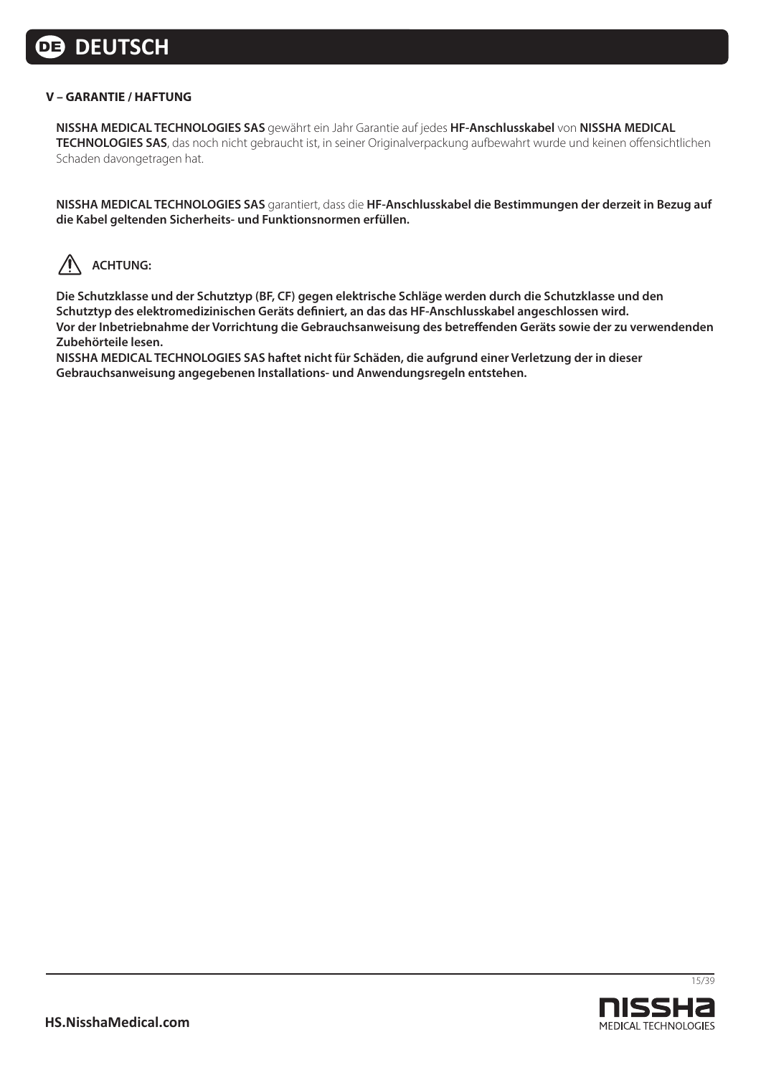## **V – GARANTIE / HAFTUNG**

**NISSHA MEDICAL TECHNOLOGIES SAS** gewährt ein Jahr Garantie auf jedes **HF-Anschlusskabel** von **NISSHA MEDICAL TECHNOLOGIES SAS**, das noch nicht gebraucht ist, in seiner Originalverpackung aufbewahrt wurde und keinen offensichtlichen Schaden davongetragen hat.

**NISSHA MEDICAL TECHNOLOGIES SAS** garantiert, dass die **HF-Anschlusskabel die Bestimmungen der derzeit in Bezug auf die Kabel geltenden Sicherheits- und Funktionsnormen erfüllen.** 



**Die Schutzklasse und der Schutztyp (BF, CF) gegen elektrische Schläge werden durch die Schutzklasse und den Schutztyp des elektromedizinischen Geräts definiert, an das das HF-Anschlusskabel angeschlossen wird. Vor der Inbetriebnahme der Vorrichtung die Gebrauchsanweisung des betreffenden Geräts sowie der zu verwendenden Zubehörteile lesen.**

**NISSHA MEDICAL TECHNOLOGIES SAS haftet nicht für Schäden, die aufgrund einer Verletzung der in dieser Gebrauchsanweisung angegebenen Installations- und Anwendungsregeln entstehen.**

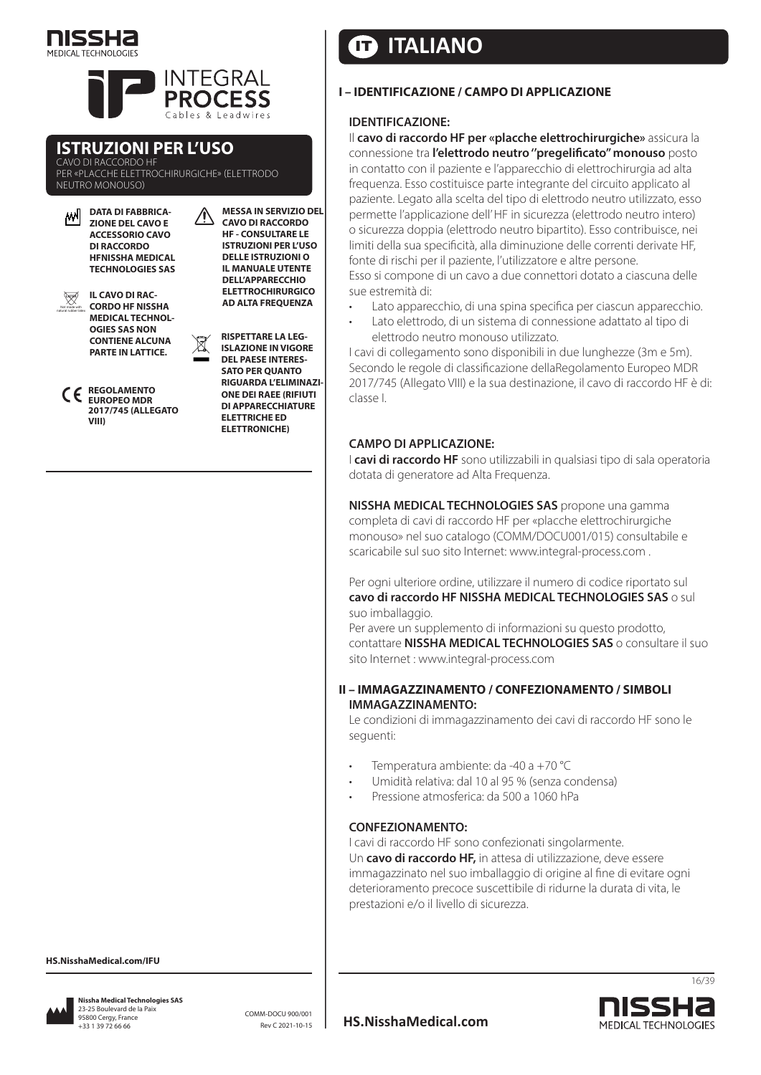



## **ISTRUZIONI PER L'USO**

CAVO DI RACCORDO HF PER «PLACCHE ELETTROCHIRURGICHE» (ELETTRODO NEUTRO MONOUSO)



#### **HS.NisshaMedical.com/IFU**



**Nissha Medical Technologies SAS** 23-25 Boulevard de la Paix 95800 Cergy, France +33 1 39 72 66 66

COMM-DOCU 900/001 Rev C 2021-10-15

## **ITALIANO**

#### **I – IDENTIFICAZIONE / CAMPO DI APPLICAZIONE**

#### **IDENTIFICAZIONE:**

Il **cavo di raccordo HF per «placche elettrochirurgiche»** assicura la connessione tra **l'elettrodo neutro ''pregelificato'' monouso** posto in contatto con il paziente e l'apparecchio di elettrochirurgia ad alta frequenza. Esso costituisce parte integrante del circuito applicato al paziente. Legato alla scelta del tipo di elettrodo neutro utilizzato, esso permette l'applicazione dell' HF in sicurezza (elettrodo neutro intero) o sicurezza doppia (elettrodo neutro bipartito). Esso contribuisce, nei limiti della sua specificità, alla diminuzione delle correnti derivate HF, fonte di rischi per il paziente, l'utilizzatore e altre persone. Esso si compone di un cavo a due connettori dotato a ciascuna delle sue estremità di:

- Lato apparecchio, di una spina specifica per ciascun apparecchio.
- Lato elettrodo, di un sistema di connessione adattato al tipo di elettrodo neutro monouso utilizzato.

I cavi di collegamento sono disponibili in due lunghezze (3m e 5m). Secondo le regole di classificazione dellaRegolamento Europeo MDR 2017/745 (Allegato VIII) e la sua destinazione, il cavo di raccordo HF è di: classe I.

#### **CAMPO DI APPLICAZIONE:**

I **cavi di raccordo HF** sono utilizzabili in qualsiasi tipo di sala operatoria dotata di generatore ad Alta Frequenza.

**NISSHA MEDICAL TECHNOLOGIES SAS** propone una gamma completa di cavi di raccordo HF per «placche elettrochirurgiche monouso» nel suo catalogo (COMM/DOCU001/015) consultabile e scaricabile sul suo sito Internet: www.integral-process.com .

Per ogni ulteriore ordine, utilizzare il numero di codice riportato sul **cavo di raccordo HF NISSHA MEDICAL TECHNOLOGIES SAS** o sul suo imballaggio.

Per avere un supplemento di informazioni su questo prodotto, contattare **NISSHA MEDICAL TECHNOLOGIES SAS** o consultare il suo sito Internet : www.integral-process.com

#### **II – IMMAGAZZINAMENTO / CONFEZIONAMENTO / SIMBOLI IMMAGAZZINAMENTO:**

Le condizioni di immagazzinamento dei cavi di raccordo HF sono le seguenti:

- Temperatura ambiente: da -40 a +70 °C
- Umidità relativa: dal 10 al 95 % (senza condensa)
- Pressione atmosferica: da 500 a 1060 hPa

#### **CONFEZIONAMENTO:**

I cavi di raccordo HF sono confezionati singolarmente. Un **cavo di raccordo HF,** in attesa di utilizzazione, deve essere immagazzinato nel suo imballaggio di origine al fine di evitare ogni deterioramento precoce suscettibile di ridurne la durata di vita, le prestazioni e/o il livello di sicurezza.



**HS.NisshaMedical.com**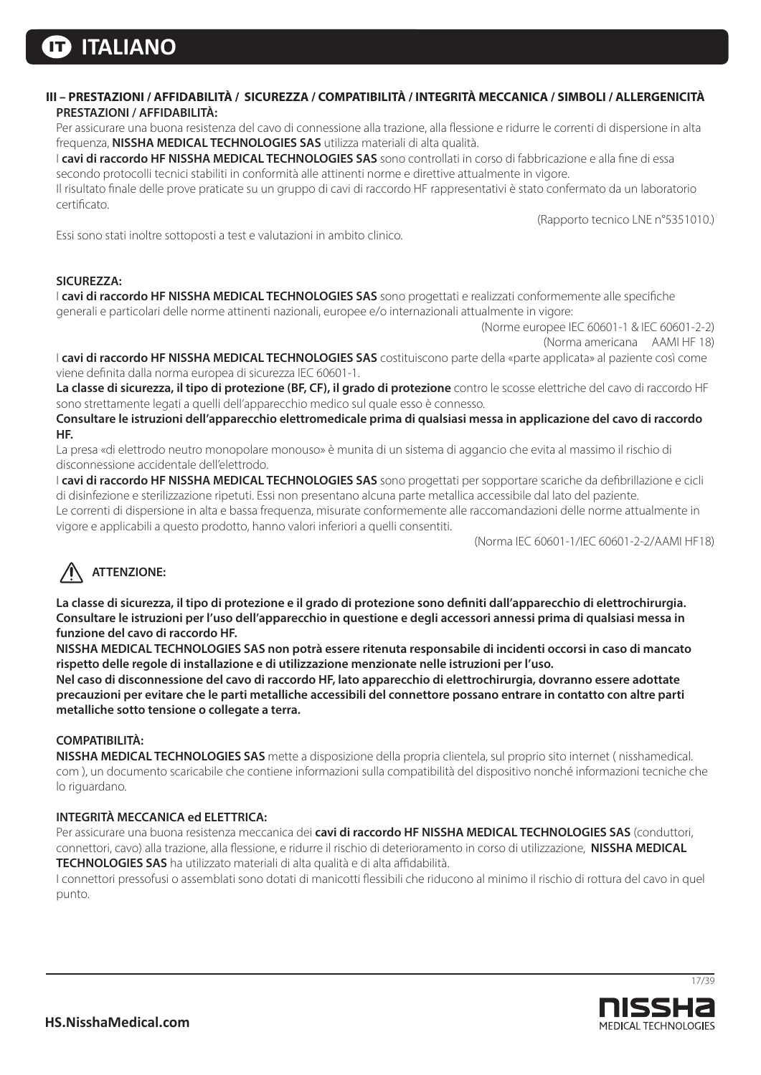## **III – PRESTAZIONI / AFFIDABILITÀ / SICUREZZA / COMPATIBILITÀ / INTEGRITÀ MECCANICA / SIMBOLI / ALLERGENICITÀ PRESTAZIONI / AFFIDABILITÀ:**

Per assicurare una buona resistenza del cavo di connessione alla trazione, alla flessione e ridurre le correnti di dispersione in alta frequenza, **NISSHA MEDICAL TECHNOLOGIES SAS** utilizza materiali di alta qualità.

I **cavi di raccordo HF NISSHA MEDICAL TECHNOLOGIES SAS** sono controllati in corso di fabbricazione e alla fine di essa secondo protocolli tecnici stabiliti in conformità alle attinenti norme e direttive attualmente in vigore.

Il risultato finale delle prove praticate su un gruppo di cavi di raccordo HF rappresentativi è stato confermato da un laboratorio certificato.

(Rapporto tecnico LNE n°5351010.)

Essi sono stati inoltre sottoposti a test e valutazioni in ambito clinico.

### **SICUREZZA:**

I **cavi di raccordo HF NISSHA MEDICAL TECHNOLOGIES SAS** sono progettati e realizzati conformemente alle specifiche generali e particolari delle norme attinenti nazionali, europee e/o internazionali attualmente in vigore:

(Norme europee IEC 60601-1 & IEC 60601-2-2)

(Norma americana AAMI HF 18)

I **cavi di raccordo HF NISSHA MEDICAL TECHNOLOGIES SAS** costituiscono parte della «parte applicata» al paziente così come viene definita dalla norma europea di sicurezza IEC 60601-1.

**La classe di sicurezza, il tipo di protezione (BF, CF), il grado di protezione** contro le scosse elettriche del cavo di raccordo HF sono strettamente legati a quelli dell'apparecchio medico sul quale esso è connesso.

**Consultare le istruzioni dell'apparecchio elettromedicale prima di qualsiasi messa in applicazione del cavo di raccordo HF.**

La presa «di elettrodo neutro monopolare monouso» è munita di un sistema di aggancio che evita al massimo il rischio di disconnessione accidentale dell'elettrodo.

I **cavi di raccordo HF NISSHA MEDICAL TECHNOLOGIES SAS** sono progettati per sopportare scariche da defibrillazione e cicli di disinfezione e sterilizzazione ripetuti. Essi non presentano alcuna parte metallica accessibile dal lato del paziente. Le correnti di dispersione in alta e bassa frequenza, misurate conformemente alle raccomandazioni delle norme attualmente in vigore e applicabili a questo prodotto, hanno valori inferiori a quelli consentiti.

(Norma IEC 60601-1/IEC 60601-2-2/AAMI HF18)

## **ATTENZIONE:**

**La classe di sicurezza, il tipo di protezione e il grado di protezione sono definiti dall'apparecchio di elettrochirurgia. Consultare le istruzioni per l'uso dell'apparecchio in questione e degli accessori annessi prima di qualsiasi messa in funzione del cavo di raccordo HF.**

**NISSHA MEDICAL TECHNOLOGIES SAS non potrà essere ritenuta responsabile di incidenti occorsi in caso di mancato rispetto delle regole di installazione e di utilizzazione menzionate nelle istruzioni per l'uso.**

**Nel caso di disconnessione del cavo di raccordo HF, lato apparecchio di elettrochirurgia, dovranno essere adottate precauzioni per evitare che le parti metalliche accessibili del connettore possano entrare in contatto con altre parti metalliche sotto tensione o collegate a terra.**

### **COMPATIBILITÀ:**

**NISSHA MEDICAL TECHNOLOGIES SAS** mette a disposizione della propria clientela, sul proprio sito internet ( nisshamedical. com ), un documento scaricabile che contiene informazioni sulla compatibilità del dispositivo nonché informazioni tecniche che lo riguardano.

### **INTEGRITÀ MECCANICA ed ELETTRICA:**

Per assicurare una buona resistenza meccanica dei **cavi di raccordo HF NISSHA MEDICAL TECHNOLOGIES SAS** (conduttori, connettori, cavo) alla trazione, alla flessione, e ridurre il rischio di deterioramento in corso di utilizzazione, **NISSHA MEDICAL TECHNOLOGIES SAS** ha utilizzato materiali di alta qualità e di alta affidabilità.

I connettori pressofusi o assemblati sono dotati di manicotti flessibili che riducono al minimo il rischio di rottura del cavo in quel punto.

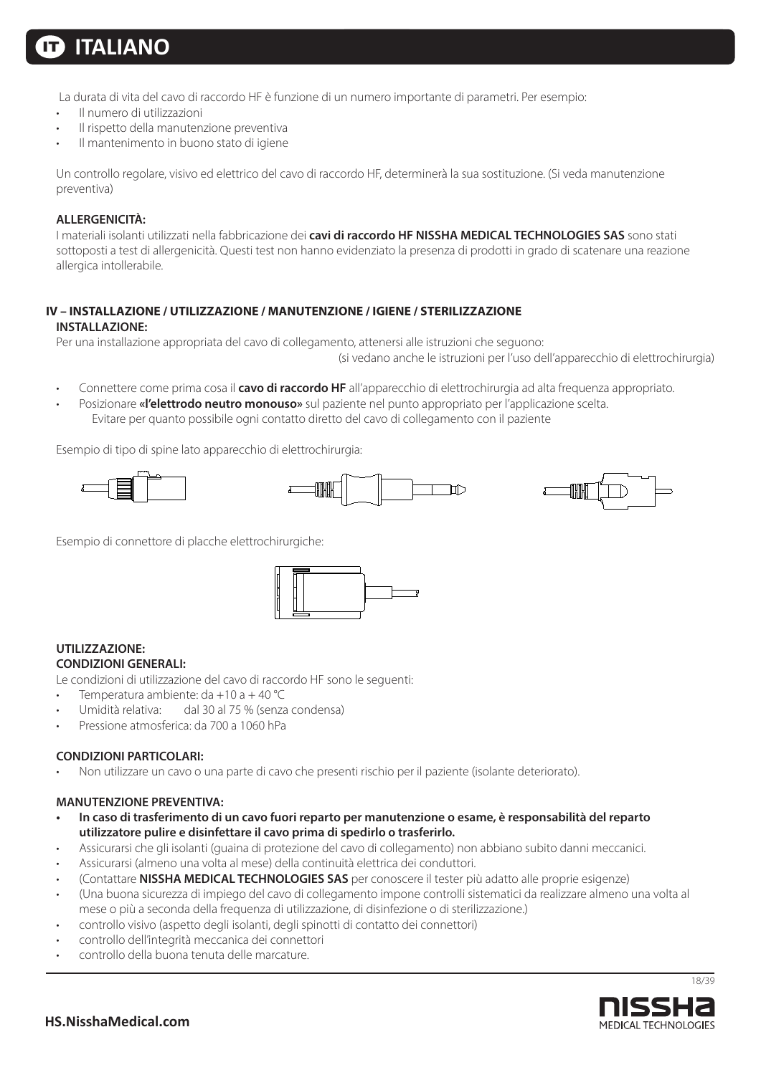## $\mathbf{D}$  **ITALIANO**

La durata di vita del cavo di raccordo HF è funzione di un numero importante di parametri. Per esempio:

- Il numero di utilizzazioni
- Il rispetto della manutenzione preventiva
- Il mantenimento in buono stato di igiene

Un controllo regolare, visivo ed elettrico del cavo di raccordo HF, determinerà la sua sostituzione. (Si veda manutenzione preventiva)

#### **ALLERGENICITÀ:**

I materiali isolanti utilizzati nella fabbricazione dei **cavi di raccordo HF NISSHA MEDICAL TECHNOLOGIES SAS** sono stati sottoposti a test di allergenicità. Questi test non hanno evidenziato la presenza di prodotti in grado di scatenare una reazione allergica intollerabile.

## **IV – INSTALLAZIONE / UTILIZZAZIONE / MANUTENZIONE / IGIENE / STERILIZZAZIONE INSTALLAZIONE:**

Per una installazione appropriata del cavo di collegamento, attenersi alle istruzioni che seguono:

(si vedano anche le istruzioni per l'uso dell'apparecchio di elettrochirurgia)

- Connettere come prima cosa il **cavo di raccordo HF** all'apparecchio di elettrochirurgia ad alta frequenza appropriato.
- Posizionare **«l'elettrodo neutro monouso»** sul paziente nel punto appropriato per l'applicazione scelta. Evitare per quanto possibile ogni contatto diretto del cavo di collegamento con il paziente

Esempio di tipo di spine lato apparecchio di elettrochirurgia:



Esempio di connettore di placche elettrochirurgiche:



### **UTILIZZAZIONE: CONDIZIONI GENERALI:**

Le condizioni di utilizzazione del cavo di raccordo HF sono le seguenti:

- Temperatura ambiente: da +10 a +40 °C
- Umidità relativa: dal 30 al 75 % (senza condensa)
- Pressione atmosferica: da 700 a 1060 hPa

### **CONDIZIONI PARTICOLARI:**

• Non utilizzare un cavo o una parte di cavo che presenti rischio per il paziente (isolante deteriorato).

### **MANUTENZIONE PREVENTIVA:**

- **• In caso di trasferimento di un cavo fuori reparto per manutenzione o esame, è responsabilità del reparto utilizzatore pulire e disinfettare il cavo prima di spedirlo o trasferirlo.**
- Assicurarsi che gli isolanti (guaina di protezione del cavo di collegamento) non abbiano subito danni meccanici.
- Assicurarsi (almeno una volta al mese) della continuità elettrica dei conduttori.
- (Contattare **NISSHA MEDICAL TECHNOLOGIES SAS** per conoscere il tester più adatto alle proprie esigenze)
- (Una buona sicurezza di impiego del cavo di collegamento impone controlli sistematici da realizzare almeno una volta al mese o più a seconda della frequenza di utilizzazione, di disinfezione o di sterilizzazione.)
- controllo visivo (aspetto degli isolanti, degli spinotti di contatto dei connettori)
- controllo dell'integrità meccanica dei connettori
- controllo della buona tenuta delle marcature.

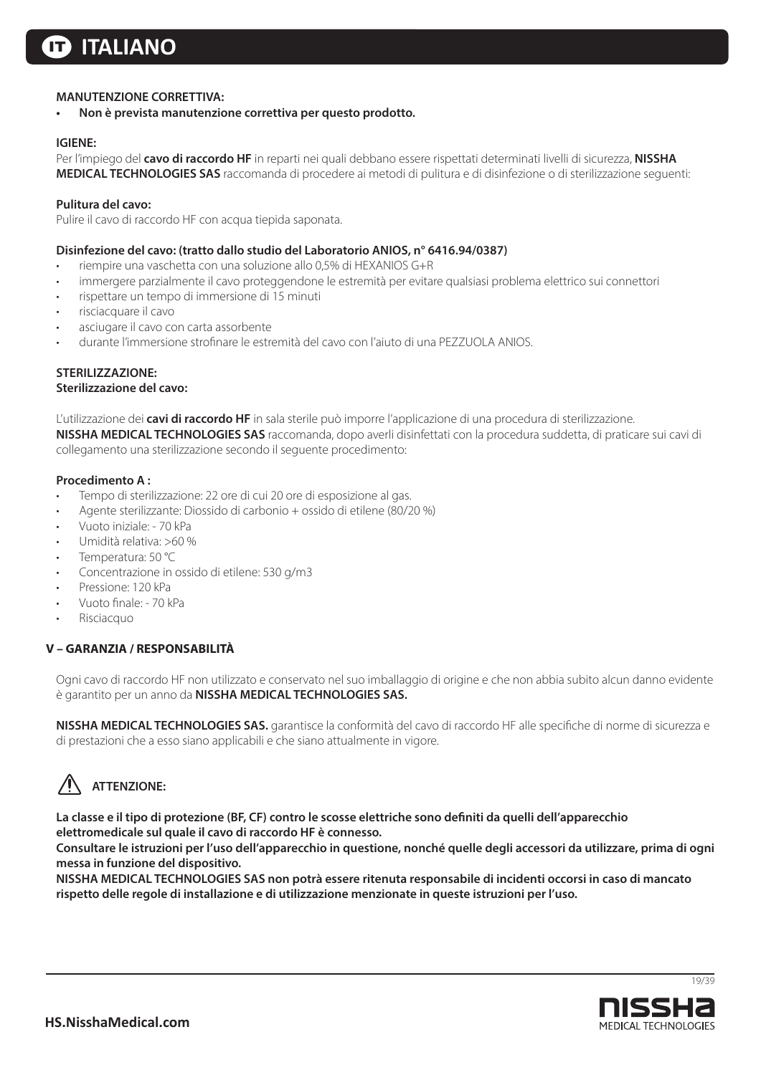#### **MANUTENZIONE CORRETTIVA:**

**• Non è prevista manutenzione correttiva per questo prodotto.**

#### **IGIENE:**

Per l'impiego del **cavo di raccordo HF** in reparti nei quali debbano essere rispettati determinati livelli di sicurezza, **NISSHA MEDICAL TECHNOLOGIES SAS** raccomanda di procedere ai metodi di pulitura e di disinfezione o di sterilizzazione seguenti:

#### **Pulitura del cavo:**

Pulire il cavo di raccordo HF con acqua tiepida saponata.

#### **Disinfezione del cavo: (tratto dallo studio del Laboratorio ANIOS, n° 6416.94/0387)**

- riempire una vaschetta con una soluzione allo 0,5% di HEXANIOS G+R
- immergere parzialmente il cavo proteggendone le estremità per evitare qualsiasi problema elettrico sui connettori
- rispettare un tempo di immersione di 15 minuti
- risciacquare il cavo
- asciugare il cavo con carta assorbente
- durante l'immersione strofinare le estremità del cavo con l'aiuto di una PEZZUOLA ANIOS.

#### **STERILIZZAZIONE:**

#### **Sterilizzazione del cavo:**

L'utilizzazione dei **cavi di raccordo HF** in sala sterile può imporre l'applicazione di una procedura di sterilizzazione. **NISSHA MEDICAL TECHNOLOGIES SAS** raccomanda, dopo averli disinfettati con la procedura suddetta, di praticare sui cavi di collegamento una sterilizzazione secondo il seguente procedimento:

#### **Procedimento A :**

- Tempo di sterilizzazione: 22 ore di cui 20 ore di esposizione al gas.
- Agente sterilizzante: Diossido di carbonio + ossido di etilene (80/20 %)
- Vuoto iniziale: 70 kPa
- Umidità relativa: >60 %
- Temperatura: 50 °C
- Concentrazione in ossido di etilene: 530 g/m3
- Pressione: 120 kPa
- Vuoto finale: 70 kPa
- Risciacquo

### **V – GARANZIA / RESPONSABILITÀ**

Ogni cavo di raccordo HF non utilizzato e conservato nel suo imballaggio di origine e che non abbia subito alcun danno evidente è garantito per un anno da **NISSHA MEDICAL TECHNOLOGIES SAS.**

**NISSHA MEDICAL TECHNOLOGIES SAS.** garantisce la conformità del cavo di raccordo HF alle specifiche di norme di sicurezza e di prestazioni che a esso siano applicabili e che siano attualmente in vigore.

## **ATTENZIONE:**

**La classe e il tipo di protezione (BF, CF) contro le scosse elettriche sono definiti da quelli dell'apparecchio elettromedicale sul quale il cavo di raccordo HF è connesso.**

**Consultare le istruzioni per l'uso dell'apparecchio in questione, nonché quelle degli accessori da utilizzare, prima di ogni messa in funzione del dispositivo.**

**NISSHA MEDICAL TECHNOLOGIES SAS non potrà essere ritenuta responsabile di incidenti occorsi in caso di mancato rispetto delle regole di installazione e di utilizzazione menzionate in queste istruzioni per l'uso.**

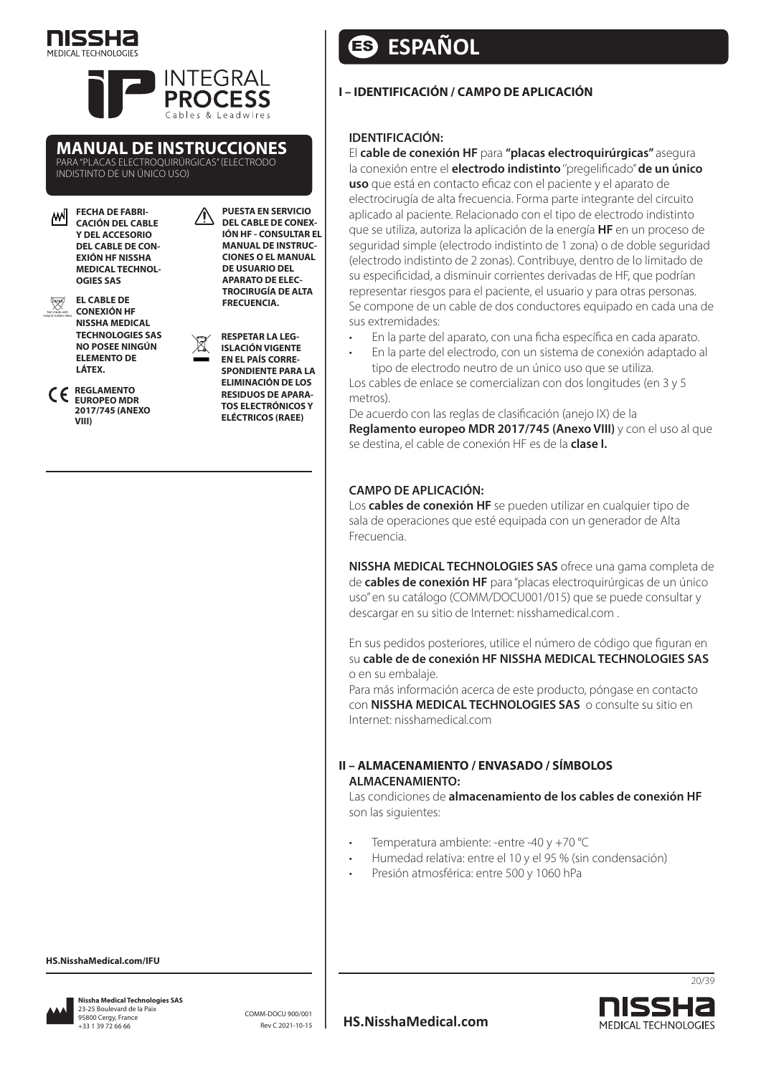



## **MANUAL DE INSTRUCCIONES**

PARA "PLACAS ELECTROQUIRÚRGICAS" (ELECTRODO INDISTINTO DE UN ÚNICO USO)



**TECHNOLOGIES SAS NO POSEE NINGÚN ELEMENTO DE LÁTEX. REGLAMENTO EUROPEO MDR 2017/745 (ANEXO** 

**VIII)**

**PUESTA EN SERVICIO DEL CABLE DE CONEX-IÓN HF - CONSULTAR EL MANUAL DE INSTRUC-CIONES O EL MANUAL DE USUARIO DEL APARATO DE ELEC-TROCIRUGÍA DE ALTA FRECUENCIA.**



# ES **ESPAÑOL**

## **I – IDENTIFICACIÓN / CAMPO DE APLICACIÓN**

## **IDENTIFICACIÓN:**

#### El **cable de conexión HF** para **"placas electroquirúrgicas"** asegura la conexión entre el **electrodo indistinto** ''pregelificado" **de un único**

**uso** que está en contacto eficaz con el paciente y el aparato de electrocirugía de alta frecuencia. Forma parte integrante del circuito aplicado al paciente. Relacionado con el tipo de electrodo indistinto que se utiliza, autoriza la aplicación de la energía **HF** en un proceso de seguridad simple (electrodo indistinto de 1 zona) o de doble seguridad (electrodo indistinto de 2 zonas). Contribuye, dentro de lo limitado de su especificidad, a disminuir corrientes derivadas de HF, que podrían representar riesgos para el paciente, el usuario y para otras personas. Se compone de un cable de dos conductores equipado en cada una de sus extremidades:

- En la parte del aparato, con una ficha específica en cada aparato.
- En la parte del electrodo, con un sistema de conexión adaptado al tipo de electrodo neutro de un único uso que se utiliza.

Los cables de enlace se comercializan con dos longitudes (en 3 y 5 metros).

De acuerdo con las reglas de clasificación (anejo IX) de la **Reglamento europeo MDR 2017/745 (Anexo VIII)** y con el uso al que se destina, el cable de conexión HF es de la **clase I.**

## **CAMPO DE APLICACIÓN:**

Los **cables de conexión HF** se pueden utilizar en cualquier tipo de sala de operaciones que esté equipada con un generador de Alta Frecuencia.

**NISSHA MEDICAL TECHNOLOGIES SAS** ofrece una gama completa de de **cables de conexión HF** para "placas electroquirúrgicas de un único uso" en su catálogo (COMM/DOCU001/015) que se puede consultar y descargar en su sitio de Internet: nisshamedical.com .

En sus pedidos posteriores, utilice el número de código que figuran en su **cable de de conexión HF NISSHA MEDICAL TECHNOLOGIES SAS** o en su embalaje.

Para más información acerca de este producto, póngase en contacto con **NISSHA MEDICAL TECHNOLOGIES SAS** o consulte su sitio en Internet: nisshamedical.com

### **II – ALMACENAMIENTO / ENVASADO / SÍMBOLOS ALMACENAMIENTO:**

Las condiciones de **almacenamiento de los cables de conexión HF** son las siguientes:

- Temperatura ambiente: -entre -40 y +70 °C
- Humedad relativa: entre el 10 y el 95 % (sin condensación)
- Presión atmosférica: entre 500 y 1060 hPa





**Nissha Medical Technologies SAS** 23-25 Boulevard de la Paix 95800 Cergy, France +33 1 39 72 66 66

COMM-DOCU 900/001 Rev C 2021-10-15

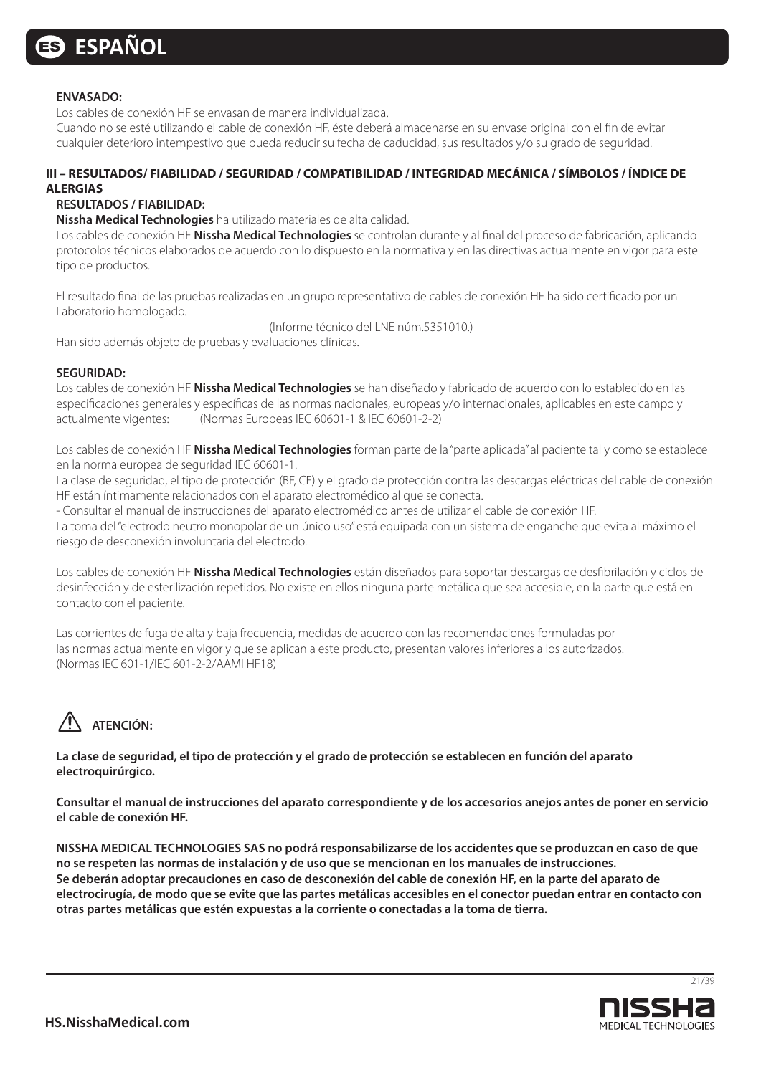

#### **ENVASADO:**

Los cables de conexión HF se envasan de manera individualizada.

Cuando no se esté utilizando el cable de conexión HF, éste deberá almacenarse en su envase original con el fin de evitar cualquier deterioro intempestivo que pueda reducir su fecha de caducidad, sus resultados y/o su grado de seguridad.

### **III – RESULTADOS/ FIABILIDAD / SEGURIDAD / COMPATIBILIDAD / INTEGRIDAD MECÁNICA / SÍMBOLOS / ÍNDICE DE ALERGIAS**

### **RESULTADOS / FIABILIDAD:**

**Nissha Medical Technologies** ha utilizado materiales de alta calidad.

Los cables de conexión HF **Nissha Medical Technologies** se controlan durante y al final del proceso de fabricación, aplicando protocolos técnicos elaborados de acuerdo con lo dispuesto en la normativa y en las directivas actualmente en vigor para este tipo de productos.

El resultado final de las pruebas realizadas en un grupo representativo de cables de conexión HF ha sido certificado por un Laboratorio homologado.

(Informe técnico del LNE núm.5351010.)

Han sido además objeto de pruebas y evaluaciones clínicas.

#### **SEGURIDAD:**

Los cables de conexión HF **Nissha Medical Technologies** se han diseñado y fabricado de acuerdo con lo establecido en las especificaciones generales y específicas de las normas nacionales, europeas y/o internacionales, aplicables en este campo y actualmente vigentes: (Normas Europeas IEC 60601-1 & IEC 60601-2-2)

Los cables de conexión HF **Nissha Medical Technologies** forman parte de la "parte aplicada" al paciente tal y como se establece en la norma europea de seguridad IEC 60601-1.

La clase de seguridad, el tipo de protección (BF, CF) y el grado de protección contra las descargas eléctricas del cable de conexión HF están íntimamente relacionados con el aparato electromédico al que se conecta.

- Consultar el manual de instrucciones del aparato electromédico antes de utilizar el cable de conexión HF.

La toma del "electrodo neutro monopolar de un único uso" está equipada con un sistema de enganche que evita al máximo el riesgo de desconexión involuntaria del electrodo.

Los cables de conexión HF **Nissha Medical Technologies** están diseñados para soportar descargas de desfibrilación y ciclos de desinfección y de esterilización repetidos. No existe en ellos ninguna parte metálica que sea accesible, en la parte que está en contacto con el paciente.

Las corrientes de fuga de alta y baja frecuencia, medidas de acuerdo con las recomendaciones formuladas por las normas actualmente en vigor y que se aplican a este producto, presentan valores inferiores a los autorizados. (Normas IEC 601-1/IEC 601-2-2/AAMI HF18)

## **ATENCIÓN:**

**La clase de seguridad, el tipo de protección y el grado de protección se establecen en función del aparato electroquirúrgico.**

**Consultar el manual de instrucciones del aparato correspondiente y de los accesorios anejos antes de poner en servicio el cable de conexión HF.**

**NISSHA MEDICAL TECHNOLOGIES SAS no podrá responsabilizarse de los accidentes que se produzcan en caso de que no se respeten las normas de instalación y de uso que se mencionan en los manuales de instrucciones. Se deberán adoptar precauciones en caso de desconexión del cable de conexión HF, en la parte del aparato de electrocirugía, de modo que se evite que las partes metálicas accesibles en el conector puedan entrar en contacto con otras partes metálicas que estén expuestas a la corriente o conectadas a la toma de tierra.**

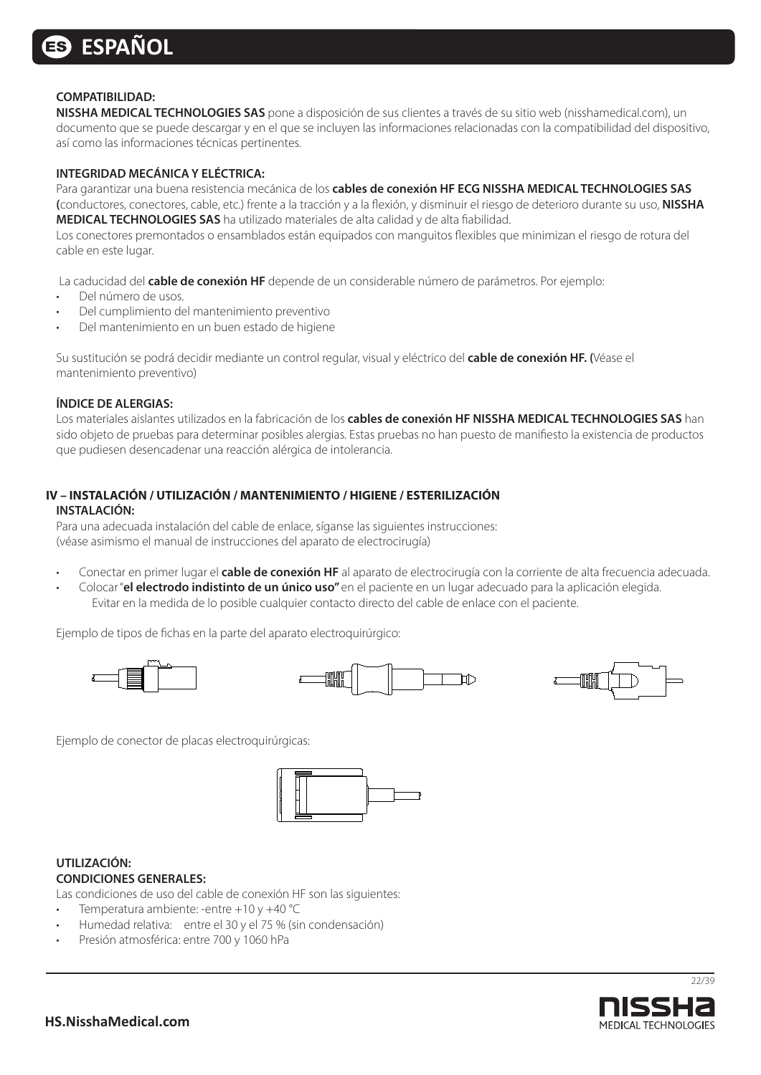## EN **ENGLISH** ES **ESPAÑOL**

#### **COMPATIBILIDAD:**

**NISSHA MEDICAL TECHNOLOGIES SAS** pone a disposición de sus clientes a través de su sitio web (nisshamedical.com), un documento que se puede descargar y en el que se incluyen las informaciones relacionadas con la compatibilidad del dispositivo, así como las informaciones técnicas pertinentes.

#### **INTEGRIDAD MECÁNICA Y ELÉCTRICA:**

Para garantizar una buena resistencia mecánica de los **cables de conexión HF ECG NISSHA MEDICAL TECHNOLOGIES SAS (**conductores, conectores, cable, etc.) frente a la tracción y a la flexión, y disminuir el riesgo de deterioro durante su uso, **NISSHA MEDICAL TECHNOLOGIES SAS** ha utilizado materiales de alta calidad y de alta fiabilidad.

Los conectores premontados o ensamblados están equipados con manguitos flexibles que minimizan el riesgo de rotura del cable en este lugar.

La caducidad del **cable de conexión HF** depende de un considerable número de parámetros. Por ejemplo:

- Del número de usos.
- Del cumplimiento del mantenimiento preventivo
- Del mantenimiento en un buen estado de higiene

Su sustitución se podrá decidir mediante un control regular, visual y eléctrico del **cable de conexión HF. (**Véase el mantenimiento preventivo)

#### **ÍNDICE DE ALERGIAS:**

Los materiales aislantes utilizados en la fabricación de los **cables de conexión HF NISSHA MEDICAL TECHNOLOGIES SAS** han sido objeto de pruebas para determinar posibles alergias. Estas pruebas no han puesto de manifiesto la existencia de productos que pudiesen desencadenar una reacción alérgica de intolerancia.

#### **IV – INSTALACIÓN / UTILIZACIÓN / MANTENIMIENTO / HIGIENE / ESTERILIZACIÓN INSTALACIÓN:**

Para una adecuada instalación del cable de enlace, síganse las siguientes instrucciones: (véase asimismo el manual de instrucciones del aparato de electrocirugía)

- Conectar en primer lugar el **cable de conexión HF** al aparato de electrocirugía con la corriente de alta frecuencia adecuada.
- Colocar "**el electrodo indistinto de un único uso"** en el paciente en un lugar adecuado para la aplicación elegida. Evitar en la medida de lo posible cualquier contacto directo del cable de enlace con el paciente.

Ejemplo de tipos de fichas en la parte del aparato electroquirúrgico:





Ejemplo de conector de placas electroquirúrgicas:



#### **UTILIZACIÓN: CONDICIONES GENERALES:**

Las condiciones de uso del cable de conexión HF son las siguientes:

- Temperatura ambiente: -entre +10 y +40 °C
- Humedad relativa: entre el 30 y el 75 % (sin condensación)
- Presión atmosférica: entre 700 y 1060 hPa

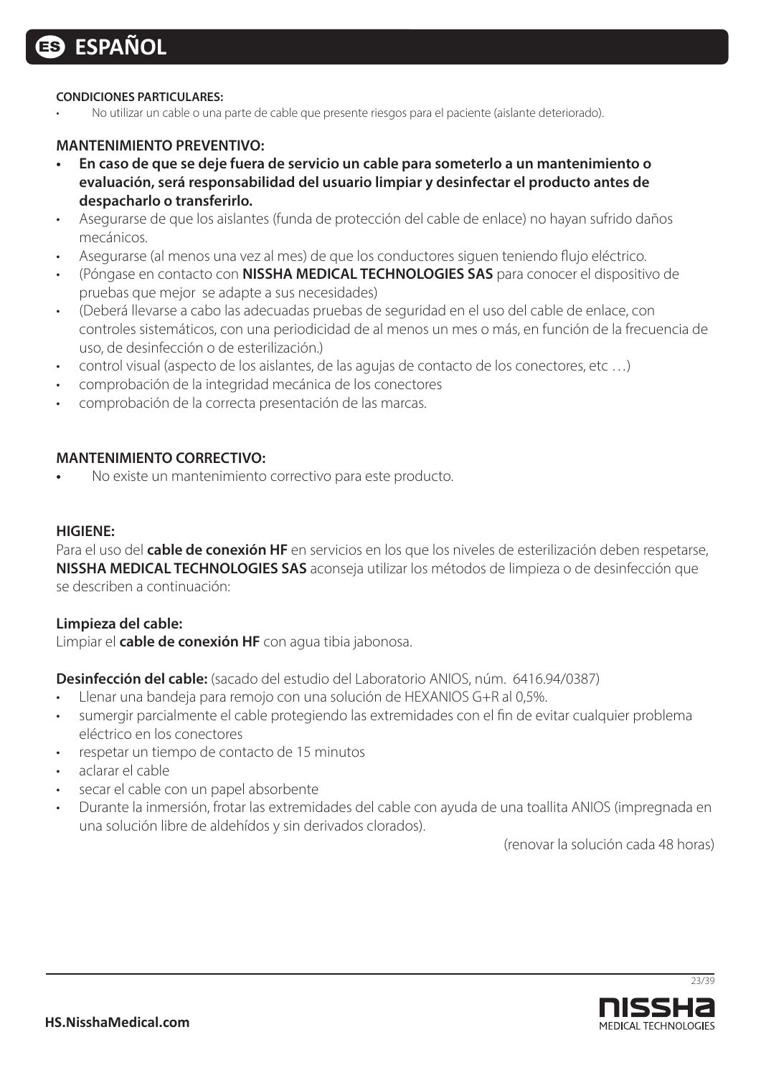## **CONDICIONES PARTICULARES:**

• No utilizar un cable o una parte de cable que presente riesgos para el paciente (aislante deteriorado).

## **MANTENIMIENTO PREVENTIVO:**

- **• En caso de que se deje fuera de servicio un cable para someterlo a un mantenimiento o evaluación, será responsabilidad del usuario limpiar y desinfectar el producto antes de despacharlo o transferirlo.**
- Asegurarse de que los aislantes (funda de protección del cable de enlace) no hayan sufrido daños mecánicos.
- Asegurarse (al menos una vez al mes) de que los conductores siguen teniendo flujo eléctrico.
- (Póngase en contacto con **NISSHA MEDICAL TECHNOLOGIES SAS** para conocer el dispositivo de pruebas que mejor se adapte a sus necesidades)
- (Deberá llevarse a cabo las adecuadas pruebas de seguridad en el uso del cable de enlace, con controles sistemáticos, con una periodicidad de al menos un mes o más, en función de la frecuencia de uso, de desinfección o de esterilización.)
- control visual (aspecto de los aislantes, de las agujas de contacto de los conectores, etc …)
- comprobación de la integridad mecánica de los conectores
- comprobación de la correcta presentación de las marcas.

## **MANTENIMIENTO CORRECTIVO:**

**•** No existe un mantenimiento correctivo para este producto.

## **HIGIENE:**

Para el uso del **cable de conexión HF** en servicios en los que los niveles de esterilización deben respetarse, **NISSHA MEDICAL TECHNOLOGIES SAS** aconseja utilizar los métodos de limpieza o de desinfección que se describen a continuación:

## **Limpieza del cable:**

Limpiar el **cable de conexión HF** con agua tibia jabonosa.

**Desinfección del cable:** (sacado del estudio del Laboratorio ANIOS, núm. 6416.94/0387)

- Llenar una bandeja para remojo con una solución de HEXANIOS G+R al 0,5%.
- sumergir parcialmente el cable protegiendo las extremidades con el fin de evitar cualquier problema eléctrico en los conectores
- respetar un tiempo de contacto de 15 minutos
- aclarar el cable
- secar el cable con un papel absorbente
- Durante la inmersión, frotar las extremidades del cable con ayuda de una toallita ANIOS (impregnada en una solución libre de aldehídos y sin derivados clorados).

(renovar la solución cada 48 horas)

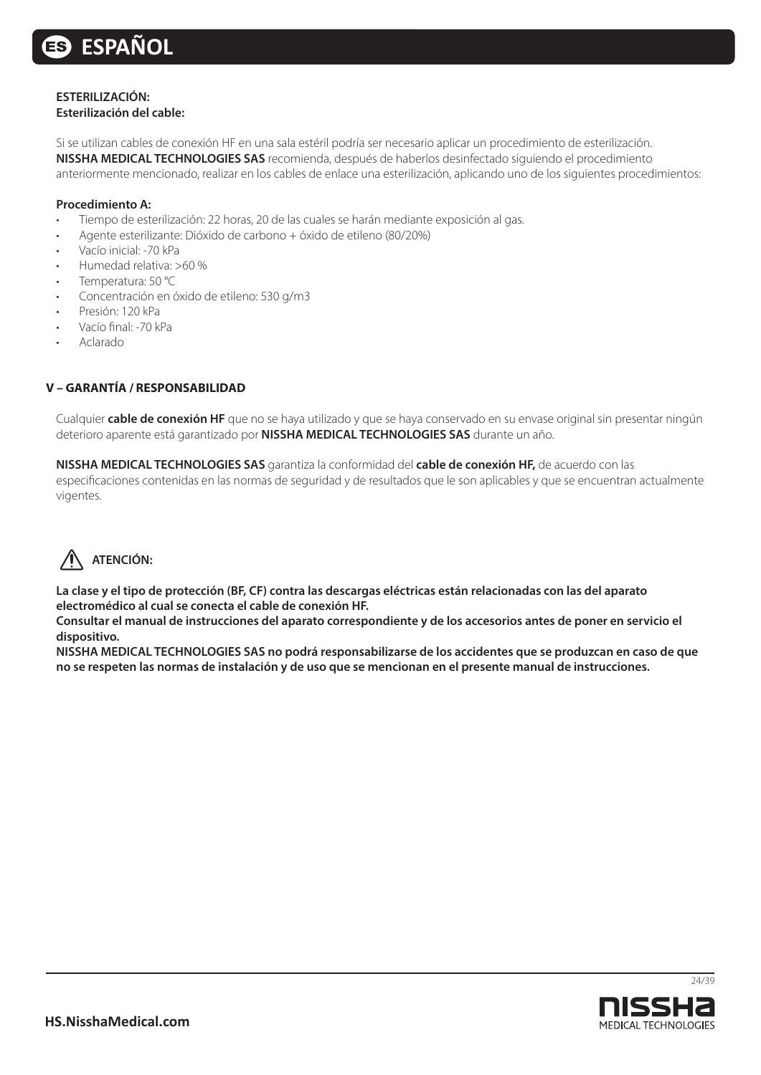#### **ESTERILIZACIÓN: Esterilización del cable:**

Si se utilizan cables de conexión HF en una sala estéril podría ser necesario aplicar un procedimiento de esterilización. **NISSHA MEDICAL TECHNOLOGIES SAS** recomienda, después de haberlos desinfectado siguiendo el procedimiento anteriormente mencionado, realizar en los cables de enlace una esterilización, aplicando uno de los siguientes procedimientos:

#### **Procedimiento A:**

- Tiempo de esterilización: 22 horas, 20 de las cuales se harán mediante exposición al gas.
- Agente esterilizante: Dióxido de carbono + óxido de etileno (80/20%)
- Vacío inicial: -70 kPa
- Humedad relativa: >60 %
- Temperatura: 50 °C
- Concentración en óxido de etileno: 530 g/m3
- Presión: 120 kPa
- Vacío final: -70 kPa
- Aclarado

## **V – GARANTÍA / RESPONSABILIDAD**

Cualquier **cable de conexión HF** que no se haya utilizado y que se haya conservado en su envase original sin presentar ningún deterioro aparente está garantizado por **NISSHA MEDICAL TECHNOLOGIES SAS** durante un año.

**NISSHA MEDICAL TECHNOLOGIES SAS** garantiza la conformidad del **cable de conexión HF,** de acuerdo con las especificaciones contenidas en las normas de seguridad y de resultados que le son aplicables y que se encuentran actualmente vigentes.

## **ATENCIÓN:**

**La clase y el tipo de protección (BF, CF) contra las descargas eléctricas están relacionadas con las del aparato electromédico al cual se conecta el cable de conexión HF.**

**Consultar el manual de instrucciones del aparato correspondiente y de los accesorios antes de poner en servicio el dispositivo.**

**NISSHA MEDICAL TECHNOLOGIES SAS no podrá responsabilizarse de los accidentes que se produzcan en caso de que no se respeten las normas de instalación y de uso que se mencionan en el presente manual de instrucciones.**

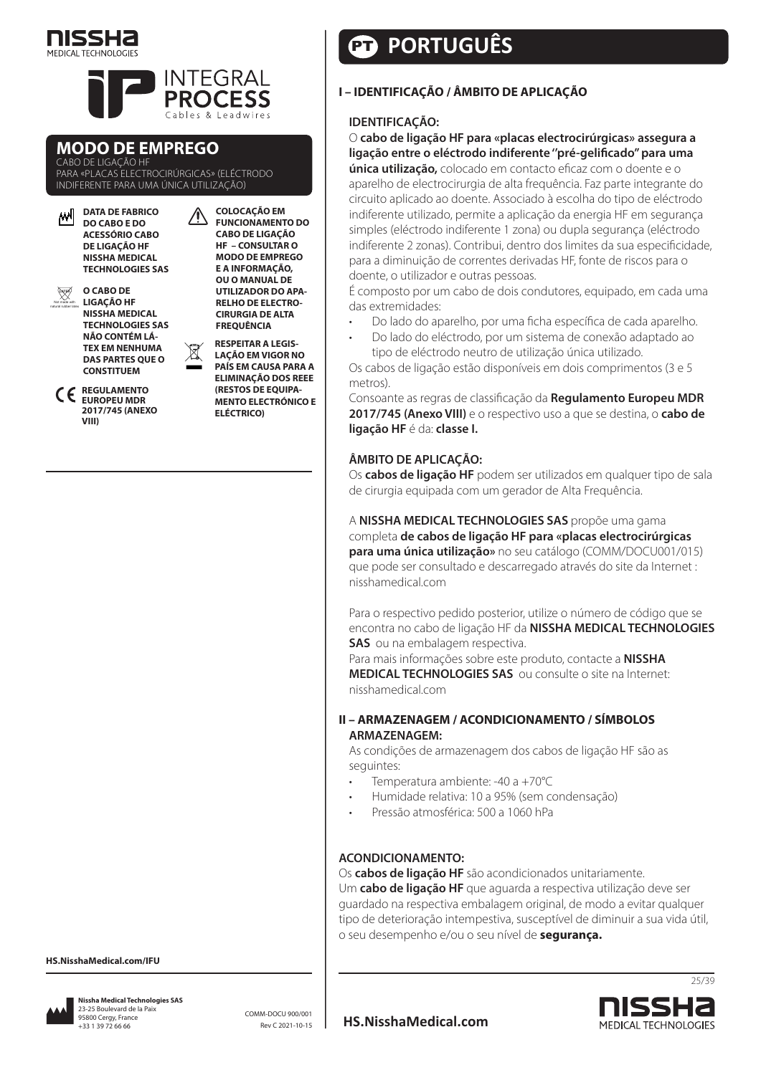



## **MODO DE EMPREGO**

CABO DE LIGAÇÃO HF PARA «PLACAS ELECTROCIRÚRGICAS» (ELÉCTRODO INDIFERENTE PARA UMA ÚNICA UTILIZAÇÃO)



**EUROPEU MDR 2017/745 (ANEXO VIII)** 



**COLOCAÇÃO EM FUNCIONAMENTO DO CABO DE LIGAÇÃO** 

**PAÍS EM CAUSA PARA A ELIMINAÇÃO DOS REEE (RESTOS DE EQUIPA-MENTO ELECTRÓNICO E ELÉCTRICO)**

## *E***D** PORTUGUÊS

## **I – IDENTIFICAÇÃO / ÂMBITO DE APLICAÇÃO**

### **IDENTIFICAÇÃO:**

## O **cabo de ligação HF para «placas electrocirúrgicas» assegura a ligação entre o eléctrodo indiferente ''pré-gelificado" para uma**

**única utilização,** colocado em contacto eficaz com o doente e o aparelho de electrocirurgia de alta frequência. Faz parte integrante do circuito aplicado ao doente. Associado à escolha do tipo de eléctrodo indiferente utilizado, permite a aplicação da energia HF em segurança simples (eléctrodo indiferente 1 zona) ou dupla segurança (eléctrodo indiferente 2 zonas). Contribui, dentro dos limites da sua especificidade, para a diminuição de correntes derivadas HF, fonte de riscos para o doente, o utilizador e outras pessoas.

É composto por um cabo de dois condutores, equipado, em cada uma das extremidades:

- Do lado do aparelho, por uma ficha específica de cada aparelho.
- Do lado do eléctrodo, por um sistema de conexão adaptado ao tipo de eléctrodo neutro de utilização única utilizado.

Os cabos de ligação estão disponíveis em dois comprimentos (3 e 5 metros).

Consoante as regras de classificação da **Regulamento Europeu MDR 2017/745 (Anexo VIII)** e o respectivo uso a que se destina, o **cabo de ligação HF** é da: **classe I.**

## **ÂMBITO DE APLICAÇÃO:**

Os **cabos de ligação HF** podem ser utilizados em qualquer tipo de sala de cirurgia equipada com um gerador de Alta Frequência.

A **NISSHA MEDICAL TECHNOLOGIES SAS** propõe uma gama completa **de cabos de ligação HF para «placas electrocirúrgicas para uma única utilização»** no seu catálogo (COMM/DOCU001/015) que pode ser consultado e descarregado através do site da Internet : nisshamedical.com

Para o respectivo pedido posterior, utilize o número de código que se encontra no cabo de ligação HF da **NISSHA MEDICAL TECHNOLOGIES SAS** ou na embalagem respectiva.

Para mais informações sobre este produto, contacte a **NISSHA MEDICAL TECHNOLOGIES SAS** ou consulte o site na Internet: nisshamedical.com

## **II – ARMAZENAGEM / ACONDICIONAMENTO / SÍMBOLOS ARMAZENAGEM:**

As condições de armazenagem dos cabos de ligação HF são as seguintes:

- Temperatura ambiente: -40 a +70°C
- Humidade relativa: 10 a 95% (sem condensação)
- Pressão atmosférica: 500 a 1060 hPa

## **ACONDICIONAMENTO:**

Os **cabos de ligação HF** são acondicionados unitariamente.

Um **cabo de ligação HF** que aguarda a respectiva utilização deve ser guardado na respectiva embalagem original, de modo a evitar qualquer tipo de deterioração intempestiva, susceptível de diminuir a sua vida útil, o seu desempenho e/ou o seu nível de **segurança.**

**HS.NisshaMedical.com/IFU**



**Nissha Medical Technologies SAS** 23-25 Boulevard de la Paix 95800 Cergy, France +33 1 39 72 66 66

COMM-DOCU 900/001 Rev C 2021-10-15



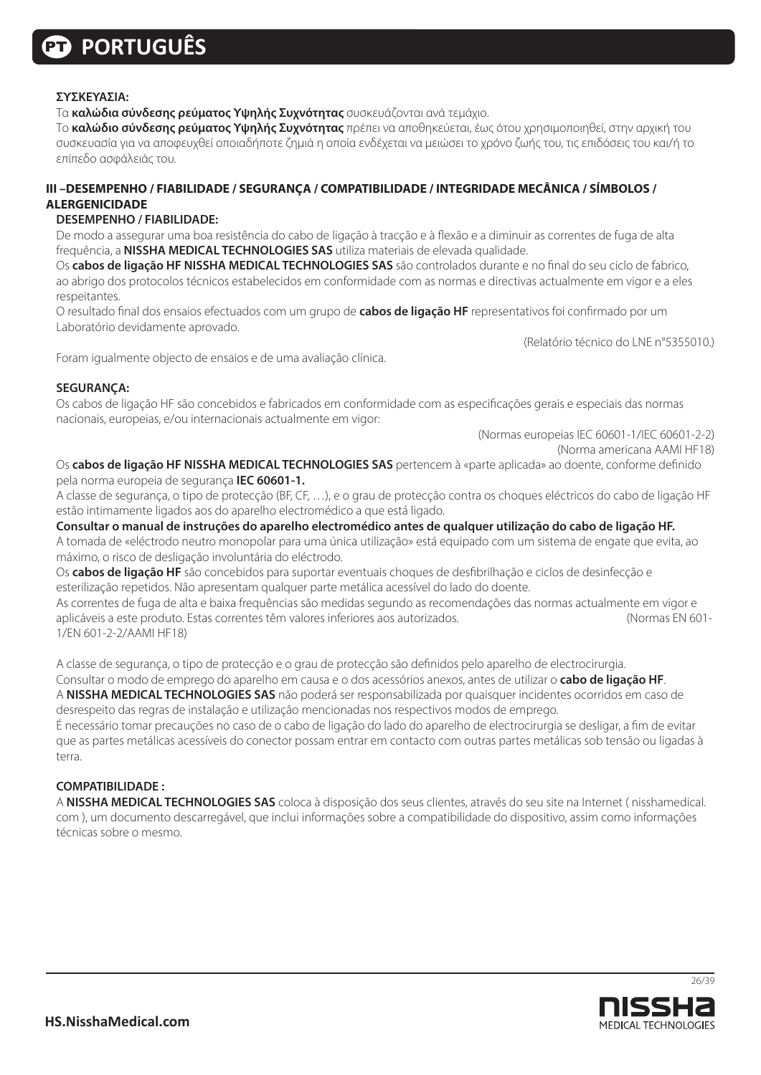### **ΣΥΣΚΕΥΑΣΙΑ:**

Τα **καλώδια σύνδεσης ρεύματος Υψηλής Συχνότητας** συσκευάζονται ανά τεμάχιο.

Το **καλώδιο σύνδεσης ρεύματος Υψηλής Συχνότητας** πρέπει να αποθηκεύεται, έως ότου χρησιμοποιηθεί, στην αρχική του συσκευασία για να αποφευχθεί οποιαδήποτε ζημιά η οποία ενδέχεται να μειώσει το χρόνο ζωής του, τις επιδόσεις του και/ή το επίπεδο ασφάλειάς του.

## **ΙΙΙ –DESEMPENHO / FIABILIDADE / SEGURANÇA / COMPATIBILIDADE / INTEGRIDADE MECÂNICA / SÍMBOLOS / ALERGENICIDADE**

#### **DESEMPENHO / FIABILIDADE:**

De modo a assegurar uma boa resistência do cabo de ligação à tracção e à flexão e a diminuir as correntes de fuga de alta frequência, a **NISSHA MEDICAL TECHNOLOGIES SAS** utiliza materiais de elevada qualidade.

Os **cabos de ligação HF NISSHA MEDICAL TECHNOLOGIES SAS** são controlados durante e no final do seu ciclo de fabrico, ao abrigo dos protocolos técnicos estabelecidos em conformidade com as normas e directivas actualmente em vigor e a eles respeitantes.

O resultado final dos ensaios efectuados com um grupo de **cabos de ligação HF** representativos foi confirmado por um Laboratório devidamente aprovado.

(Relatório técnico do LNE n°5355010.)

Foram igualmente objecto de ensaios e de uma avaliação clínica.

### **SEGURANÇA:**

Os cabos de ligação HF são concebidos e fabricados em conformidade com as especificações gerais e especiais das normas nacionais, europeias, e/ou internacionais actualmente em vigor:

(Normas europeias IEC 60601-1/IEC 60601-2-2)

(Norma americana AAMI HF18)

Os **cabos de ligação HF NISSHA MEDICAL TECHNOLOGIES SAS** pertencem à «parte aplicada» ao doente, conforme definido pela norma europeia de segurança **IEC 60601-1.**

A classe de segurança, o tipo de protecção (BF, CF, …), e o grau de protecção contra os choques eléctricos do cabo de ligação HF estão intimamente ligados aos do aparelho electromédico a que está ligado.

**Consultar o manual de instruções do aparelho electromédico antes de qualquer utilização do cabo de ligação HF.** A tomada de «eléctrodo neutro monopolar para uma única utilização» está equipado com um sistema de engate que evita, ao máximo, o risco de desligação involuntária do eléctrodo.

Os **cabos de ligação HF** são concebidos para suportar eventuais choques de desfibrilhação e ciclos de desinfecção e esterilização repetidos. Não apresentam qualquer parte metálica acessível do lado do doente.

As correntes de fuga de alta e baixa frequências são medidas segundo as recomendações das normas actualmente em vigor e aplicáveis a este produto. Estas correntes têm valores inferiores aos autorizados. (Normas EN 601- 1/EN 601-2-2/AAMI HF18)

A classe de segurança, o tipo de protecção e o grau de protecção são definidos pelo aparelho de electrocirurgia. Consultar o modo de emprego do aparelho em causa e o dos acessórios anexos, antes de utilizar o **cabo de ligação HF**.

A **NISSHA MEDICAL TECHNOLOGIES SAS** não poderá ser responsabilizada por quaisquer incidentes ocorridos em caso de desrespeito das regras de instalação e utilização mencionadas nos respectivos modos de emprego.

É necessário tomar precauções no caso de o cabo de ligação do lado do aparelho de electrocirurgia se desligar, a fim de evitar que as partes metálicas acessíveis do conector possam entrar em contacto com outras partes metálicas sob tensão ou ligadas à terra.

### **COMPATIBILIDADE :**

A **NISSHA MEDICAL TECHNOLOGIES SAS** coloca à disposição dos seus clientes, através do seu site na Internet ( nisshamedical. com ), um documento descarregável, que inclui informações sobre a compatibilidade do dispositivo, assim como informações técnicas sobre o mesmo.

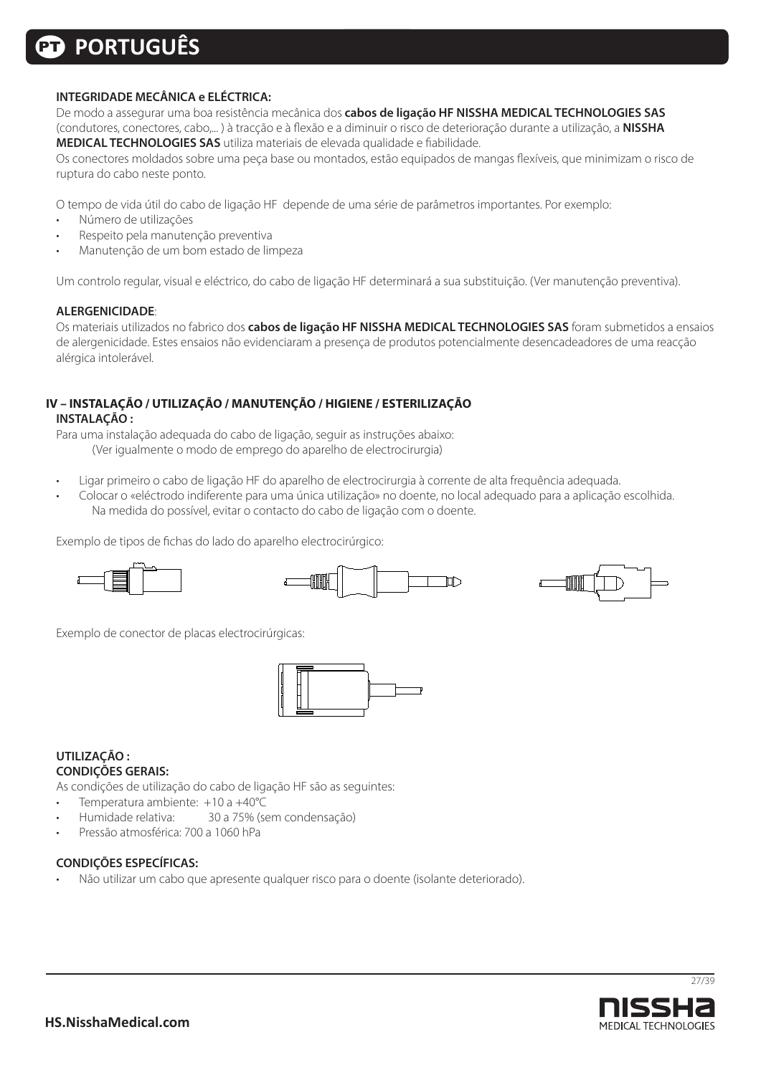### **INTEGRIDADE MECÂNICA e ELÉCTRICA:**

De modo a assegurar uma boa resistência mecânica dos **cabos de ligação HF NISSHA MEDICAL TECHNOLOGIES SAS** (condutores, conectores, cabo,... ) à tracção e à flexão e a diminuir o risco de deterioração durante a utilização, a **NISSHA MEDICAL TECHNOLOGIES SAS** utiliza materiais de elevada qualidade e fiabilidade.

Os conectores moldados sobre uma peça base ou montados, estão equipados de mangas flexíveis, que minimizam o risco de ruptura do cabo neste ponto.

O tempo de vida útil do cabo de ligação HF depende de uma série de parâmetros importantes. Por exemplo:

- Número de utilizações
- Respeito pela manutenção preventiva
- Manutenção de um bom estado de limpeza

Um controlo regular, visual e eléctrico, do cabo de ligação HF determinará a sua substituição. (Ver manutenção preventiva).

#### **ALERGENICIDADE**:

Os materiais utilizados no fabrico dos **cabos de ligação HF NISSHA MEDICAL TECHNOLOGIES SAS** foram submetidos a ensaios de alergenicidade. Estes ensaios não evidenciaram a presença de produtos potencialmente desencadeadores de uma reacção alérgica intolerável.

## **IV – INSTALAÇÃO / UTILIZAÇÃO / MANUTENÇÃO / HIGIENE / ESTERILIZAÇÃO INSTALAÇÃO :**

Para uma instalação adequada do cabo de ligação, seguir as instruções abaixo: (Ver igualmente o modo de emprego do aparelho de electrocirurgia)

- Ligar primeiro o cabo de ligação HF do aparelho de electrocirurgia à corrente de alta frequência adequada.
- Colocar o «eléctrodo indiferente para uma única utilização» no doente, no local adequado para a aplicação escolhida. Na medida do possível, evitar o contacto do cabo de ligação com o doente.

Exemplo de tipos de fichas do lado do aparelho electrocirúrgico:







Exemplo de conector de placas electrocirúrgicas:



## **UTILIZAÇÃO : CONDIÇÕES GERAIS:**

As condições de utilização do cabo de ligação HF são as seguintes:

- Temperatura ambiente: +10 a +40°C
- Humidade relativa: 30 a 75% (sem condensação)
- Pressão atmosférica: 700 a 1060 hPa

### **CONDIÇÕES ESPECÍFICAS:**

• Não utilizar um cabo que apresente qualquer risco para o doente (isolante deteriorado).

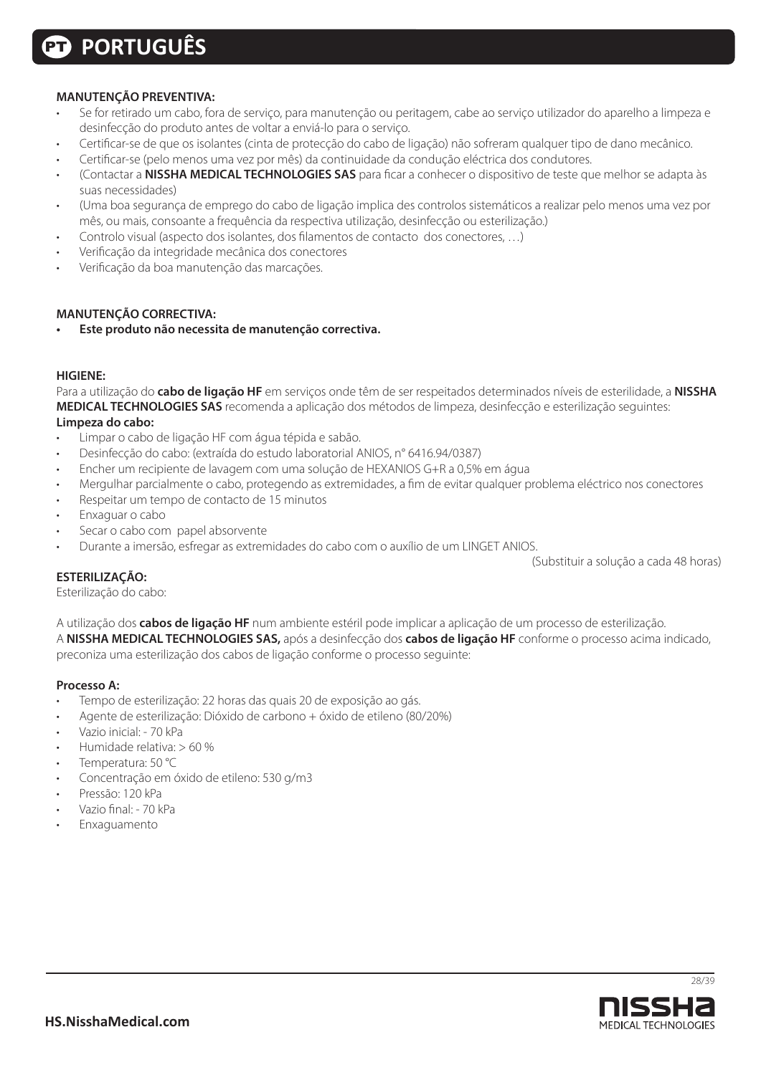## **MANUTENÇÃO PREVENTIVA:**

- Se for retirado um cabo, fora de serviço, para manutenção ou peritagem, cabe ao serviço utilizador do aparelho a limpeza e desinfecção do produto antes de voltar a enviá-lo para o serviço.
- Certificar-se de que os isolantes (cinta de protecção do cabo de ligação) não sofreram qualquer tipo de dano mecânico.
- Certificar-se (pelo menos uma vez por mês) da continuidade da condução eléctrica dos condutores.
- (Contactar a **NISSHA MEDICAL TECHNOLOGIES SAS** para ficar a conhecer o dispositivo de teste que melhor se adapta às suas necessidades)
- (Uma boa segurança de emprego do cabo de ligação implica des controlos sistemáticos a realizar pelo menos uma vez por mês, ou mais, consoante a frequência da respectiva utilização, desinfecção ou esterilização.)
- Controlo visual (aspecto dos isolantes, dos filamentos de contacto dos conectores, …)
- Verificação da integridade mecânica dos conectores
- Verificação da boa manutenção das marcações.

## **MANUTENÇÃO CORRECTIVA:**

**• Este produto não necessita de manutenção correctiva.**

### **HIGIENE:**

Para a utilização do **cabo de ligação HF** em serviços onde têm de ser respeitados determinados níveis de esterilidade, a **NISSHA MEDICAL TECHNOLOGIES SAS** recomenda a aplicação dos métodos de limpeza, desinfecção e esterilização seguintes: **Limpeza do cabo:**

- Limpar o cabo de ligação HF com água tépida e sabão.
- Desinfecção do cabo: (extraída do estudo laboratorial ANIOS, n° 6416.94/0387)
- Encher um recipiente de lavagem com uma solução de HEXANIOS G+R a 0,5% em água
- Mergulhar parcialmente o cabo, protegendo as extremidades, a fim de evitar qualquer problema eléctrico nos conectores
- Respeitar um tempo de contacto de 15 minutos
- Enxaguar o cabo
- Secar o cabo com papel absorvente
- Durante a imersão, esfregar as extremidades do cabo com o auxílio de um LINGET ANIOS.

(Substituir a solução a cada 48 horas)

## **ESTERILIZAÇÃO:**

Esterilização do cabo:

A utilização dos **cabos de ligação HF** num ambiente estéril pode implicar a aplicação de um processo de esterilização. A **NISSHA MEDICAL TECHNOLOGIES SAS,** após a desinfecção dos **cabos de ligação HF** conforme o processo acima indicado, preconiza uma esterilização dos cabos de ligação conforme o processo seguinte:

### **Processo A:**

- Tempo de esterilização: 22 horas das quais 20 de exposição ao gás.
- Agente de esterilização: Dióxido de carbono + óxido de etileno (80/20%)
- Vazio inicial: 70 kPa
- Humidade relativa: > 60 %
- Temperatura: 50 °C
- Concentração em óxido de etileno: 530 g/m3
- Pressão: 120 kPa
- Vazio final: 70 kPa
- **Enxaguamento**

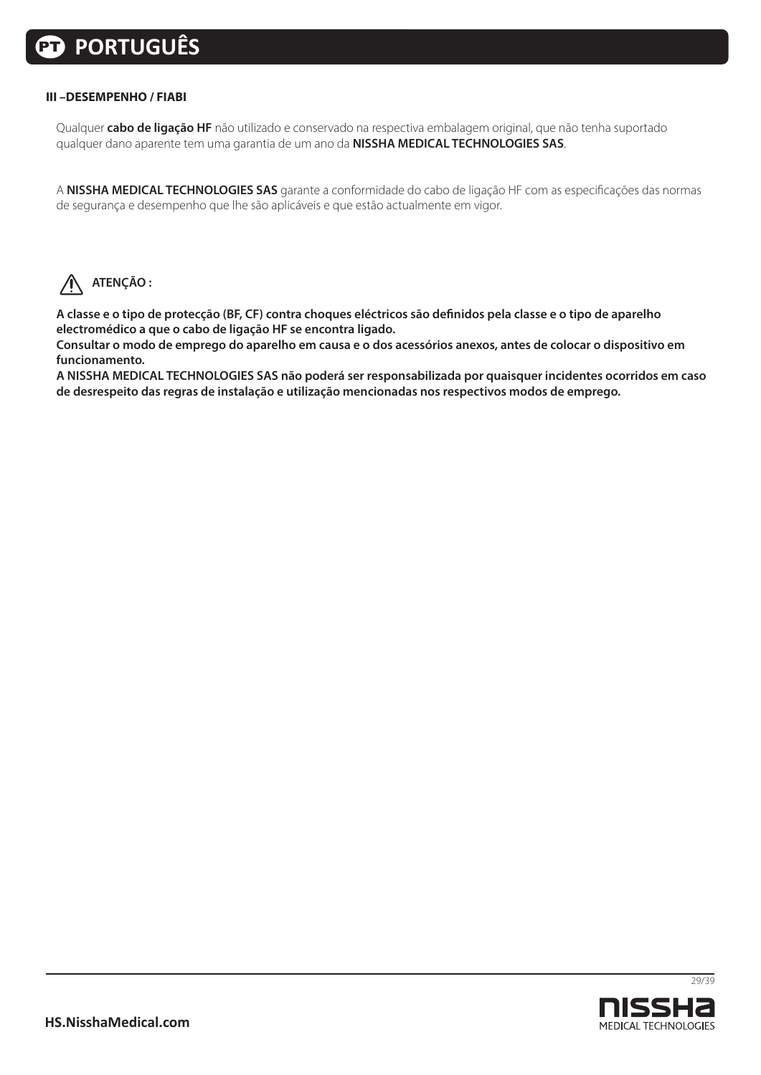#### **ΙΙΙ –DESEMPENHO / FIABI**

Qualquer **cabo de ligação HF** não utilizado e conservado na respectiva embalagem original, que não tenha suportado qualquer dano aparente tem uma garantia de um ano da **NISSHA MEDICAL TECHNOLOGIES SAS**.

A **NISSHA MEDICAL TECHNOLOGIES SAS** garante a conformidade do cabo de ligação HF com as especificações das normas de segurança e desempenho que lhe são aplicáveis e que estão actualmente em vigor.



**A classe e o tipo de protecção (BF, CF) contra choques eléctricos são definidos pela classe e o tipo de aparelho electromédico a que o cabo de ligação HF se encontra ligado.**

**Consultar o modo de emprego do aparelho em causa e o dos acessórios anexos, antes de colocar o dispositivo em funcionamento.**

**A NISSHA MEDICAL TECHNOLOGIES SAS não poderá ser responsabilizada por quaisquer incidentes ocorridos em caso de desrespeito das regras de instalação e utilização mencionadas nos respectivos modos de emprego.**

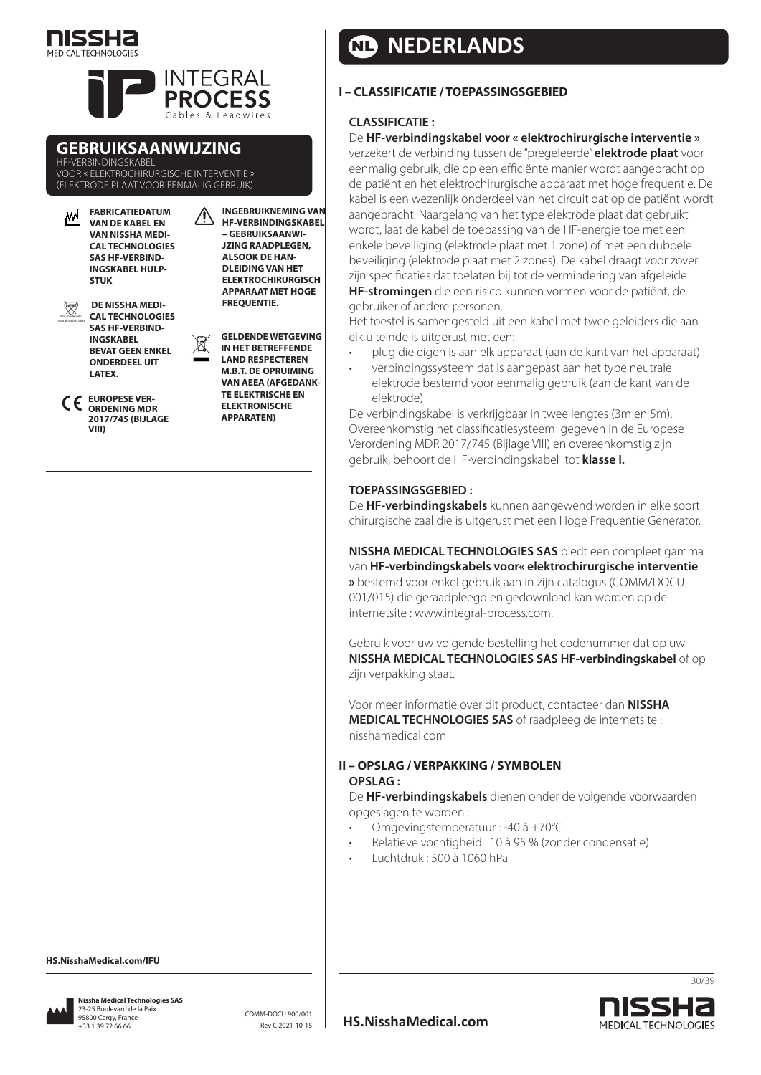



## **GEBRUIKSAANWIJZING**

HF-VERBINDINGSKABEL VOOR « ELEKTROCHIRURGISCHE INTERVENTIE » (ELEKTRODE PLAAT VOOR EENMALIG GEBRUIK)



**HS.NisshaMedical.com/IFU**



**Nissha Medical Technologies SAS** 23-25 Boulevard de la Paix 95800 Cergy, France +33 1 39 72 66 66

COMM-DOCU 900/001 Rev C 2021-10-15

## NL **NEDERLANDS**

## **I – CLASSIFICATIE / TOEPASSINGSGEBIED**

#### **CLASSIFICATIE :**

#### De **HF-verbindingskabel voor « elektrochirurgische interventie »**

verzekert de verbinding tussen de "pregeleerde" **elektrode plaat** voor eenmalig gebruik, die op een efficiënte manier wordt aangebracht op de patiënt en het elektrochirurgische apparaat met hoge frequentie. De kabel is een wezenlijk onderdeel van het circuit dat op de patiënt wordt aangebracht. Naargelang van het type elektrode plaat dat gebruikt wordt, laat de kabel de toepassing van de HF-energie toe met een enkele beveiliging (elektrode plaat met 1 zone) of met een dubbele beveiliging (elektrode plaat met 2 zones). De kabel draagt voor zover zijn specificaties dat toelaten bij tot de vermindering van afgeleide **HF-stromingen** die een risico kunnen vormen voor de patiënt, de gebruiker of andere personen.

Het toestel is samengesteld uit een kabel met twee geleiders die aan elk uiteinde is uitgerust met een:

- plug die eigen is aan elk apparaat (aan de kant van het apparaat)
- verbindingssysteem dat is aangepast aan het type neutrale elektrode bestemd voor eenmalig gebruik (aan de kant van de elektrode)

De verbindingskabel is verkrijgbaar in twee lengtes (3m en 5m). Overeenkomstig het classificatiesysteem gegeven in de Europese Verordening MDR 2017/745 (Bijlage VIII) en overeenkomstig zijn gebruik, behoort de HF-verbindingskabel tot **klasse I.**

## **TOEPASSINGSGEBIED :**

De **HF-verbindingskabels** kunnen aangewend worden in elke soort chirurgische zaal die is uitgerust met een Hoge Frequentie Generator.

**NISSHA MEDICAL TECHNOLOGIES SAS** biedt een compleet gamma van **HF-verbindingskabels voor« elektrochirurgische interventie »** bestemd voor enkel gebruik aan in zijn catalogus (COMM/DOCU 001/015) die geraadpleegd en gedownload kan worden op de internetsite : www.integral-process.com.

Gebruik voor uw volgende bestelling het codenummer dat op uw **NISSHA MEDICAL TECHNOLOGIES SAS HF-verbindingskabel** of op zijn verpakking staat.

Voor meer informatie over dit product, contacteer dan **NISSHA MEDICAL TECHNOLOGIES SAS** of raadpleeg de internetsite : nisshamedical.com

#### **II – OPSLAG / VERPAKKING / SYMBOLEN OPSLAG :**

De **HF-verbindingskabels** dienen onder de volgende voorwaarden opgeslagen te worden :

- Omgevingstemperatuur : -40 à +70°C
- Relatieve vochtigheid : 10 à 95 % (zonder condensatie)
- Luchtdruk : 500 à 1060 hPa

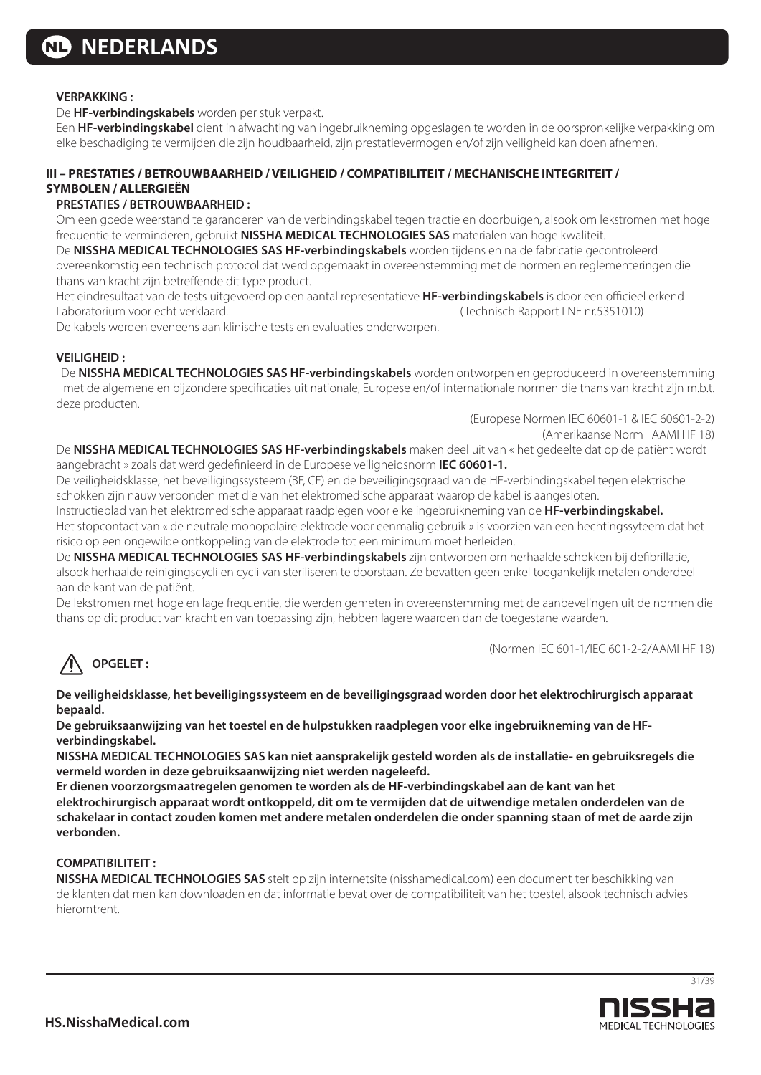## EN **ENGLISH** NL**NEDERLANDS**

#### **VERPAKKING :**

De **HF-verbindingskabels** worden per stuk verpakt.

Een **HF-verbindingskabel** dient in afwachting van ingebruikneming opgeslagen te worden in de oorspronkelijke verpakking om elke beschadiging te vermijden die zijn houdbaarheid, zijn prestatievermogen en/of zijn veiligheid kan doen afnemen.

## **III – PRESTATIES / BETROUWBAARHEID / VEILIGHEID / COMPATIBILITEIT / MECHANISCHE INTEGRITEIT / SYMBOLEN / ALLERGIEËN**

#### **PRESTATIES / BETROUWBAARHEID :**

Om een goede weerstand te garanderen van de verbindingskabel tegen tractie en doorbuigen, alsook om lekstromen met hoge frequentie te verminderen, gebruikt **NISSHA MEDICAL TECHNOLOGIES SAS** materialen van hoge kwaliteit.

De **NISSHA MEDICAL TECHNOLOGIES SAS HF-verbindingskabels** worden tijdens en na de fabricatie gecontroleerd overeenkomstig een technisch protocol dat werd opgemaakt in overeenstemming met de normen en reglementeringen die thans van kracht zijn betreffende dit type product.

Het eindresultaat van de tests uitgevoerd op een aantal representatieve **HF-verbindingskabels** is door een officieel erkend Laboratorium voor echt verklaard. (Technisch Rapport LNE nr.5351010)

De kabels werden eveneens aan klinische tests en evaluaties onderworpen.

### **VEILIGHEID :**

De **NISSHA MEDICAL TECHNOLOGIES SAS HF-verbindingskabels** worden ontworpen en geproduceerd in overeenstemming met de algemene en bijzondere specificaties uit nationale, Europese en/of internationale normen die thans van kracht zijn m.b.t. deze producten.

(Europese Normen IEC 60601-1 & IEC 60601-2-2)

(Amerikaanse Norm AAMI HF 18)

De **NISSHA MEDICAL TECHNOLOGIES SAS HF-verbindingskabels** maken deel uit van « het gedeelte dat op de patiënt wordt aangebracht » zoals dat werd gedefinieerd in de Europese veiligheidsnorm **IEC 60601-1.** 

De veiligheidsklasse, het beveiligingssysteem (BF, CF) en de beveiligingsgraad van de HF-verbindingskabel tegen elektrische schokken zijn nauw verbonden met die van het elektromedische apparaat waarop de kabel is aangesloten.

Instructieblad van het elektromedische apparaat raadplegen voor elke ingebruikneming van de **HF-verbindingskabel.** Het stopcontact van « de neutrale monopolaire elektrode voor eenmalig gebruik » is voorzien van een hechtingssyteem dat het risico op een ongewilde ontkoppeling van de elektrode tot een minimum moet herleiden.

De **NISSHA MEDICAL TECHNOLOGIES SAS HF-verbindingskabels** zijn ontworpen om herhaalde schokken bij defibrillatie, alsook herhaalde reinigingscycli en cycli van steriliseren te doorstaan. Ze bevatten geen enkel toegankelijk metalen onderdeel aan de kant van de patiënt.

De lekstromen met hoge en lage frequentie, die werden gemeten in overeenstemming met de aanbevelingen uit de normen die thans op dit product van kracht en van toepassing zijn, hebben lagere waarden dan de toegestane waarden.

## **OPGELET :**

(Normen IEC 601-1/IEC 601-2-2/AAMI HF 18)

**De veiligheidsklasse, het beveiligingssysteem en de beveiligingsgraad worden door het elektrochirurgisch apparaat bepaald.** 

**De gebruiksaanwijzing van het toestel en de hulpstukken raadplegen voor elke ingebruikneming van de HFverbindingskabel.**

**NISSHA MEDICAL TECHNOLOGIES SAS kan niet aansprakelijk gesteld worden als de installatie- en gebruiksregels die vermeld worden in deze gebruiksaanwijzing niet werden nageleefd.** 

**Er dienen voorzorgsmaatregelen genomen te worden als de HF-verbindingskabel aan de kant van het elektrochirurgisch apparaat wordt ontkoppeld, dit om te vermijden dat de uitwendige metalen onderdelen van de schakelaar in contact zouden komen met andere metalen onderdelen die onder spanning staan of met de aarde zijn verbonden.** 

### **COMPATIBILITEIT :**

**NISSHA MEDICAL TECHNOLOGIES SAS** stelt op zijn internetsite (nisshamedical.com) een document ter beschikking van de klanten dat men kan downloaden en dat informatie bevat over de compatibiliteit van het toestel, alsook technisch advies hieromtrent.

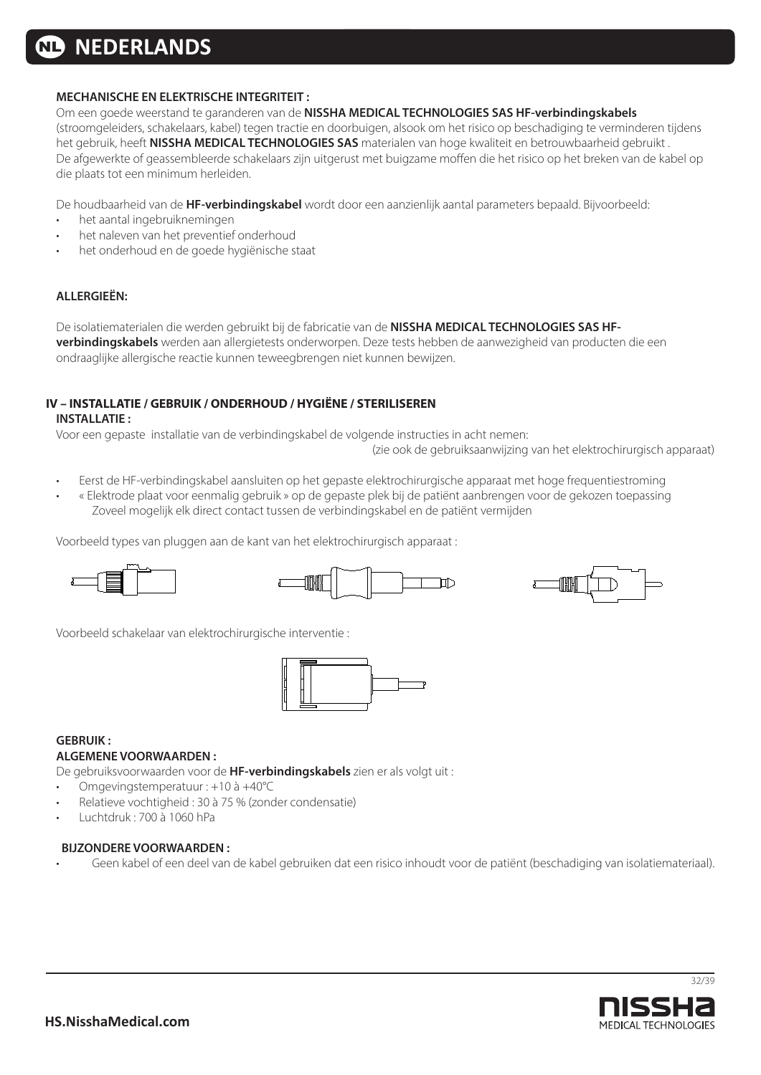## EN **ENGLISH** NL **NEDERLANDS**

#### **MECHANISCHE EN ELEKTRISCHE INTEGRITEIT :**

Om een goede weerstand te garanderen van de **NISSHA MEDICAL TECHNOLOGIES SAS HF-verbindingskabels** (stroomgeleiders, schakelaars, kabel) tegen tractie en doorbuigen, alsook om het risico op beschadiging te verminderen tijdens het gebruik, heeft **NISSHA MEDICAL TECHNOLOGIES SAS** materialen van hoge kwaliteit en betrouwbaarheid gebruikt . De afgewerkte of geassembleerde schakelaars zijn uitgerust met buigzame moffen die het risico op het breken van de kabel op die plaats tot een minimum herleiden.

De houdbaarheid van de **HF-verbindingskabel** wordt door een aanzienlijk aantal parameters bepaald. Bijvoorbeeld:

- het aantal ingebruiknemingen
- het naleven van het preventief onderhoud
- het onderhoud en de goede hygiënische staat

### **ALLERGIEËN:**

De isolatiematerialen die werden gebruikt bij de fabricatie van de **NISSHA MEDICAL TECHNOLOGIES SAS HFverbindingskabels** werden aan allergietests onderworpen. Deze tests hebben de aanwezigheid van producten die een ondraaglijke allergische reactie kunnen teweegbrengen niet kunnen bewijzen.

## **IV – INSTALLATIE / GEBRUIK / ONDERHOUD / HYGIËNE / STERILISEREN**

#### **INSTALLATIE :**

Voor een gepaste installatie van de verbindingskabel de volgende instructies in acht nemen:

(zie ook de gebruiksaanwijzing van het elektrochirurgisch apparaat)

- Eerst de HF-verbindingskabel aansluiten op het gepaste elektrochirurgische apparaat met hoge frequentiestroming
- « Elektrode plaat voor eenmalig gebruik » op de gepaste plek bij de patiënt aanbrengen voor de gekozen toepassing Zoveel mogelijk elk direct contact tussen de verbindingskabel en de patiënt vermijden

Voorbeeld types van pluggen aan de kant van het elektrochirurgisch apparaat :







Voorbeeld schakelaar van elektrochirurgische interventie :



### **GEBRUIK : ALGEMENE VOORWAARDEN :**

De gebruiksvoorwaarden voor de **HF-verbindingskabels** zien er als volgt uit :

- Omgevingstemperatuur : +10 à +40°C
- Relatieve vochtigheid : 30 à 75 % (zonder condensatie)
- Luchtdruk : 700 à 1060 hPa

#### **BIJZONDERE VOORWAARDEN :**

• Geen kabel of een deel van de kabel gebruiken dat een risico inhoudt voor de patiënt (beschadiging van isolatiemateriaal).

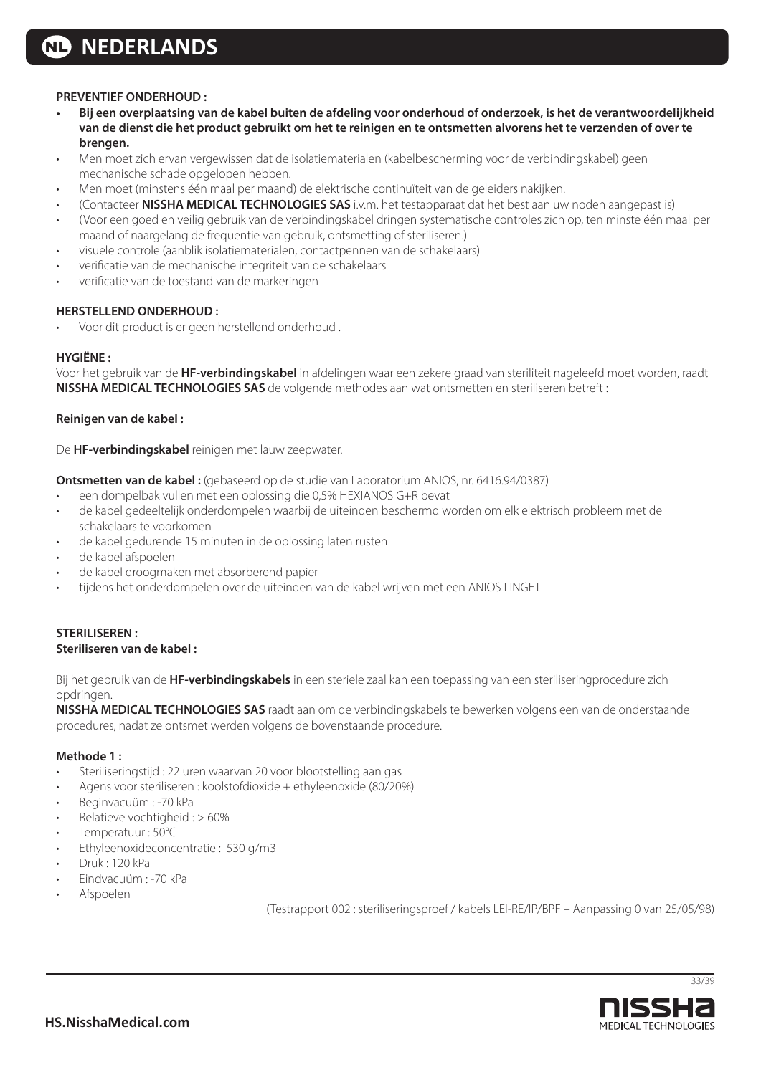## EN **ENGLISH** NL**NEDERLANDS**

### **PREVENTIEF ONDERHOUD :**

- **• Bij een overplaatsing van de kabel buiten de afdeling voor onderhoud of onderzoek, is het de verantwoordelijkheid van de dienst die het product gebruikt om het te reinigen en te ontsmetten alvorens het te verzenden of over te brengen.**
- Men moet zich ervan vergewissen dat de isolatiematerialen (kabelbescherming voor de verbindingskabel) geen mechanische schade opgelopen hebben.
- Men moet (minstens één maal per maand) de elektrische continuïteit van de geleiders nakijken.
- (Contacteer **NISSHA MEDICAL TECHNOLOGIES SAS** i.v.m. het testapparaat dat het best aan uw noden aangepast is)
- (Voor een goed en veilig gebruik van de verbindingskabel dringen systematische controles zich op, ten minste één maal per maand of naargelang de frequentie van gebruik, ontsmetting of steriliseren.)
- visuele controle (aanblik isolatiematerialen, contactpennen van de schakelaars)
- verificatie van de mechanische integriteit van de schakelaars
- verificatie van de toestand van de markeringen

#### **HERSTELLEND ONDERHOUD :**

• Voor dit product is er geen herstellend onderhoud .

#### **HYGIËNE :**

Voor het gebruik van de **HF-verbindingskabel** in afdelingen waar een zekere graad van steriliteit nageleefd moet worden, raadt **NISSHA MEDICAL TECHNOLOGIES SAS** de volgende methodes aan wat ontsmetten en steriliseren betreft :

#### **Reinigen van de kabel :**

De **HF-verbindingskabel** reinigen met lauw zeepwater.

**Ontsmetten van de kabel :** (gebaseerd op de studie van Laboratorium ANIOS, nr. 6416.94/0387)

- een dompelbak vullen met een oplossing die 0,5% HEXIANOS G+R bevat
- de kabel gedeeltelijk onderdompelen waarbij de uiteinden beschermd worden om elk elektrisch probleem met de schakelaars te voorkomen
- de kabel gedurende 15 minuten in de oplossing laten rusten
- de kabel afspoelen
- de kabel droogmaken met absorberend papier
- tijdens het onderdompelen over de uiteinden van de kabel wrijven met een ANIOS LINGET

#### **STERILISEREN : Steriliseren van de kabel :**

Bij het gebruik van de **HF-verbindingskabels** in een steriele zaal kan een toepassing van een steriliseringprocedure zich opdringen.

**NISSHA MEDICAL TECHNOLOGIES SAS** raadt aan om de verbindingskabels te bewerken volgens een van de onderstaande procedures, nadat ze ontsmet werden volgens de bovenstaande procedure.

### **Methode 1 :**

- Steriliseringstijd : 22 uren waarvan 20 voor blootstelling aan gas
- Agens voor steriliseren : koolstofdioxide + ethyleenoxide (80/20%)
- Beginvacuüm : -70 kPa
- Relatieve vochtigheid : > 60%
- Temperatuur : 50°C
- Ethyleenoxideconcentratie : 530 g/m3
- Druk : 120 kPa
- Eindvacuüm : -70 kPa
- Afspoelen

(Testrapport 002 : steriliseringsproef / kabels LEI-RE/IP/BPF – Aanpassing 0 van 25/05/98)

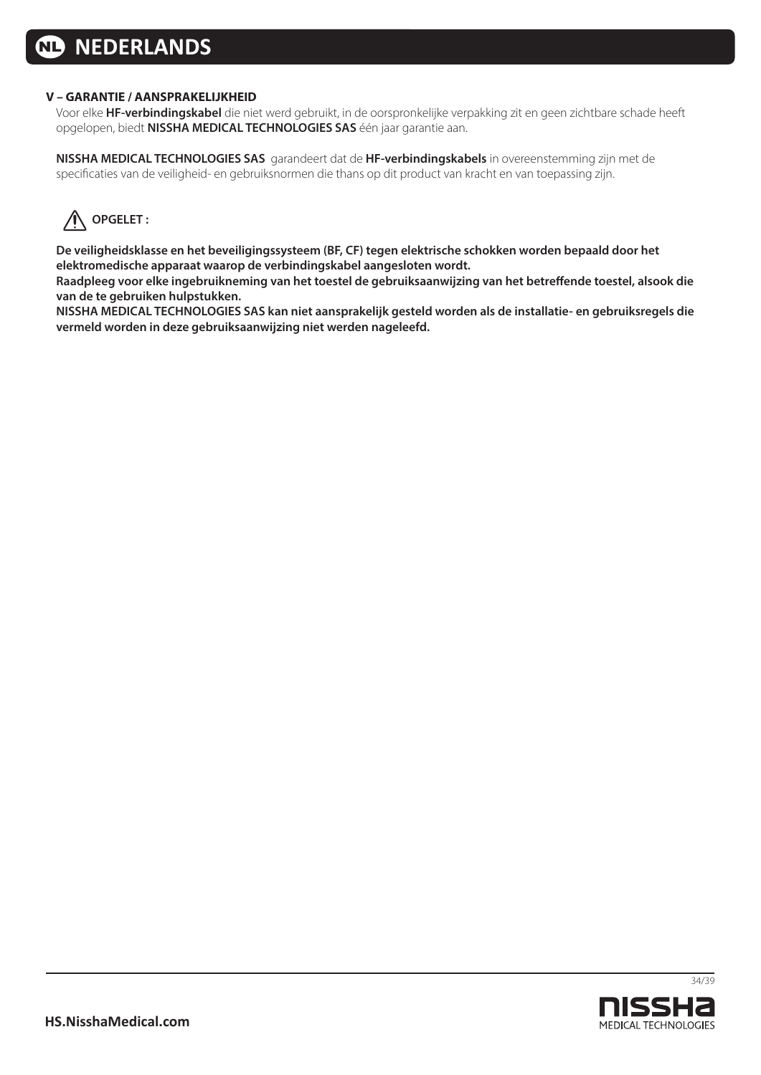## EN **ENGLISH** NL **NEDERLANDS**

#### **V – GARANTIE / AANSPRAKELIJKHEID**

Voor elke **HF-verbindingskabel** die niet werd gebruikt, in de oorspronkelijke verpakking zit en geen zichtbare schade heeft opgelopen, biedt **NISSHA MEDICAL TECHNOLOGIES SAS** één jaar garantie aan.

**NISSHA MEDICAL TECHNOLOGIES SAS** garandeert dat de **HF-verbindingskabels** in overeenstemming zijn met de specificaties van de veiligheid- en gebruiksnormen die thans op dit product van kracht en van toepassing zijn.



**De veiligheidsklasse en het beveiligingssysteem (BF, CF) tegen elektrische schokken worden bepaald door het elektromedische apparaat waarop de verbindingskabel aangesloten wordt.**

**Raadpleeg voor elke ingebruikneming van het toestel de gebruiksaanwijzing van het betreffende toestel, alsook die van de te gebruiken hulpstukken.**

**NISSHA MEDICAL TECHNOLOGIES SAS kan niet aansprakelijk gesteld worden als de installatie- en gebruiksregels die vermeld worden in deze gebruiksaanwijzing niet werden nageleefd.**

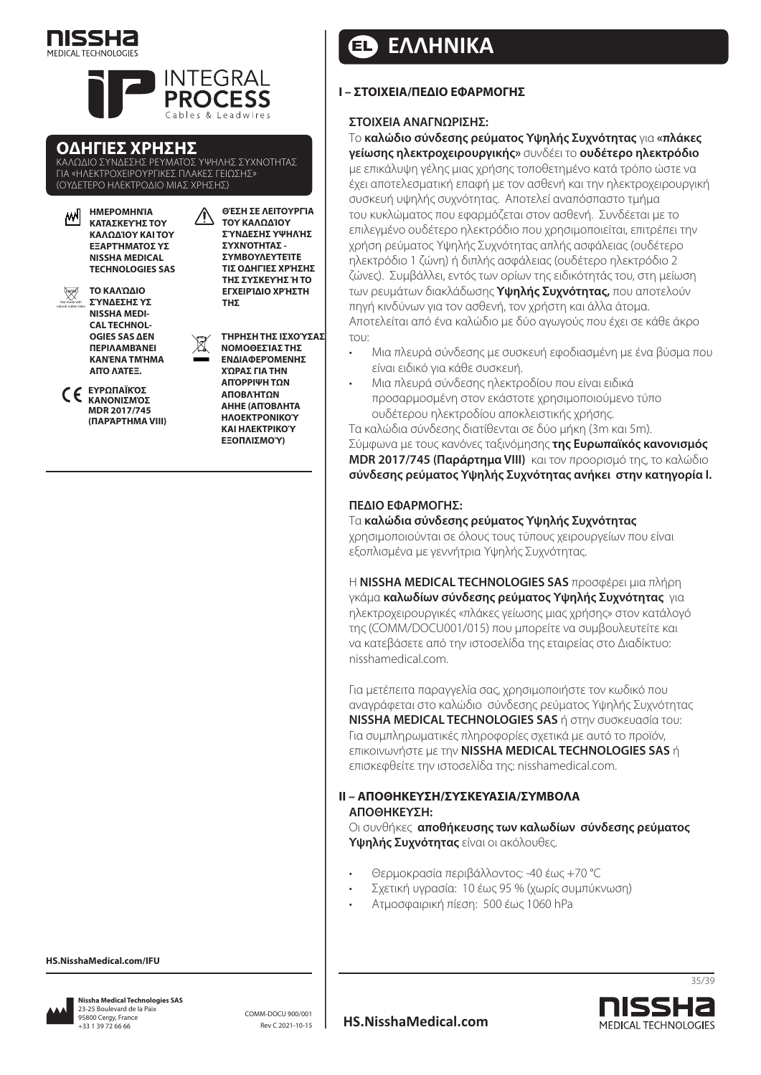



## **ΟΔΗΓΙΕΣ ΧΡΗΣΗΣ**

ΚΑΛΩΔΙΟ ΣΥΝΔΕΣΗΣ ΡΕΥΜΑΤΟΣ ΥΨΗΛΗΣ ΣΥΧΝΟΤΗΤΑΣ ΓΙΑ «ΗΛΕΚΤΡΟΧΕΙΡΟΥΡΓΙΚΈΣ ΠΛΑΚΕΣ ΓΕΙΩΣΗΣ» (ΟΥΔΈΤΕΡΟ ΗΛΕΚΤΡΟΔΙΟ ΜΙΑΣ ΧΡΗΣΗΣ)

/N

**ΗΜΕΡΟΜΗΝΊΑ**  M **ΚΑΤΑΣΚΕΥΉΣ ΤΟΥ ΚΑΛΩΔΊΟΥ ΚΑΙ ΤΟΥ ΕΞΑΡΤΉΜΑΤΟΣ ΥΣ NISSHA MEDICAL TECHNOLOGIES SAS**

**ΘΈΣΗ ΣΕ ΛΕΙΤΟΥΡΓΊΑ ΤΟΥ ΚΑΛΩΔΊΟΥ ΣΎΝΔΕΣΗΣ ΥΨΗΛΉΣ ΣΥΧΝΌΤΗΤΑΣ - ΣΥΜΒΟΥΛΕΥΤΕΊΤΕ ΤΙΣ ΟΔΗΓΊΕΣ ΧΡΉΣΗΣ ΤΗΣ ΣΥΣΚΕΥΉΣ Ή ΤΟ ΕΓΧΕΙΡΊΔΙΟ ΧΡΉΣΤΗ ΤΗΣ** 

Not made with natural rubber latex **LATEX ΤΟ ΚΑΛΏΔΙΟ** 

**ΣΎΝΔΕΣΗΣ ΥΣ NISSHA MEDI-CAL TECHNOL-OGIES SAS ΔΕΝ ΠΕΡΙΛΑΜΒΆΝΕΙ ΚΑΝΈΝΑ ΤΜΉΜΑ ΑΠΌ ΛΆΤΕΞ.** 

**ΕΥΡΩΠΑΪΚΌΣ ΚΑΝΟΝΙΣΜΌΣ MDR 2017/745 (ΠΑΡΆΡΤΗΜΑ VIII)**

**ΤΉΡΗΣΗ ΤΗΣ ΙΣΧΟΎΣΑΣ**  Ā **ΝΟΜΟΘΕΣΊΑΣ ΤΗΣ ΕΝΔΙΑΦΕΡΌΜΕΝΗΣ ΧΏΡΑΣ ΓΙΑ ΤΗΝ ΑΠΌΡΡΙΨΗ ΤΩΝ ΑΠΟΒΛΉΤΩΝ ΑΗΗΕ (ΑΠΌΒΛΗΤΑ ΗΛΟΕΚΤΡΟΝΙΚΟΎ ΚΑΙ ΗΛΕΚΤΡΙΚΟΎ** 

**ΕΞΟΠΛΙΣΜΟΎ)** 

## EL **ΕΛΛΗΝΙΚΆ**

## **Ι – ΣΤΟΙΧΕΙΑ/ΠΕΔΙΟ ΕΦΑΡΜΟΓΗΣ**

#### **ΣΤΟΙΧΕΙΑ ΑΝΑΓΝΩΡΙΣΗΣ:**

## Το **καλώδιο σύνδεσης ρεύματος Υψηλής Συχνότητας** για **«πλάκες γείωσης ηλεκτροχειρουργικής»** συνδέει το **ουδέτερο ηλεκτρόδιο**

με επικάλυψη γέλης μιας χρήσης τοποθετημένο κατά τρόπο ώστε να έχει αποτελεσματική επαφή με τον ασθενή και την ηλεκτροχειρουργική συσκευή υψηλής συχνότητας. Αποτελεί αναπόσπαστο τμήμα του κυκλώματος που εφαρμόζεται στον ασθενή. Συνδέεται με το επιλεγμένο ουδέτερο ηλεκτρόδιο που χρησιμοποιείται, επιτρέπει την χρήση ρεύματος Υψηλής Συχνότητας απλής ασφάλειας (ουδέτερο ηλεκτρόδιο 1 ζώνη) ή διπλής ασφάλειας (ουδέτερο ηλεκτρόδιο 2 ζώνες). Συμβάλλει, εντός των ορίων της ειδικότητάς του, στη μείωση των ρευμάτων διακλάδωσης **Υψηλής Συχνότητας,** που αποτελούν πηγή κινδύνων για τον ασθενή, τον χρήστη και άλλα άτομα. Αποτελείται από ένα καλώδιο με δύο αγωγούς που έχει σε κάθε άκρο του:

- Μια πλευρά σύνδεσης με συσκευή εφοδιασμένη με ένα βύσμα που είναι ειδικό για κάθε συσκευή.
- Μια πλευρά σύνδεσης ηλεκτροδίου που είναι ειδικά προσαρμοσμένη στον εκάστοτε χρησιμοποιούμενο τύπο ουδέτερου ηλεκτροδίου αποκλειστικής χρήσης.

Τα καλώδια σύνδεσης διατίθενται σε δύο μήκη (3m και 5m).

Σύμφωνα με τους κανόνες ταξινόμησης **της Ευρωπαϊκός κανονισμός MDR 2017/745 (Παράρτημα VIII)** και τον προορισμό της, το καλώδιο **σύνδεσης ρεύματος Υψηλής Συχνότητας ανήκει στην κατηγορία Ι.** 

## **ΠΕΔΙΟ ΕΦΑΡΜΟΓΗΣ:**

#### Τα **καλώδια σύνδεσης ρεύματος Υψηλής Συχνότητας**  χρησιμοποιούνται σε όλους τους τύπους χειρουργείων που είναι εξοπλισμένα με γεννήτρια Υψηλής Συχνότητας.

Η **NISSHA MEDICAL TECHNOLOGIES SAS** προσφέρει μια πλήρη γκάμα **καλωδίων σύνδεσης ρεύματος Υψηλής Συχνότητας** για ηλεκτροχειρουργικές «πλάκες γείωσης μιας χρήσης» στον κατάλογό της (COMM/DOCU001/015) που μπορείτε να συμβουλευτείτε και να κατεβάσετε από την ιστοσελίδα της εταιρείας στο Διαδίκτυο: nisshamedical.com.

Για μετέπειτα παραγγελία σας, χρησιμοποιήστε τον κωδικό που αναγράφεται στο καλώδιο σύνδεσης ρεύματος Υψηλής Συχνότητας **NISSHA MEDICAL TECHNOLOGIES SAS** ή στην συσκευασία του: Για συμπληρωματικές πληροφορίες σχετικά με αυτό το προϊόν, επικοινωνήστε με την **NISSHA MEDICAL TECHNOLOGIES SAS** ή επισκεφθείτε την ιστοσελίδα της: nisshamedical.com.

#### **ΙΙ – ΑΠΟΘΗΚΕΥΣΗ/ΣΥΣΚΕΥΑΣΙΑ/ΣΥΜΒΟΛΑ ΑΠΟΘΗΚΕΥΣΗ:**

Οι συνθήκες **αποθήκευσης των καλωδίων σύνδεσης ρεύματος Υψηλής Συχνότητας** είναι οι ακόλουθες.

- Θερμοκρασία περιβάλλοντος: -40 έως +70 °C
- Σχετική υγρασία: 10 έως 95 % (χωρίς συμπύκνωση)
- Ατμοσφαιρική πίεση: 500 έως 1060 hPa





**Nissha Medical Technologies SAS** 23-25 Boulevard de la Paix 95800 Cergy, France +33 1 39 72 66 66

COMM-DOCU 900/001 Rev C 2021-10-15

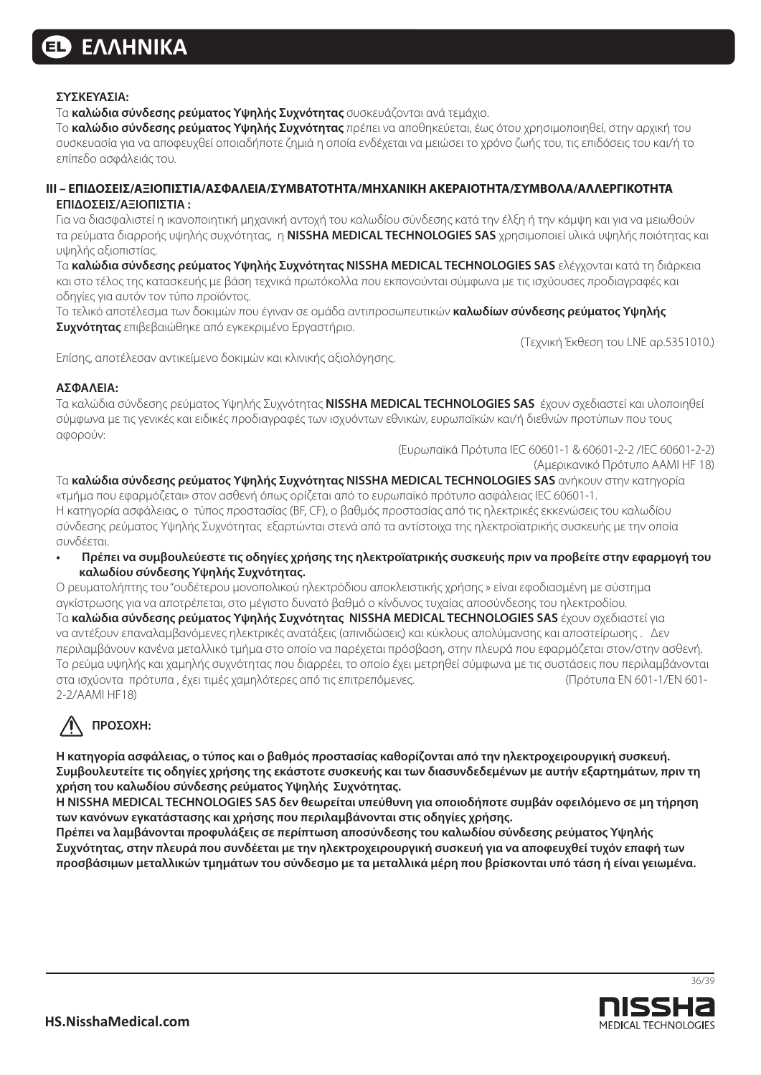### **ΣΥΣΚΕΥΑΣΙΑ:**

Τα **καλώδια σύνδεσης ρεύματος Υψηλής Συχνότητας** συσκευάζονται ανά τεμάχιο.

Το **καλώδιο σύνδεσης ρεύματος Υψηλής Συχνότητας** πρέπει να αποθηκεύεται, έως ότου χρησιμοποιηθεί, στην αρχική του συσκευασία για να αποφευχθεί οποιαδήποτε ζημιά η οποία ενδέχεται να μειώσει το χρόνο ζωής του, τις επιδόσεις του και/ή το επίπεδο ασφάλειάς του.

### **ΙΙΙ – ΕΠΙΔΟΣΕΙΣ/ΑΞΙΟΠΙΣΤΙΑ/ΑΣΦΑΛΕΙΑ/ΣΥΜΒΑΤΟΤΗΤΑ/ΜΗΧΑΝΙΚΗ ΑΚΕΡΑΙΟΤΗΤΑ/ΣΥΜΒΟΛΑ/ΑΛΛΕΡΓΙΚΟΤΗΤΑ ΕΠΙΔΟΣΕΙΣ/ΑΞΙΟΠΙΣΤΙΑ :**

Για να διασφαλιστεί η ικανοποιητική μηχανική αντοχή του καλωδίου σύνδεσης κατά την έλξη ή την κάμψη και για να μειωθούν τα ρεύματα διαρροής υψηλής συχνότητας, η **NISSHA MEDICAL TECHNOLOGIES SAS** χρησιμοποιεί υλικά υψηλής ποιότητας και υψηλής αξιοπιστίας.

Τα **καλώδια σύνδεσης ρεύματος Υψηλής Συχνότητας NISSHA MEDICAL TECHNOLOGIES SAS** ελέγχονται κατά τη διάρκεια και στο τέλος της κατασκευής με βάση τεχνικά πρωτόκολλα που εκπονούνται σύμφωνα με τις ισχύουσες προδιαγραφές και οδηγίες για αυτόν τον τύπο προϊόντος.

Το τελικό αποτέλεσμα των δοκιμών που έγιναν σε ομάδα αντιπροσωπευτικών **καλωδίων σύνδεσης ρεύματος Υψηλής Συχνότητας** επιβεβαιώθηκε από εγκεκριμένο Εργαστήριο.

(Τεχνική Έκθεση του LNE αρ.5351010.)

Επίσης, αποτέλεσαν αντικείμενο δοκιμών και κλινικής αξιολόγησης.

#### **ΑΣΦΑΛΕΙΑ:**

Τα καλώδια σύνδεσης ρεύματος Υψηλής Συχνότητας **NISSHA MEDICAL TECHNOLOGIES SAS** έχουν σχεδιαστεί και υλοποιηθεί σύμφωνα με τις γενικές και ειδικές προδιαγραφές των ισχυόντων εθνικών, ευρωπαϊκών και/ή διεθνών προτύπων που τους αφορούν:

> (Ευρωπαϊκά Πρότυπα IEC 60601-1 & 60601-2-2 /IEC 60601-2-2) (Αμερικανικό Πρότυπο AAMI HF 18)

Τα **καλώδια σύνδεσης ρεύματος Υψηλής Συχνότητας NISSHA MEDICAL TECHNOLOGIES SAS** ανήκουν στην κατηγορία «τμήμα που εφαρμόζεται» στον ασθενή όπως ορίζεται από το ευρωπαϊκό πρότυπο ασφάλειας IEC 60601-1. Η κατηγορία ασφάλειας, ο τύπος προστασίας (BF, CF), ο βαθμός προστασίας από τις ηλεκτρικές εκκενώσεις του καλωδίου σύνδεσης ρεύματος Υψηλής Συχνότητας εξαρτώνται στενά από τα αντίστοιχα της ηλεκτροϊατρικής συσκευής με την οποία συνδέεται.

**• Πρέπει να συμβουλεύεστε τις οδηγίες χρήσης της ηλεκτροϊατρικής συσκευής πριν να προβείτε στην εφαρμογή του καλωδίου σύνδεσης Υψηλής Συχνότητας.**

Ο ρευματολήπτης του "ουδέτερου μονοπολικού ηλεκτρόδιου αποκλειστικής χρήσης » είναι εφοδιασμένη με σύστημα αγκίστρωσης για να αποτρέπεται, στο μέγιστο δυνατό βαθμό ο κίνδυνος τυχαίας αποσύνδεσης του ηλεκτροδίου. Τα **καλώδια σύνδεσης ρεύματος Υψηλής Συχνότητας NISSHA MEDICAL TECHNOLOGIES SAS** έχουν σχεδιαστεί για να αντέξουν επαναλαμβανόμενες ηλεκτρικές ανατάξεις (απινιδώσεις) και κύκλους απολύμανσης και αποστείρωσης . Δεν περιλαμβάνουν κανένα μεταλλικό τμήμα στο οποίο να παρέχεται πρόσβαση, στην πλευρά που εφαρμόζεται στον/στην ασθενή. Το ρεύμα υψηλής και χαμηλής συχνότητας που διαρρέει, το οποίο έχει μετρηθεί σύμφωνα με τις συστάσεις που περιλαμβάνονται στα ισχύοντα πρότυπα , έχει τιμές χαμηλότερες από τις επιτρεπόμενες. (Πρότυπα EN 601-1/EN 601- 2-2/AAMI HF18)

## **ΠΡΟΣΟΧΗ:**

**Η κατηγορία ασφάλειας, ο τύπος και ο βαθμός προστασίας καθορίζονται από την ηλεκτροχειρουργική συσκευή. Συμβουλευτείτε τις οδηγίες χρήσης της εκάστοτε συσκευής και των διασυνδεδεμένων με αυτήν εξαρτημάτων, πριν τη χρήση του καλωδίου σύνδεσης ρεύματος Υψηλής Συχνότητας.** 

**Η NISSHA MEDICAL TECHNOLOGIES SAS δεν θεωρείται υπεύθυνη για οποιοδήποτε συμβάν οφειλόμενο σε μη τήρηση των κανόνων εγκατάστασης και χρήσης που περιλαμβάνονται στις οδηγίες χρήσης.** 

**Πρέπει να λαμβάνονται προφυλάξεις σε περίπτωση αποσύνδεσης του καλωδίου σύνδεσης ρεύματος Υψηλής Συχνότητας, στην πλευρά που συνδέεται με την ηλεκτροχειρουργική συσκευή για να αποφευχθεί τυχόν επαφή των προσβάσιμων μεταλλικών τμημάτων του σύνδεσμο με τα μεταλλικά μέρη που βρίσκονται υπό τάση ή είναι γειωμένα.** 

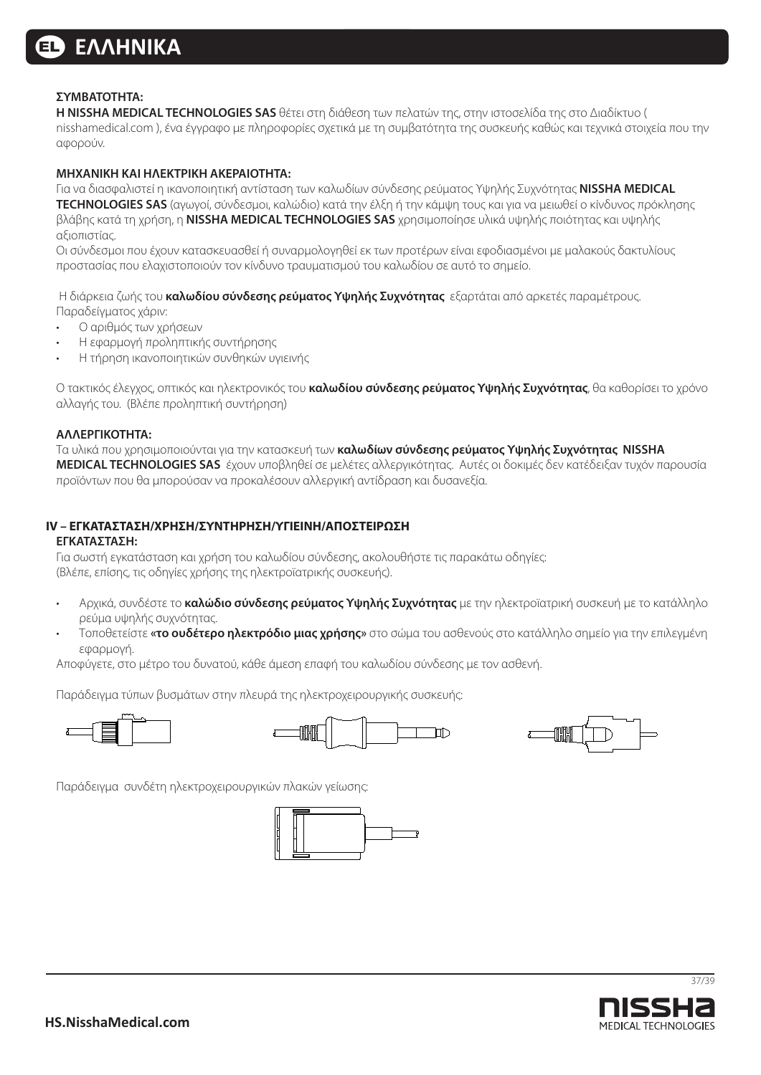## **ΣΥΜΒΑΤΟΤΗΤΑ:**

**Η NISSHA MEDICAL TECHNOLOGIES SAS** θέτει στη διάθεση των πελατών της, στην ιστοσελίδα της στο Διαδίκτυο ( nisshamedical.com ), ένα έγγραφο με πληροφορίες σχετικά με τη συμβατότητα της συσκευής καθώς και τεχνικά στοιχεία που την αφορούν.

### **ΜΗΧΑΝΙΚΗ ΚΑΙ ΗΛΕΚΤΡΙΚΗ ΑΚΕΡΑΙΟΤΗΤΑ:**

Για να διασφαλιστεί η ικανοποιητική αντίσταση των καλωδίων σύνδεσης ρεύματος Υψηλής Συχνότητας **NISSHA MEDICAL TECHNOLOGIES SAS** (αγωγοί, σύνδεσμοι, καλώδιο) κατά την έλξη ή την κάμψη τους και για να μειωθεί ο κίνδυνος πρόκλησης βλάβης κατά τη χρήση, η **NISSHA MEDICAL TECHNOLOGIES SAS** χρησιμοποίησε υλικά υψηλής ποιότητας και υψηλής αξιοπιστίας.

Οι σύνδεσμοι που έχουν κατασκευασθεί ή συναρμολογηθεί εκ των προτέρων είναι εφοδιασμένοι με μαλακούς δακτυλίους προστασίας που ελαχιστοποιούν τον κίνδυνο τραυματισμού του καλωδίου σε αυτό το σημείο.

 Η διάρκεια ζωής του **καλωδίου σύνδεσης ρεύματος Υψηλής Συχνότητας** εξαρτάται από αρκετές παραμέτρους. Παραδείγματος χάριν:

- Ο αριθμός των χρήσεων
- Η εφαρμογή προληπτικής συντήρησης
- Η τήρηση ικανοποιητικών συνθηκών υγιεινής

Ο τακτικός έλεγχος, οπτικός και ηλεκτρονικός του **καλωδίου σύνδεσης ρεύματος Υψηλής Συχνότητας**, θα καθορίσει το χρόνο αλλαγής του. (Βλέπε προληπτική συντήρηση)

#### **ΑΛΛΕΡΓΙΚΟΤΗΤΑ:**

Τα υλικά που χρησιμοποιούνται για την κατασκευή των **καλωδίων σύνδεσης ρεύματος Υψηλής Συχνότητας NISSHA MEDICAL TECHNOLOGIES SAS** έχουν υποβληθεί σε μελέτες αλλεργικότητας. Αυτές οι δοκιμές δεν κατέδειξαν τυχόν παρουσία προϊόντων που θα μπορούσαν να προκαλέσουν αλλεργική αντίδραση και δυσανεξία.

## **ΙV – ΕΓΚΑΤΑΣΤΑΣΗ/ΧΡΗΣΗ/ΣΥΝΤΗΡΗΣΗ/ΥΓΙΕΙΝΗ/ΑΠΟΣΤΕΙΡΩΣΗ**

#### **ΕΓΚΑΤΑΣΤΑΣΗ:**

Για σωστή εγκατάσταση και χρήση του καλωδίου σύνδεσης, ακολουθήστε τις παρακάτω οδηγίες: (Βλέπε, επίσης, τις οδηγίες χρήσης της ηλεκτροϊατρικής συσκευής).

- Αρχικά, συνδέστε το **καλώδιο σύνδεσης ρεύματος Υψηλής Συχνότητας** με την ηλεκτροϊατρική συσκευή με το κατάλληλο ρεύμα υψηλής συχνότητας.
- Τοποθετείστε **«το ουδέτερο ηλεκτρόδιο μιας χρήσης»** στο σώμα του ασθενούς στο κατάλληλο σημείο για την επιλεγμένη εφαρμογή.

Αποφύγετε, στο μέτρο του δυνατού, κάθε άμεση επαφή του καλωδίου σύνδεσης με τον ασθενή.

Παράδειγμα τύπων βυσμάτων στην πλευρά της ηλεκτροχειρουργικής συσκευής:







Παράδειγμα συνδέτη ηλεκτροχειρουργικών πλακών γείωσης:



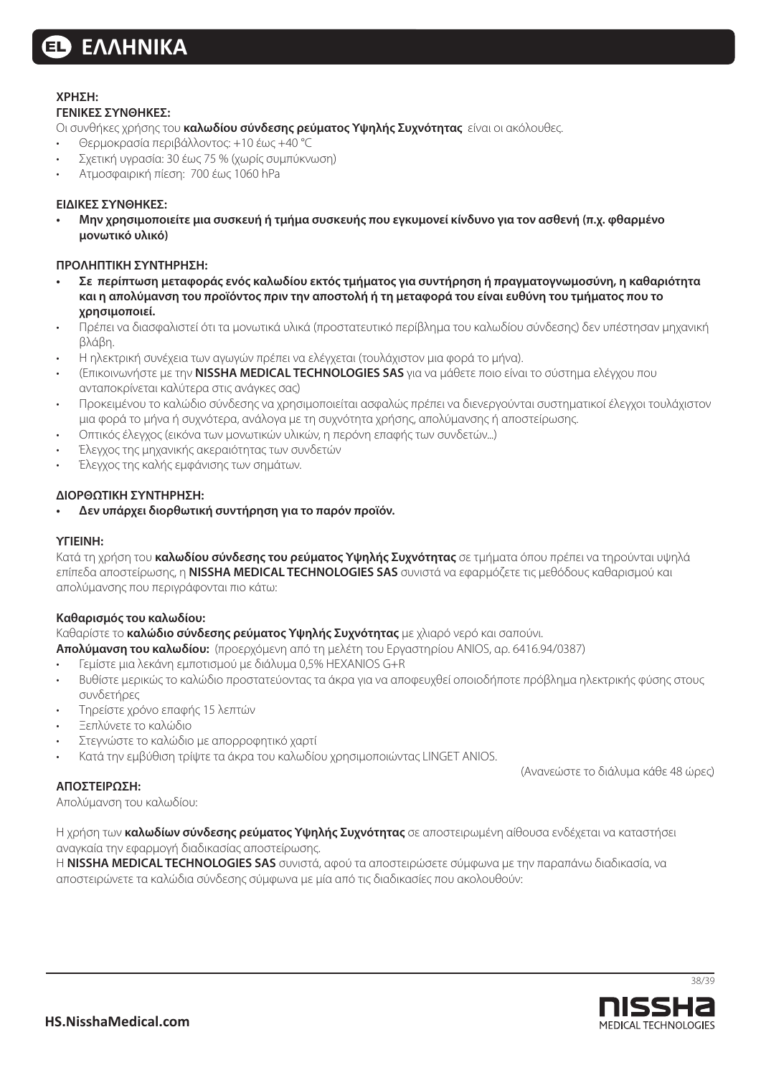## **ΧΡΗΣΗ:**

## **ΓΕΝΙΚΕΣ ΣΥΝΘΗΚΕΣ:**

Οι συνθήκες χρήσης του **καλωδίου σύνδεσης ρεύματος Υψηλής Συχνότητας** είναι οι ακόλουθες.

- Θερμοκρασία περιβάλλοντος: +10 έως +40 °C
- Σχετική υγρασία: 30 έως 75 % (χωρίς συμπύκνωση)
- Ατμοσφαιρική πίεση: 700 έως 1060 hPa

#### **ΕΙΔΙΚΕΣ ΣΥΝΘΗΚΕΣ:**

**• Μην χρησιμοποιείτε μια συσκευή ή τμήμα συσκευής που εγκυμονεί κίνδυνο για τον ασθενή (π.χ. φθαρμένο μονωτικό υλικό)**

#### **ΠΡΟΛΗΠΤΙΚΗ ΣΥΝΤΗΡΗΣΗ:**

- **• Σε περίπτωση μεταφοράς ενός καλωδίου εκτός τμήματος για συντήρηση ή πραγματογνωμοσύνη, η καθαριότητα και η απολύμανση του προϊόντος πριν την αποστολή ή τη μεταφορά του είναι ευθύνη του τμήματος που το χρησιμοποιεί.**
- Πρέπει να διασφαλιστεί ότι τα μονωτικά υλικά (προστατευτικό περίβλημα του καλωδίου σύνδεσης) δεν υπέστησαν μηχανική βλάβη.
- Η ηλεκτρική συνέχεια των αγωγών πρέπει να ελέγχεται (τουλάχιστον μια φορά το μήνα).
- (Επικοινωνήστε με την **NISSHA MEDICAL TECHNOLOGIES SAS** για να μάθετε ποιο είναι το σύστημα ελέγχου που ανταποκρίνεται καλύτερα στις ανάγκες σας)
- Προκειμένου το καλώδιο σύνδεσης να χρησιμοποιείται ασφαλώς πρέπει να διενεργούνται συστηματικοί έλεγχοι τουλάχιστον μια φορά το μήνα ή συχνότερα, ανάλογα με τη συχνότητα χρήσης, απολύμανσης ή αποστείρωσης.
- Οπτικός έλεγχος (εικόνα των μονωτικών υλικών, η περόνη επαφής των συνδετών...)
- Έλεγχος της μηχανικής ακεραιότητας των συνδετών
- Έλεγχος της καλής εμφάνισης των σημάτων.

#### **ΔΙΟΡΘΩΤΙΚΗ ΣΥΝΤΗΡΗΣΗ:**

**• Δεν υπάρχει διορθωτική συντήρηση για το παρόν προϊόν.** 

#### **ΥΓΙΕΙΝΗ:**

Κατά τη χρήση του **καλωδίου σύνδεσης του ρεύματος Υψηλής Συχνότητας** σε τμήματα όπου πρέπει να τηρούνται υψηλά επίπεδα αποστείρωσης, η **NISSHA MEDICAL TECHNOLOGIES SAS** συνιστά να εφαρμόζετε τις μεθόδους καθαρισμού και απολύμανσης που περιγράφονται πιο κάτω:

#### **Καθαρισμός του καλωδίου:**

Καθαρίστε το **καλώδιο σύνδεσης ρεύματος Υψηλής Συχνότητας** με χλιαρό νερό και σαπούνι.

**Απολύμανση του καλωδίου:** (προερχόμενη από τη μελέτη του Εργαστηρίου ANIOS, αρ. 6416.94/0387)

- Γεμίστε μια λεκάνη εμποτισμού με διάλυμα 0,5% HEXANIOS G+R
- Βυθίστε μερικώς το καλώδιο προστατεύοντας τα άκρα για να αποφευχθεί οποιοδήποτε πρόβλημα ηλεκτρικής φύσης στους συνδετήρες
- Τηρείστε χρόνο επαφής 15 λεπτών
- Ξεπλύνετε το καλώδιο
- Στεγνώστε το καλώδιο με απορροφητικό χαρτί
- Κατά την εμβύθιση τρίψτε τα άκρα του καλωδίου χρησιμοποιώντας LINGET ANIOS.

(Ανανεώστε το διάλυμα κάθε 48 ώρες)

### **ΑΠΟΣΤΕΙΡΩΣΗ:**

Απολύμανση του καλωδίου:

Η χρήση των **καλωδίων σύνδεσης ρεύματος Υψηλής Συχνότητας** σε αποστειρωμένη αίθουσα ενδέχεται να καταστήσει αναγκαία την εφαρμογή διαδικασίας αποστείρωσης.

Η **NISSHA MEDICAL TECHNOLOGIES SAS** συνιστά, αφού τα αποστειρώσετε σύμφωνα με την παραπάνω διαδικασία, να αποστειρώνετε τα καλώδια σύνδεσης σύμφωνα με μία από τις διαδικασίες που ακολουθούν: